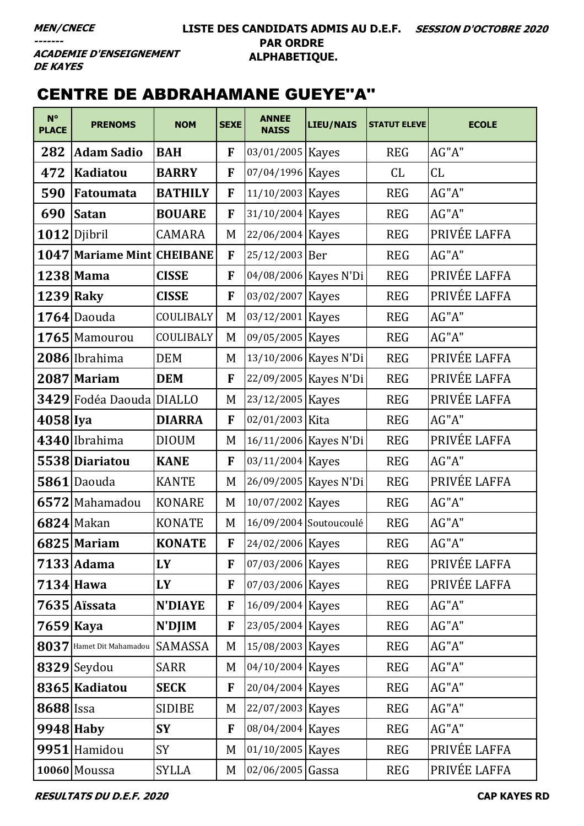**ACADEMIE D'ENSEIGNEMENT DE KAYES** 

# CENTRE DE ABDRAHAMANE GUEYE''A''

| $N^{\circ}$<br><b>PLACE</b> | <b>PRENOMS</b>                    | <b>NOM</b>     | <b>SEXE</b> | <b>ANNEE</b><br><b>NAISS</b> | <b>LIEU/NAIS</b>        | <b>STATUT ELEVE</b> | <b>ECOLE</b> |
|-----------------------------|-----------------------------------|----------------|-------------|------------------------------|-------------------------|---------------------|--------------|
| 282                         | <b>Adam Sadio</b>                 | <b>BAH</b>     | F           | 03/01/2005 Kayes             |                         | <b>REG</b>          | AG"A"        |
| 472                         | <b>Kadiatou</b>                   | <b>BARRY</b>   | F           | 07/04/1996 Kayes             |                         | <b>CL</b>           | CL           |
| 590                         | <b>Fatoumata</b>                  | <b>BATHILY</b> | F           | 11/10/2003   Kayes           |                         | <b>REG</b>          | AG''A''      |
| 690                         | <b>Satan</b>                      | <b>BOUARE</b>  | F           | 31/10/2004 Kayes             |                         | <b>REG</b>          | AG"A"        |
|                             | 1012 Djibril                      | <b>CAMARA</b>  | M           | 22/06/2004 Kayes             |                         | <b>REG</b>          | PRIVÉE LAFFA |
|                             | <b>1047 Mariame Mint CHEIBANE</b> |                | F           | 25/12/2003 Ber               |                         | <b>REG</b>          | AG"A"        |
|                             | $1238$ Mama                       | <b>CISSE</b>   | F           |                              | 04/08/2006 Kayes N'Di   | <b>REG</b>          | PRIVÉE LAFFA |
|                             | 1239 Raky                         | <b>CISSE</b>   | F           | 03/02/2007                   | <b>Kayes</b>            | <b>REG</b>          | PRIVÉE LAFFA |
|                             | $1764$ Daouda                     | COULIBALY      | M           | 03/12/2001 Kayes             |                         | <b>REG</b>          | AG"A"        |
|                             | 1765 Mamourou                     | COULIBALY      | M           | 09/05/2005 Kayes             |                         | <b>REG</b>          | AG"A"        |
|                             | 2086 Ibrahima                     | <b>DEM</b>     | M           |                              | 13/10/2006 Kayes N'Di   | <b>REG</b>          | PRIVÉE LAFFA |
|                             | 2087 Mariam                       | <b>DEM</b>     | F           |                              | 22/09/2005   Kayes N'Di | <b>REG</b>          | PRIVÉE LAFFA |
|                             | 3429 Fodéa Daouda DIALLO          |                | M           | 23/12/2005 Kayes             |                         | <b>REG</b>          | PRIVÉE LAFFA |
| 4058 Iya                    |                                   | <b>DIARRA</b>  | F           | 02/01/2003 Kita              |                         | <b>REG</b>          | AG''A''      |
|                             | 4340 Ibrahima                     | <b>DIOUM</b>   | M           |                              | 16/11/2006 Kayes N'Di   | <b>REG</b>          | PRIVÉE LAFFA |
|                             | 5538 Diariatou                    | <b>KANE</b>    | F           | 03/11/2004 Kayes             |                         | <b>REG</b>          | AG"A"        |
|                             | 5861 Daouda                       | <b>KANTE</b>   | M           |                              | 26/09/2005   Kayes N'Di | <b>REG</b>          | PRIVÉE LAFFA |
|                             | 6572 Mahamadou                    | <b>KONARE</b>  | M           | 10/07/2002 Kayes             |                         | <b>REG</b>          | $AG"A"$      |
|                             | $6824$ Makan                      | <b>KONATE</b>  | M           |                              | 16/09/2004 Soutoucoulé  | <b>REG</b>          | AG''A''      |
|                             | 6825 Mariam                       | <b>KONATE</b>  | F           | 24/02/2006 Kayes             |                         | <b>REG</b>          | AG"A"        |
|                             | $7133$ Adama                      | LY             | F           | 07/03/2006 Kayes             |                         | <b>REG</b>          | PRIVÉE LAFFA |
|                             | $7134$ Hawa                       | LY             | F           | 07/03/2006 Kayes             |                         | <b>REG</b>          | PRIVÉE LAFFA |
|                             | 7635 Aïssata                      | <b>N'DIAYE</b> | F           | 16/09/2004 Kayes             |                         | <b>REG</b>          | AG"A"        |
| $7659$  Kaya                |                                   | N'DJIM         | F           | 23/05/2004 Kayes             |                         | <b>REG</b>          | AG"A"        |
|                             | 8037 Hamet Dit Mahamadou          | SAMASSA        | M           | 15/08/2003 Kayes             |                         | <b>REG</b>          | AG"A"        |
|                             | 8329 Seydou                       | <b>SARR</b>    | M           | 04/10/2004 Kayes             |                         | <b>REG</b>          | AG"A"        |
|                             | 8365 Kadiatou                     | <b>SECK</b>    | F           | 20/04/2004 Kayes             |                         | <b>REG</b>          | AG"A"        |
| <b>8688</b> Issa            |                                   | <b>SIDIBE</b>  | M           | 22/07/2003 Kayes             |                         | <b>REG</b>          | AG"A"        |
|                             | $9948$ Haby                       | <b>SY</b>      | F           | 08/04/2004 Kayes             |                         | <b>REG</b>          | AG"A"        |
|                             | 9951 Hamidou                      | SY             | M           | 01/10/2005 Kayes             |                         | <b>REG</b>          | PRIVÉE LAFFA |
|                             | 10060 Moussa                      | <b>SYLLA</b>   | M           | $02/06/2005$ Gassa           |                         | <b>REG</b>          | PRIVÉE LAFFA |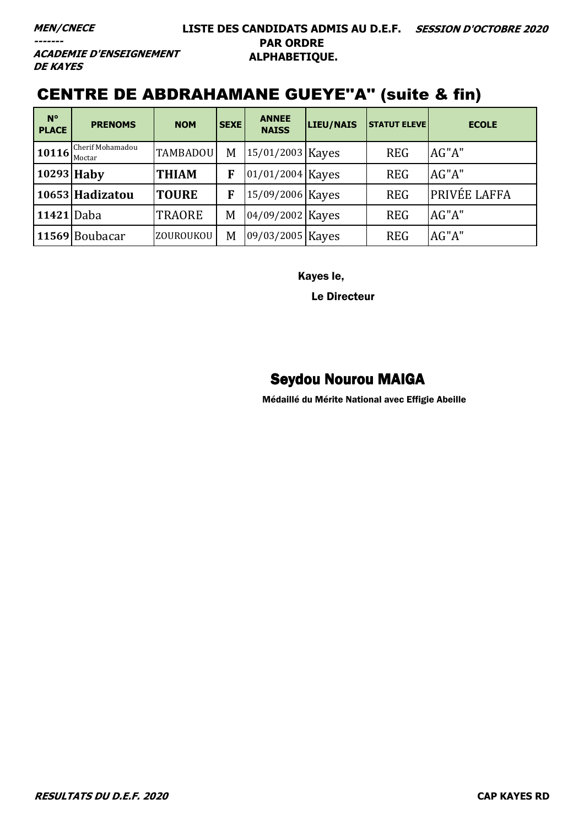**MEN/CNECE**

**-------**

#### **LISTE DES CANDIDATS ADMIS AU D.E.F. SESSION D'OCTOBRE 2020 PAR ORDRE ALPHABETIQUE.**

**ACADEMIE D'ENSEIGNEMENT DE KAYES** 

# CENTRE DE ABDRAHAMANE GUEYE''A'' (suite & fin)

| $N^{\circ}$<br><b>PLACE</b> | <b>PRENOMS</b>             | <b>NOM</b>      | <b>SEXE</b> | <b>ANNEE</b><br><b>NAISS</b> | LIEU/NAIS | <b>STATUT ELEVE</b> | <b>ECOLE</b>        |
|-----------------------------|----------------------------|-----------------|-------------|------------------------------|-----------|---------------------|---------------------|
| 10116                       | Cherif Mohamadou<br>Moctar | <b>TAMBADOU</b> | M           | 15/01/2003 Kayes             |           | <b>REG</b>          | AG"A"               |
| 10293 Haby                  |                            | <b>THIAM</b>    | F           | 01/01/2004 Kayes             |           | <b>REG</b>          | AG"A"               |
|                             | 10653 Hadizatou            | <b>TOURE</b>    | F           | 15/09/2006 Kayes             |           | <b>REG</b>          | <b>PRIVÉE LAFFA</b> |
| 11421 Daba                  |                            | <b>TRAORE</b>   | M           | 04/09/2002 Kayes             |           | <b>REG</b>          | AG"A"               |
|                             | 11569 Boubacar             | ZOUROUKOU       | M           | 09/03/2005 Kayes             |           | <b>REG</b>          | AG"A"               |

Kayes le,

Le Directeur

### Seydou Nourou MAIGA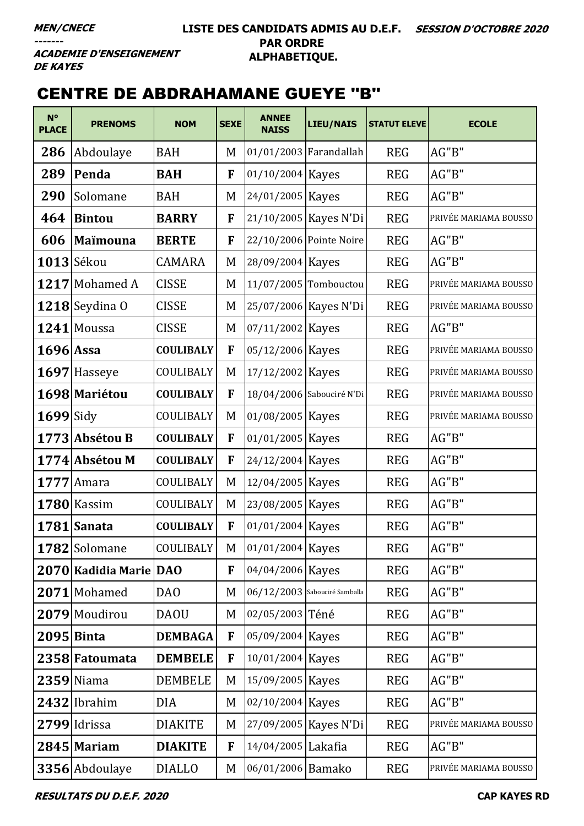**ACADEMIE D'ENSEIGNEMENT DE KAYES** 

# CENTRE DE ABDRAHAMANE GUEYE ''B''

| $N^{\circ}$<br><b>PLACE</b> | <b>PRENOMS</b>         | <b>NOM</b>       | <b>SEXE</b> | <b>ANNEE</b><br><b>NAISS</b> | <b>LIEU/NAIS</b>              | <b>STATUT ELEVE</b> | <b>ECOLE</b>          |
|-----------------------------|------------------------|------------------|-------------|------------------------------|-------------------------------|---------------------|-----------------------|
| 286                         | Abdoulaye              | <b>BAH</b>       | M           |                              | 01/01/2003 Farandallah        | <b>REG</b>          | AG"B"                 |
| 289                         | Penda                  | <b>BAH</b>       | F           | 01/10/2004 Kayes             |                               | <b>REG</b>          | AG"B"                 |
| 290                         | Solomane               | <b>BAH</b>       | M           | 24/01/2005 Kayes             |                               | <b>REG</b>          | AG"B"                 |
| 464                         | <b>Bintou</b>          | <b>BARRY</b>     | F           |                              | 21/10/2005   Kayes N'Di       | <b>REG</b>          | PRIVÉE MARIAMA BOUSSO |
| 606                         | Maïmouna               | <b>BERTE</b>     | F           |                              | 22/10/2006 Pointe Noire       | <b>REG</b>          | AG"B"                 |
|                             | $1013$ Sékou           | <b>CAMARA</b>    | M           | 28/09/2004 Kayes             |                               | <b>REG</b>          | AG"B"                 |
|                             | 1217 Mohamed A         | <b>CISSE</b>     | M           |                              | 11/07/2005 Tombouctou         | <b>REG</b>          | PRIVÉE MARIAMA BOUSSO |
|                             | $1218$ Seydina O       | <b>CISSE</b>     | M           |                              | 25/07/2006 Kayes N'Di         | <b>REG</b>          | PRIVÉE MARIAMA BOUSSO |
|                             | $1241$ Moussa          | <b>CISSE</b>     | M           | 07/11/2002 Kayes             |                               | <b>REG</b>          | AG"B"                 |
| 1696 Assa                   |                        | <b>COULIBALY</b> | F           | 05/12/2006 Kayes             |                               | <b>REG</b>          | PRIVÉE MARIAMA BOUSSO |
|                             | 1697 Hasseye           | COULIBALY        | M           | 17/12/2002 Kayes             |                               | <b>REG</b>          | PRIVÉE MARIAMA BOUSSO |
|                             | 1698 Mariétou          | <b>COULIBALY</b> | F           |                              | 18/04/2006 Sabouciré N'Di     | <b>REG</b>          | PRIVÉE MARIAMA BOUSSO |
| $1699$ Sidy                 |                        | COULIBALY        | M           | 01/08/2005 Kayes             |                               | <b>REG</b>          | PRIVÉE MARIAMA BOUSSO |
|                             | 1773 Absétou B         | <b>COULIBALY</b> | F           | 01/01/2005 Kayes             |                               | <b>REG</b>          | AG"B"                 |
|                             | 1774 Absétou M         | <b>COULIBALY</b> | F           | 24/12/2004 Kayes             |                               | <b>REG</b>          | AG"B"                 |
| 1777                        | Amara                  | COULIBALY        | M           | 12/04/2005 Kayes             |                               | <b>REG</b>          | AG"B"                 |
|                             | 1780 Kassim            | COULIBALY        | M           | 23/08/2005 Kayes             |                               | <b>REG</b>          | AG"B"                 |
|                             | 1781 Sanata            | <b>COULIBALY</b> | F           | 01/01/2004   Kayes           |                               | <b>REG</b>          | AG"B"                 |
|                             | 1782 Solomane          | <b>COULIBALY</b> |             | M 01/01/2004 Kayes           |                               | <b>REG</b>          | AG"B"                 |
|                             | 2070 Kadidia Marie DAO |                  | F           | 04/04/2006 Kayes             |                               | <b>REG</b>          | AG"B"                 |
|                             | 2071 Mohamed           | DA <sub>O</sub>  | M           |                              | 06/12/2003 Sabouciré Samballa | <b>REG</b>          | AG"B"                 |
|                             | 2079 Moudirou          | <b>DAOU</b>      | M           | 02/05/2003 Téné              |                               | <b>REG</b>          | AG"B"                 |
|                             | 2095 Binta             | <b>DEMBAGA</b>   | F           | 05/09/2004 Kayes             |                               | <b>REG</b>          | AG"B"                 |
|                             | 2358 Fatoumata         | <b>DEMBELE</b>   | F           | 10/01/2004 Kayes             |                               | <b>REG</b>          | AG"B"                 |
|                             | $2359$ Niama           | <b>DEMBELE</b>   | M           | 15/09/2005   Kayes           |                               | <b>REG</b>          | AG''B''               |
|                             | 2432 Ibrahim           | <b>DIA</b>       | M           | 02/10/2004 Kayes             |                               | <b>REG</b>          | AG"B"                 |
|                             | 2799 Idrissa           | <b>DIAKITE</b>   | M           |                              | 27/09/2005   Kayes N'Di       | <b>REG</b>          | PRIVÉE MARIAMA BOUSSO |
|                             | $2845$ Mariam          | <b>DIAKITE</b>   | F           | 14/04/2005 Lakafia           |                               | <b>REG</b>          | AG"B"                 |
|                             | 3356 Abdoulaye         | <b>DIALLO</b>    | M           | 06/01/2006 Bamako            |                               | <b>REG</b>          | PRIVÉE MARIAMA BOUSSO |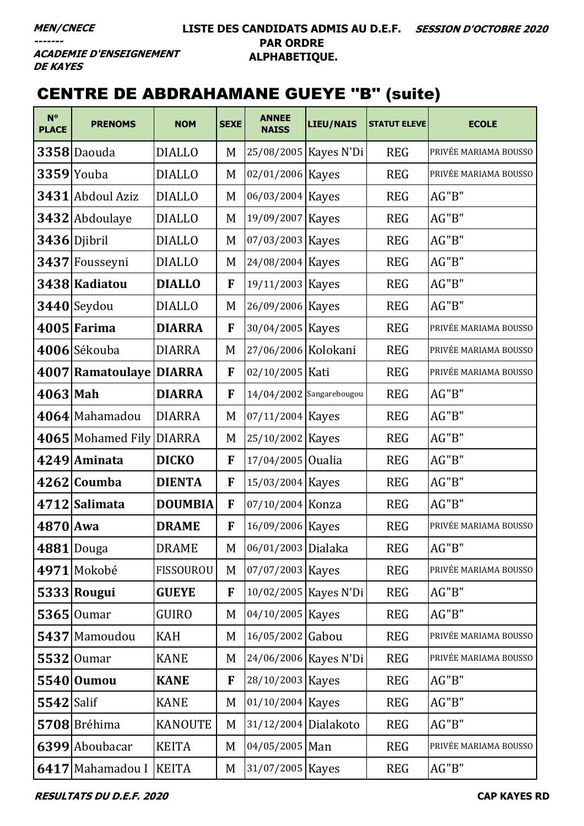#### **LISTE DES CANDIDATS ADMIS AU D.E.F. SESSION D'OCTOBRE 2020 PAR ORDRE ALPHABETIQUE.**

**ACADEMIE D'ENSEIGNEMENT DE KAYES** 

# CENTRE DE ABDRAHAMANE GUEYE ''B'' (suite)

| $N^{\circ}$<br><b>PLACE</b> | <b>PRENOMS</b>           | <b>NOM</b>       | <b>SEXE</b> | <b>ANNEE</b><br><b>NAISS</b> | <b>LIEU/NAIS</b>      | <b>STATUT ELEVE</b> | <b>ECOLE</b>          |
|-----------------------------|--------------------------|------------------|-------------|------------------------------|-----------------------|---------------------|-----------------------|
|                             | 3358 Daouda              | <b>DIALLO</b>    | M           |                              | 25/08/2005 Kayes N'Di | <b>REG</b>          | PRIVÉE MARIAMA BOUSSO |
|                             | $3359$ Youba             | <b>DIALLO</b>    | M           | 02/01/2006 Kayes             |                       | <b>REG</b>          | PRIVÉE MARIAMA BOUSSO |
|                             | 3431 Abdoul Aziz         | <b>DIALLO</b>    | M           | 06/03/2004 Kayes             |                       | <b>REG</b>          | AG"B"                 |
|                             | 3432 Abdoulaye           | <b>DIALLO</b>    | M           | 19/09/2007 Kayes             |                       | <b>REG</b>          | AG"B"                 |
|                             | 3436 Djibril             | <b>DIALLO</b>    | M           | 07/03/2003 Kayes             |                       | <b>REG</b>          | AG"B"                 |
|                             | 3437 Fousseyni           | <b>DIALLO</b>    | M           | 24/08/2004 Kayes             |                       | <b>REG</b>          | AG"B"                 |
|                             | 3438 Kadiatou            | <b>DIALLO</b>    | F           | 19/11/2003 Kayes             |                       | <b>REG</b>          | AG"B"                 |
|                             | 3440 Seydou              | <b>DIALLO</b>    | M           | 26/09/2006 Kayes             |                       | <b>REG</b>          | AG"B"                 |
|                             | 4005 Farima              | <b>DIARRA</b>    | F           | 30/04/2005 Kayes             |                       | <b>REG</b>          | PRIVÉE MARIAMA BOUSSO |
|                             | 4006 Sékouba             | <b>DIARRA</b>    | M           | 27/06/2006 Kolokani          |                       | <b>REG</b>          | PRIVÉE MARIAMA BOUSSO |
|                             | 4007 Ramatoulaye DIARRA  |                  | F           | 02/10/2005 Kati              |                       | <b>REG</b>          | PRIVÉE MARIAMA BOUSSO |
| 4063 Mah                    |                          | <b>DIARRA</b>    | F           | 14/04/2002 Sangarebougou     |                       | <b>REG</b>          | AG"B"                 |
|                             | 4064 Mahamadou           | <b>DIARRA</b>    | M           | 07/11/2004 Kayes             |                       | <b>REG</b>          | AG"B"                 |
|                             | 4065 Mohamed Fily DIARRA |                  | M           | 25/10/2002 Kayes             |                       | <b>REG</b>          | AG"B"                 |
|                             | 4249 Aminata             | <b>DICKO</b>     | F           | 17/04/2005 Oualia            |                       | <b>REG</b>          | AG"B"                 |
|                             | 4262 Coumba              | <b>DIENTA</b>    | F           | 15/03/2004 Kayes             |                       | <b>REG</b>          | AG"B"                 |
|                             | 4712 Salimata            | <b>DOUMBIA</b>   | F           | 07/10/2004 Konza             |                       | <b>REG</b>          | AG"B"                 |
| 4870 Awa                    |                          | <b>DRAME</b>     | F           | 16/09/2006 Kayes             |                       | <b>REG</b>          | PRIVÉE MARIAMA BOUSSO |
|                             | $4881$ Douga             | <b>DRAME</b>     | $M_{\odot}$ | 06/01/2003 Dialaka           |                       | <b>REG</b>          | AG"B"                 |
|                             | 4971 Mokobé              | <b>FISSOUROU</b> | M           | 07/07/2003 Kayes             |                       | <b>REG</b>          | PRIVÉE MARIAMA BOUSSO |
|                             | 5333 Rougui              | <b>GUEYE</b>     | F           |                              | 10/02/2005 Kayes N'Di | <b>REG</b>          | AG"B"                 |
|                             | $5365$   Oumar           | <b>GUIRO</b>     | M           | 04/10/2005 Kayes             |                       | <b>REG</b>          | AG"B"                 |
|                             | 5437 Mamoudou            | <b>KAH</b>       | M           | 16/05/2002 Gabou             |                       | <b>REG</b>          | PRIVÉE MARIAMA BOUSSO |
|                             | 5532 Oumar               | <b>KANE</b>      | M           |                              | 24/06/2006 Kayes N'Di | <b>REG</b>          | PRIVÉE MARIAMA BOUSSO |
|                             | 5540 Oumou               | <b>KANE</b>      | F           | 28/10/2003 Kayes             |                       | <b>REG</b>          | AG"B"                 |
| $5542$ Salif                |                          | <b>KANE</b>      | M           | 01/10/2004 Kayes             |                       | <b>REG</b>          | AG"B"                 |
|                             | 5708 Bréhima             | <b>KANOUTE</b>   | M           | 31/12/2004 Dialakoto         |                       | <b>REG</b>          | AG"B"                 |
|                             | 6399 Aboubacar           | <b>KEITA</b>     | M           | 04/05/2005 Man               |                       | <b>REG</b>          | PRIVÉE MARIAMA BOUSSO |
|                             | 6417 Mahamadou I         | <b>KEITA</b>     | M           | 31/07/2005 Kayes             |                       | <b>REG</b>          | AG"B"                 |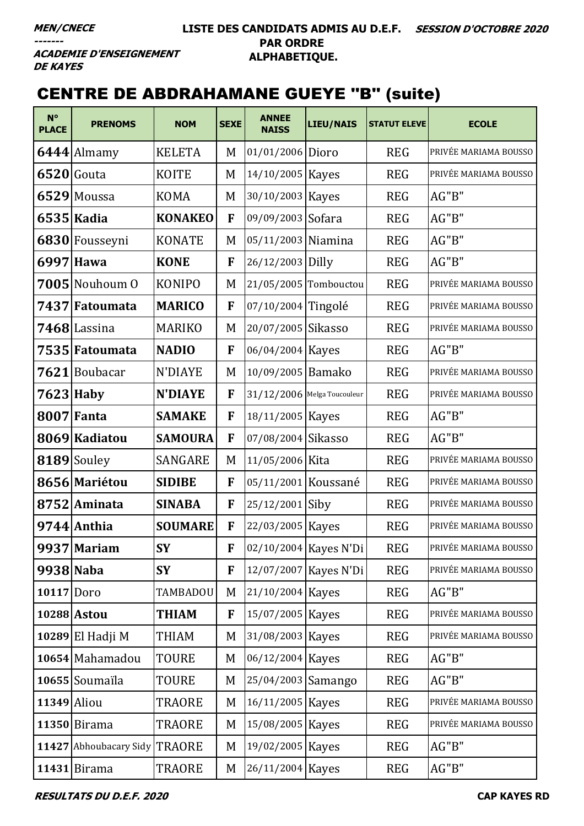#### LISTE DES CANDIDATS ADMIS AU D.E.F. SESSION D'OCTOBRE 2020 **PAR ORDRE** ALPHABETIQUE.

**ACADEMIE D'ENSEIGNEMENT DE KAYES** 

# **CENTRE DE ABDRAHAMANE GUEYE "B" (suite)**

| $N^{\circ}$<br><b>PLACE</b> | <b>PRENOMS</b>         | <b>NOM</b>     | <b>SEXE</b> | <b>ANNEE</b><br><b>NAISS</b> | <b>LIEU/NAIS</b>      | <b>STATUT ELEVE</b> | <b>ECOLE</b>          |
|-----------------------------|------------------------|----------------|-------------|------------------------------|-----------------------|---------------------|-----------------------|
|                             | $6444$  Almamy         | <b>KELETA</b>  | M           | 01/01/2006 Dioro             |                       | <b>REG</b>          | PRIVÉE MARIAMA BOUSSO |
|                             | $6520$ Gouta           | <b>KOITE</b>   | M           | 14/10/2005 Kayes             |                       | <b>REG</b>          | PRIVÉE MARIAMA BOUSSO |
|                             | 6529 Moussa            | <b>KOMA</b>    | M           | 30/10/2003 Kayes             |                       | <b>REG</b>          | AG"B"                 |
|                             | 6535 Kadia             | <b>KONAKEO</b> | F           | 09/09/2003 Sofara            |                       | <b>REG</b>          | AG"B"                 |
|                             | 6830 Fousseyni         | <b>KONATE</b>  | M           | 05/11/2003 Niamina           |                       | <b>REG</b>          | AG"B"                 |
| 6997                        | Hawa                   | <b>KONE</b>    | F           | 26/12/2003 Dilly             |                       | <b>REG</b>          | AG"B"                 |
|                             | 7005 Nouhoum 0         | <b>KONIPO</b>  | M           | 21/05/2005 Tombouctou        |                       | <b>REG</b>          | PRIVÉE MARIAMA BOUSSO |
|                             | 7437 Fatoumata         | <b>MARICO</b>  | F           | 07/10/2004 Tingolé           |                       | <b>REG</b>          | PRIVÉE MARIAMA BOUSSO |
|                             | 7468 Lassina           | <b>MARIKO</b>  | M           | 20/07/2005 Sikasso           |                       | <b>REG</b>          | PRIVÉE MARIAMA BOUSSO |
|                             | 7535 Fatoumata         | <b>NADIO</b>   | F           | 06/04/2004 Kayes             |                       | <b>REG</b>          | AG"B"                 |
|                             | 7621 Boubacar          | N'DIAYE        | M           | 10/09/2005 Bamako            |                       | <b>REG</b>          | PRIVÉE MARIAMA BOUSSO |
|                             | $7623$ Haby            | <b>N'DIAYE</b> | F           | 31/12/2006 Melga Toucouleur  |                       | <b>REG</b>          | PRIVÉE MARIAMA BOUSSO |
|                             | <b>8007 Fanta</b>      | <b>SAMAKE</b>  | F           | 18/11/2005 Kayes             |                       | <b>REG</b>          | AG"B"                 |
|                             | 8069 Kadiatou          | <b>SAMOURA</b> | F           | 07/08/2004 Sikasso           |                       | <b>REG</b>          | AG"B"                 |
|                             | 8189 Souley            | <b>SANGARE</b> | M           | 11/05/2006 Kita              |                       | <b>REG</b>          | PRIVÉE MARIAMA BOUSSO |
|                             | 8656 Mariétou          | <b>SIDIBE</b>  | F           | 05/11/2001 Koussané          |                       | <b>REG</b>          | PRIVÉE MARIAMA BOUSSO |
|                             | 8752 Aminata           | <b>SINABA</b>  | F           | 25/12/2001 Siby              |                       | <b>REG</b>          | PRIVÉE MARIAMA BOUSSO |
|                             | 9744 Anthia            | <b>SOUMARE</b> | F           | 22/03/2005   Kayes           |                       | <b>REG</b>          | PRIVÉE MARIAMA BOUSSO |
|                             | 9937 Mariam            | <b>SY</b>      | F           |                              | 02/10/2004 Kayes N'Di | <b>REG</b>          | PRIVÉE MARIAMA BOUSSO |
| 9938 Naba                   |                        | <b>SY</b>      | F           | 12/07/2007 Kayes N'Di        |                       | <b>REG</b>          | PRIVÉE MARIAMA BOUSSO |
| 10117 Doro                  |                        | TAMBADOU       | M           | 21/10/2004 Kayes             |                       | <b>REG</b>          | AG"B"                 |
|                             | 10288 Astou            | <b>THIAM</b>   | F           | 15/07/2005 Kayes             |                       | <b>REG</b>          | PRIVÉE MARIAMA BOUSSO |
|                             | $10289$  El Hadji M    | THIAM          | M           | 31/08/2003 Kayes             |                       | <b>REG</b>          | PRIVÉE MARIAMA BOUSSO |
|                             | 10654 Mahamadou        | <b>TOURE</b>   | M           | 06/12/2004 Kayes             |                       | <b>REG</b>          | AG"B"                 |
|                             | 10655 Soumaïla         | TOURE          | M           | 25/04/2003 Samango           |                       | <b>REG</b>          | AG"B"                 |
| $11349$ Aliou               |                        | TRAORE         | M           | 16/11/2005 Kayes             |                       | <b>REG</b>          | PRIVÉE MARIAMA BOUSSO |
|                             | $11350$  Birama        | <b>TRAORE</b>  | M           | 15/08/2005 Kayes             |                       | <b>REG</b>          | PRIVÉE MARIAMA BOUSSO |
|                             | 11427 Abhoubacary Sidy | <b>TRAORE</b>  | M           | 19/02/2005 Kayes             |                       | <b>REG</b>          | AG"B"                 |
|                             | $11431$ Birama         | TRAORE         | M           | 26/11/2004 Kayes             |                       | <b>REG</b>          | AG"B"                 |

**RESULTATS DU D.E.F. 2020**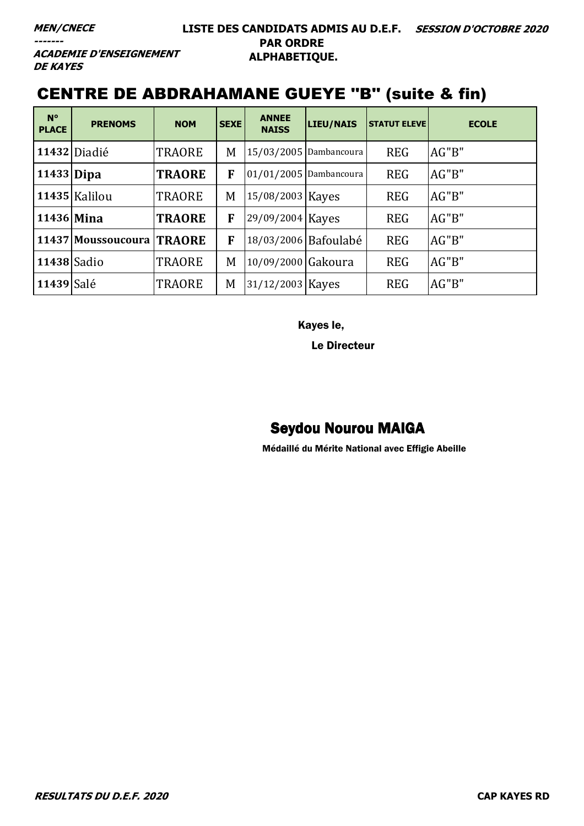**ACADEMIE D'ENSEIGNEMENT DE KAYES** 

# CENTRE DE ABDRAHAMANE GUEYE ''B'' (suite & fin)

| $N^{\circ}$<br><b>PLACE</b> | <b>PRENOMS</b>     | <b>NOM</b>    | <b>SEXE</b> | <b>ANNEE</b><br><b>NAISS</b> | LIEU/NAIS              | <b>STATUT ELEVE</b> | <b>ECOLE</b> |
|-----------------------------|--------------------|---------------|-------------|------------------------------|------------------------|---------------------|--------------|
|                             | 11432 Diadié       | <b>TRAORE</b> | M           |                              | 15/03/2005 Dambancoura | <b>REG</b>          | AG''B''      |
| 11433 Dipa                  |                    | <b>TRAORE</b> | F           | 01/01/2005 Dambancoura       |                        | <b>REG</b>          | AG"B"        |
|                             | 11435 Kalilou      | <b>TRAORE</b> | M           | 15/08/2003 Kayes             |                        | <b>REG</b>          | AG''B''      |
| 11436 Mina                  |                    | <b>TRAORE</b> | F           | 29/09/2004 Kayes             |                        | <b>REG</b>          | AG"B"        |
|                             | 11437 Moussoucoura | <b>TRAORE</b> | F           |                              | 18/03/2006 Bafoulabé   | <b>REG</b>          | AG"B"        |
| 11438 Sadio                 |                    | <b>TRAORE</b> | M           | 10/09/2000 Gakoura           |                        | <b>REG</b>          | AG''B''      |
| 11439 Salé                  |                    | <b>TRAORE</b> | M           | 31/12/2003 Kayes             |                        | <b>REG</b>          | AG"B"        |

Kayes le,

Le Directeur

### Seydou Nourou MAIGA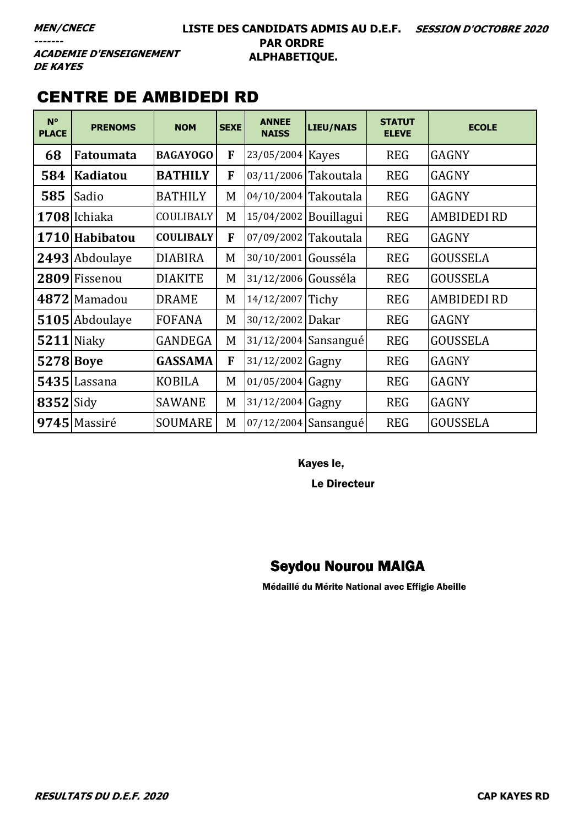#### **LISTE DES CANDIDATS ADMIS AU D.E.F. SESSION D'OCTOBRE 2020 PAR ORDRE ALPHABETIQUE.**

**ACADEMIE D'ENSEIGNEMENT DE KAYES** 

### CENTRE DE AMBIDEDI RD

| $N^{\circ}$<br><b>PLACE</b> | <b>PRENOMS</b>  | <b>NOM</b>       | <b>SEXE</b> | <b>ANNEE</b><br><b>NAISS</b> | <b>LIEU/NAIS</b>       | <b>STATUT</b><br><b>ELEVE</b> | <b>ECOLE</b>       |
|-----------------------------|-----------------|------------------|-------------|------------------------------|------------------------|-------------------------------|--------------------|
| 68                          | Fatoumata       | <b>BAGAYOGO</b>  | F           | 23/05/2004 Kayes             |                        | <b>REG</b>                    | <b>GAGNY</b>       |
| 584                         | <b>Kadiatou</b> | <b>BATHILY</b>   | F           | 03/11/2006 Takoutala         |                        | <b>REG</b>                    | <b>GAGNY</b>       |
| 585                         | Sadio           | <b>BATHILY</b>   | M           | 04/10/2004 Takoutala         |                        | <b>REG</b>                    | <b>GAGNY</b>       |
|                             | 1708 Ichiaka    | COULIBALY        | M           | 15/04/2002 Bouillagui        |                        | <b>REG</b>                    | <b>AMBIDEDI RD</b> |
|                             | 1710 Habibatou  | <b>COULIBALY</b> | F           | 07/09/2002 Takoutala         |                        | <b>REG</b>                    | <b>GAGNY</b>       |
|                             | 2493 Abdoulaye  | <b>DIABIRA</b>   | M           | 30/10/2001 Gousséla          |                        | <b>REG</b>                    | <b>GOUSSELA</b>    |
|                             | 2809 Fissenou   | <b>DIAKITE</b>   | M           | 31/12/2006 Gousséla          |                        | <b>REG</b>                    | <b>GOUSSELA</b>    |
|                             | 4872 Mamadou    | <b>DRAME</b>     | M           | 14/12/2007 Tichy             |                        | <b>REG</b>                    | <b>AMBIDEDI RD</b> |
|                             | 5105 Abdoulaye  | <b>FOFANA</b>    | M           | 30/12/2002 Dakar             |                        | <b>REG</b>                    | <b>GAGNY</b>       |
|                             | $5211$  Niaky   | GANDEGA          | M           |                              | $31/12/2004$ Sansangué | <b>REG</b>                    | <b>GOUSSELA</b>    |
| 5278 Boye                   |                 | <b>GASSAMA</b>   | F           | 31/12/2002 Gagny             |                        | <b>REG</b>                    | <b>GAGNY</b>       |
|                             | 5435 Lassana    | <b>KOBILA</b>    | M           | 01/05/2004 Gagny             |                        | <b>REG</b>                    | <b>GAGNY</b>       |
| $8352$ Sidy                 |                 | <b>SAWANE</b>    | M           | 31/12/2004 Gagny             |                        | <b>REG</b>                    | <b>GAGNY</b>       |
|                             | 9745 Massiré    | <b>SOUMARE</b>   | M           |                              | 07/12/2004 Sansangué   | <b>REG</b>                    | <b>GOUSSELA</b>    |

Kayes le,

Le Directeur

### Seydou Nourou MAIGA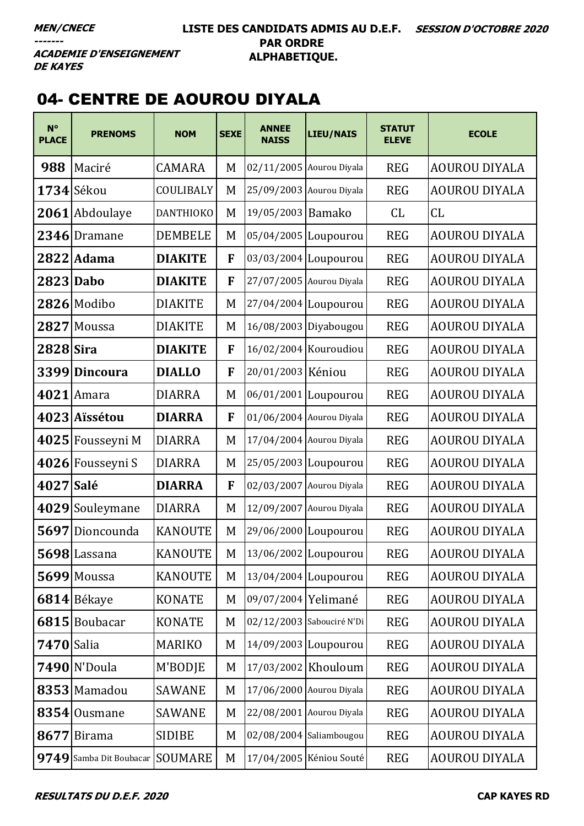#### **LISTE DES CANDIDATS ADMIS AU D.E.F. SESSION D'OCTOBRE 2020 PAR ORDRE ALPHABETIQUE.**

**ACADEMIE D'ENSEIGNEMENT DE KAYES** 

## 04- CENTRE DE AOUROU DIYALA

| $N^{\circ}$<br><b>PLACE</b> | <b>PRENOMS</b>             | <b>NOM</b>       | <b>SEXE</b> | <b>ANNEE</b><br><b>NAISS</b> | <b>LIEU/NAIS</b>          | <b>STATUT</b><br><b>ELEVE</b> | <b>ECOLE</b>         |
|-----------------------------|----------------------------|------------------|-------------|------------------------------|---------------------------|-------------------------------|----------------------|
| 988                         | Maciré                     | CAMARA           | M           | 02/11/2005 Aourou Diyala     |                           | <b>REG</b>                    | <b>AOUROU DIYALA</b> |
|                             | 1734 Sékou                 | COULIBALY        | M           |                              | 25/09/2003 Aourou Diyala  | <b>REG</b>                    | <b>AOUROU DIYALA</b> |
|                             | 2061 Abdoulaye             | <b>DANTHIOKO</b> | M           | 19/05/2003 Bamako            |                           | CL                            | CL                   |
|                             | 2346 Dramane               | <b>DEMBELE</b>   | M           |                              | 05/04/2005 Loupourou      | <b>REG</b>                    | <b>AOUROU DIYALA</b> |
|                             | 2822 Adama                 | <b>DIAKITE</b>   | F           | 03/03/2004 Loupourou         |                           | <b>REG</b>                    | <b>AOUROU DIYALA</b> |
| 2823 Dabo                   |                            | <b>DIAKITE</b>   | F           | 27/07/2005 Aourou Diyala     |                           | <b>REG</b>                    | <b>AOUROU DIYALA</b> |
|                             | 2826 Modibo                | <b>DIAKITE</b>   | M           |                              | 27/04/2004 Loupourou      | <b>REG</b>                    | <b>AOUROU DIYALA</b> |
| 2827                        | Moussa                     | <b>DIAKITE</b>   | M           |                              | 16/08/2003 Diyabougou     | <b>REG</b>                    | <b>AOUROU DIYALA</b> |
| 2828 Sira                   |                            | <b>DIAKITE</b>   | F           |                              | 16/02/2004 Kouroudiou     | <b>REG</b>                    | <b>AOUROU DIYALA</b> |
|                             | 3399 Dincoura              | <b>DIALLO</b>    | F           | 20/01/2003 Kéniou            |                           | <b>REG</b>                    | <b>AOUROU DIYALA</b> |
|                             | $4021$ Amara               | <b>DIARRA</b>    | M           |                              | 06/01/2001 Loupourou      | <b>REG</b>                    | <b>AOUROU DIYALA</b> |
|                             | 4023 Aïssétou              | <b>DIARRA</b>    | F           | 01/06/2004 Aourou Diyala     |                           | <b>REG</b>                    | <b>AOUROU DIYALA</b> |
|                             | 4025 Fousseyni M           | <b>DIARRA</b>    | M           |                              | 17/04/2004 Aourou Diyala  | <b>REG</b>                    | <b>AOUROU DIYALA</b> |
|                             | 4026 Fousseyni S           | <b>DIARRA</b>    | M           | 25/05/2003 Loupourou         |                           | <b>REG</b>                    | <b>AOUROU DIYALA</b> |
| 4027 Salé                   |                            | <b>DIARRA</b>    | F           |                              | 02/03/2007 Aourou Diyala  | <b>REG</b>                    | <b>AOUROU DIYALA</b> |
|                             | 4029 Souleymane            | <b>DIARRA</b>    | M           |                              | 12/09/2007 Aourou Diyala  | <b>REG</b>                    | AOUROU DIYALA        |
|                             | 5697 Dioncounda            | <b>KANOUTE</b>   | M           |                              | 29/06/2000 Loupourou      | <b>REG</b>                    | <b>AOUROU DIYALA</b> |
|                             | 5698 Lassana               | <b>KANOUTE</b>   | M           | 13/06/2002 Loupourou         |                           | <b>REG</b>                    | <b>AOUROU DIYALA</b> |
|                             | 5699 Moussa                | <b>KANOUTE</b>   | M           | 13/04/2004 Loupourou         |                           | <b>REG</b>                    | <b>AOUROU DIYALA</b> |
|                             | 6814 Békaye                | <b>KONATE</b>    | M           | 09/07/2004 Yelimané          |                           | <b>REG</b>                    | <b>AOUROU DIYALA</b> |
|                             | 6815 Boubacar              | <b>KONATE</b>    | M           |                              | 02/12/2003 Sabouciré N'Di | <b>REG</b>                    | <b>AOUROU DIYALA</b> |
| <b>7470</b> Salia           |                            | <b>MARIKO</b>    | M           |                              | 14/09/2003 Loupourou      | <b>REG</b>                    | <b>AOUROU DIYALA</b> |
|                             | 7490 N'Doula               | M'BODJE          | M           |                              | 17/03/2002 Khouloum       | <b>REG</b>                    | <b>AOUROU DIYALA</b> |
|                             | 8353 Mamadou               | <b>SAWANE</b>    | M           |                              | 17/06/2000 Aourou Diyala  | <b>REG</b>                    | <b>AOUROU DIYALA</b> |
|                             | 8354 Ousmane               | <b>SAWANE</b>    | M           |                              | 22/08/2001 Aourou Diyala  | <b>REG</b>                    | <b>AOUROU DIYALA</b> |
| 8677                        | <b>Birama</b>              | <b>SIDIBE</b>    | M           |                              | 02/08/2004 Saliambougou   | <b>REG</b>                    | <b>AOUROU DIYALA</b> |
| 9749                        | Samba Dit Boubacar SOUMARE |                  | M           |                              | 17/04/2005 Kéniou Souté   | <b>REG</b>                    | AOUROU DIYALA        |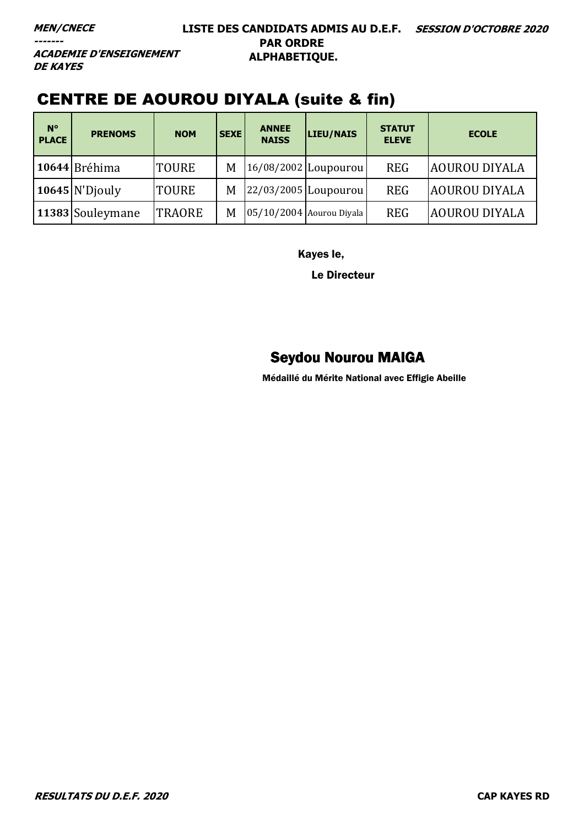**ACADEMIE D'ENSEIGNEMENT DE KAYES** 

# CENTRE DE AOUROU DIYALA (suite & fin)

| $N^{\circ}$<br><b>PLACE</b> | <b>PRENOMS</b>   | <b>NOM</b>    | <b>SEXE</b> | <b>ANNEE</b><br><b>NAISS</b> | LIEU/NAIS                | <b>STATUT</b><br><b>ELEVE</b> | <b>ECOLE</b>         |
|-----------------------------|------------------|---------------|-------------|------------------------------|--------------------------|-------------------------------|----------------------|
|                             | 10644 Bréhima    | <b>TOURE</b>  | M           |                              | $16/08/2002$ Loupourou   | <b>REG</b>                    | <b>AOUROU DIYALA</b> |
|                             | $10645$ N'Djouly | <b>TOURE</b>  | M           |                              | $22/03/2005$ Loupourou   | <b>REG</b>                    | <b>AOUROU DIYALA</b> |
|                             | 11383 Souleymane | <b>TRAORE</b> | M           |                              | 05/10/2004 Aourou Diyala | <b>REG</b>                    | <b>AOUROU DIYALA</b> |

Kayes le,

Le Directeur

### Seydou Nourou MAIGA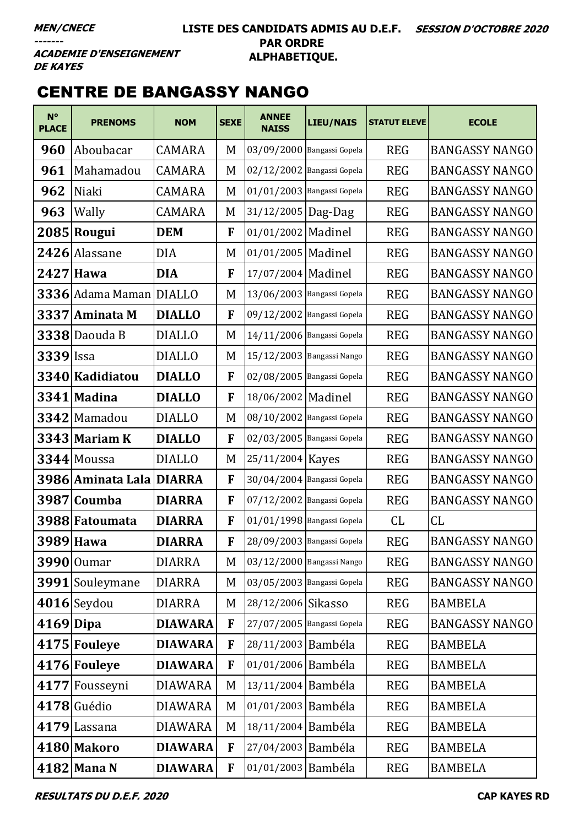#### **LISTE DES CANDIDATS ADMIS AU D.E.F. SESSION D'OCTOBRE 2020 PAR ORDRE ALPHABETIQUE.**

**ACADEMIE D'ENSEIGNEMENT DE KAYES** 

# CENTRE DE BANGASSY NANGO

| $N^{\circ}$<br><b>PLACE</b> | <b>PRENOMS</b>           | <b>NOM</b>     | <b>SEXE</b> | <b>ANNEE</b><br><b>NAISS</b> | <b>LIEU/NAIS</b>           | <b>STATUT ELEVE</b> | <b>ECOLE</b>          |
|-----------------------------|--------------------------|----------------|-------------|------------------------------|----------------------------|---------------------|-----------------------|
| 960                         | Aboubacar                | <b>CAMARA</b>  | M           | 03/09/2000 Bangassi Gopela   |                            | <b>REG</b>          | <b>BANGASSY NANGO</b> |
| 961                         | Mahamadou                | CAMARA         | M           | 02/12/2002 Bangassi Gopela   |                            | <b>REG</b>          | <b>BANGASSY NANGO</b> |
| 962                         | Niaki                    | <b>CAMARA</b>  | M           | 01/01/2003 Bangassi Gopela   |                            | <b>REG</b>          | <b>BANGASSY NANGO</b> |
| 963                         | Wally                    | <b>CAMARA</b>  | M           | 31/12/2005   Dag-Dag         |                            | <b>REG</b>          | <b>BANGASSY NANGO</b> |
|                             | 2085 Rougui              | <b>DEM</b>     | F           | 01/01/2002 Madinel           |                            | <b>REG</b>          | <b>BANGASSY NANGO</b> |
|                             | 2426 Alassane            | DIA            | M           | 01/01/2005   Madinel         |                            | <b>REG</b>          | <b>BANGASSY NANGO</b> |
|                             | 2427 Hawa                | <b>DIA</b>     | F           | 17/07/2004 Madinel           |                            | <b>REG</b>          | <b>BANGASSY NANGO</b> |
|                             | 3336 Adama Maman         | <b>DIALLO</b>  | M           | 13/06/2003 Bangassi Gopela   |                            | <b>REG</b>          | <b>BANGASSY NANGO</b> |
|                             | 3337 Aminata M           | <b>DIALLO</b>  | F           | 09/12/2002 Bangassi Gopela   |                            | <b>REG</b>          | <b>BANGASSY NANGO</b> |
|                             | 3338 Daouda B            | <b>DIALLO</b>  | M           | 14/11/2006 Bangassi Gopela   |                            | <b>REG</b>          | <b>BANGASSY NANGO</b> |
| 3339 Issa                   |                          | <b>DIALLO</b>  | M           | 15/12/2003 Bangassi Nango    |                            | <b>REG</b>          | <b>BANGASSY NANGO</b> |
|                             | 3340 Kadidiatou          | <b>DIALLO</b>  | F           |                              | 02/08/2005 Bangassi Gopela | <b>REG</b>          | <b>BANGASSY NANGO</b> |
|                             | 3341 Madina              | <b>DIALLO</b>  | F           | 18/06/2002   Madinel         |                            | <b>REG</b>          | <b>BANGASSY NANGO</b> |
|                             | 3342 Mamadou             | <b>DIALLO</b>  | M           | 08/10/2002 Bangassi Gopela   |                            | <b>REG</b>          | <b>BANGASSY NANGO</b> |
|                             | 3343 Mariam K            | <b>DIALLO</b>  | F           | 02/03/2005 Bangassi Gopela   |                            | <b>REG</b>          | <b>BANGASSY NANGO</b> |
|                             | 3344 Moussa              | <b>DIALLO</b>  | M           | 25/11/2004 Kayes             |                            | <b>REG</b>          | <b>BANGASSY NANGO</b> |
|                             | 3986 Aminata Lala DIARRA |                | F           | 30/04/2004 Bangassi Gopela   |                            | <b>REG</b>          | <b>BANGASSY NANGO</b> |
|                             | 3987 Coumba              | <b>DIARRA</b>  | F           | 07/12/2002 Bangassi Gopela   |                            | <b>REG</b>          | <b>BANGASSY NANGO</b> |
|                             | 3988 Fatoumata           | <b>DIARRA</b>  | F           | 01/01/1998 Bangassi Gopela   |                            | CL                  | CL                    |
|                             | 3989 Hawa                | <b>DIARRA</b>  | F           |                              | 28/09/2003 Bangassi Gopela | REG                 | <b>BANGASSY NANGO</b> |
|                             | 3990 Oumar               | <b>DIARRA</b>  | M           | 03/12/2000 Bangassi Nango    |                            | <b>REG</b>          | <b>BANGASSY NANGO</b> |
|                             | 3991 Souleymane          | <b>DIARRA</b>  | M           | 03/05/2003 Bangassi Gopela   |                            | <b>REG</b>          | <b>BANGASSY NANGO</b> |
|                             | $4016$ Seydou            | <b>DIARRA</b>  | M           | 28/12/2006 Sikasso           |                            | <b>REG</b>          | <b>BAMBELA</b>        |
| $4169$ Dipa                 |                          | <b>DIAWARA</b> | F           | 27/07/2005 Bangassi Gopela   |                            | <b>REG</b>          | <b>BANGASSY NANGO</b> |
|                             | 4175 Fouleye             | <b>DIAWARA</b> | F           | 28/11/2003 Bambéla           |                            | <b>REG</b>          | <b>BAMBELA</b>        |
|                             | 4176 Fouleye             | <b>DIAWARA</b> | F           | 01/01/2006 Bambéla           |                            | <b>REG</b>          | <b>BAMBELA</b>        |
|                             | 4177 Fousseyni           | <b>DIAWARA</b> | M           | 13/11/2004 Bambéla           |                            | <b>REG</b>          | <b>BAMBELA</b>        |
|                             | 4178 Guédio              | <b>DIAWARA</b> | M           | 01/01/2003 Bambéla           |                            | <b>REG</b>          | <b>BAMBELA</b>        |
|                             | 4179 Lassana             | <b>DIAWARA</b> | M           | 18/11/2004 Bambéla           |                            | <b>REG</b>          | <b>BAMBELA</b>        |
|                             | 4180 Makoro              | <b>DIAWARA</b> | F           | 27/04/2003 Bambéla           |                            | <b>REG</b>          | <b>BAMBELA</b>        |
|                             | $4182$ Mana N            | <b>DIAWARA</b> | F           | 01/01/2003 Bambéla           |                            | <b>REG</b>          | <b>BAMBELA</b>        |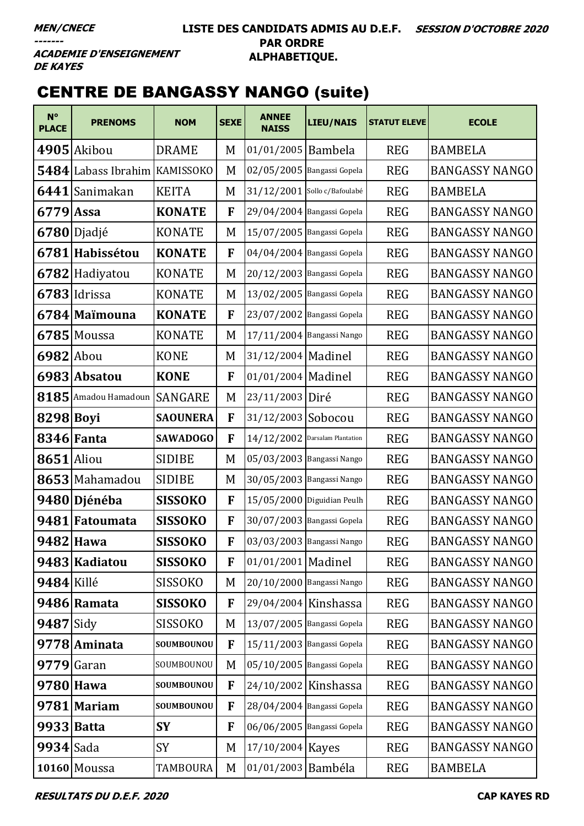#### **LISTE DES CANDIDATS ADMIS AU D.E.F. SESSION D'OCTOBRE 2020 PAR ORDRE ALPHABETIQUE.**

**ACADEMIE D'ENSEIGNEMENT DE KAYES** 

# CENTRE DE BANGASSY NANGO (suite)

| $N^{\circ}$<br><b>PLACE</b> | <b>PRENOMS</b>                | <b>NOM</b>      | <b>SEXE</b> | <b>ANNEE</b><br><b>NAISS</b>     | <b>LIEU/NAIS</b>           | <b>STATUT ELEVE</b> | <b>ECOLE</b>          |
|-----------------------------|-------------------------------|-----------------|-------------|----------------------------------|----------------------------|---------------------|-----------------------|
|                             | 4905 Akibou                   | <b>DRAME</b>    | M           | 01/01/2005 Bambela               |                            | <b>REG</b>          | <b>BAMBELA</b>        |
|                             | 5484 Labass Ibrahim KAMISSOKO |                 | M           | 02/05/2005 Bangassi Gopela       |                            | <b>REG</b>          | <b>BANGASSY NANGO</b> |
| 6441                        | Sanimakan                     | <b>KEITA</b>    | M           | 31/12/2001 Sollo c/Bafoulabé     |                            | <b>REG</b>          | <b>BAMBELA</b>        |
| $6779$ Assa                 |                               | <b>KONATE</b>   | F           |                                  | 29/04/2004 Bangassi Gopela | <b>REG</b>          | <b>BANGASSY NANGO</b> |
|                             | $6780$ Djadjé                 | <b>KONATE</b>   | M           | 15/07/2005 Bangassi Gopela       |                            | <b>REG</b>          | <b>BANGASSY NANGO</b> |
|                             | 6781 Habissétou               | <b>KONATE</b>   | F           | 04/04/2004 Bangassi Gopela       |                            | <b>REG</b>          | <b>BANGASSY NANGO</b> |
|                             | 6782 Hadiyatou                | KONATE          | M           | 20/12/2003 Bangassi Gopela       |                            | <b>REG</b>          | <b>BANGASSY NANGO</b> |
|                             | 6783 Idrissa                  | <b>KONATE</b>   | M           |                                  | 13/02/2005 Bangassi Gopela | <b>REG</b>          | <b>BANGASSY NANGO</b> |
|                             | 6784 Maïmouna                 | <b>KONATE</b>   | F           | 23/07/2002 Bangassi Gopela       |                            | <b>REG</b>          | <b>BANGASSY NANGO</b> |
|                             | 6785 Moussa                   | <b>KONATE</b>   | M           | 17/11/2004 Bangassi Nango        |                            | <b>REG</b>          | <b>BANGASSY NANGO</b> |
| 6982 Abou                   |                               | <b>KONE</b>     | M           | 31/12/2004   Madinel             |                            | <b>REG</b>          | <b>BANGASSY NANGO</b> |
|                             | 6983 Absatou                  | <b>KONE</b>     | F           | 01/01/2004 Madinel               |                            | <b>REG</b>          | <b>BANGASSY NANGO</b> |
|                             | 8185 Amadou Hamadoun SANGARE  |                 | M           | 23/11/2003 Diré                  |                            | <b>REG</b>          | <b>BANGASSY NANGO</b> |
| 8298 Boyi                   |                               | <b>SAOUNERA</b> | F           | 31/12/2003 Sobocou               |                            | <b>REG</b>          | <b>BANGASSY NANGO</b> |
|                             | <b>8346 Fanta</b>             | <b>SAWADOGO</b> | F           | $14/12/2002$ Darsalam Plantation |                            | <b>REG</b>          | <b>BANGASSY NANGO</b> |
| <b>8651</b> Aliou           |                               | <b>SIDIBE</b>   | M           | 05/03/2003 Bangassi Nango        |                            | <b>REG</b>          | <b>BANGASSY NANGO</b> |
|                             | 8653 Mahamadou                | <b>SIDIBE</b>   | M           | 30/05/2003 Bangassi Nango        |                            | <b>REG</b>          | <b>BANGASSY NANGO</b> |
|                             | 9480 Djénéba                  | <b>SISSOKO</b>  | F           |                                  | 15/05/2000 Diguidian Peulh | <b>REG</b>          | <b>BANGASSY NANGO</b> |
|                             | 9481 Fatoumata                | <b>SISSOKO</b>  | F           | 30/07/2003 Bangassi Gopela       |                            | <b>REG</b>          | <b>BANGASSY NANGO</b> |
|                             | 9482 Hawa                     | <b>SISSOKO</b>  | F           | 03/03/2003 Bangassi Nango        |                            | <b>REG</b>          | <b>BANGASSY NANGO</b> |
|                             | 9483 Kadiatou                 | <b>SISSOKO</b>  | F           | 01/01/2001 Madinel               |                            | <b>REG</b>          | <b>BANGASSY NANGO</b> |
| 9484 Killé                  |                               | <b>SISSOKO</b>  | M           | 20/10/2000 Bangassi Nango        |                            | <b>REG</b>          | <b>BANGASSY NANGO</b> |
|                             | 9486 Ramata                   | <b>SISSOKO</b>  | F           | 29/04/2004 Kinshassa             |                            | <b>REG</b>          | <b>BANGASSY NANGO</b> |
| $9487$ Sidy                 |                               | <b>SISSOKO</b>  | M           | 13/07/2005 Bangassi Gopela       |                            | <b>REG</b>          | <b>BANGASSY NANGO</b> |
|                             | 9778 Aminata                  | SOUMBOUNOU      | F           | 15/11/2003 Bangassi Gopela       |                            | <b>REG</b>          | <b>BANGASSY NANGO</b> |
|                             | $9779$ Garan                  | SOUMBOUNOU      | M           | 05/10/2005 Bangassi Gopela       |                            | <b>REG</b>          | <b>BANGASSY NANGO</b> |
|                             | 9780 Hawa                     | SOUMBOUNOU      | F           | 24/10/2002 Kinshassa             |                            | <b>REG</b>          | <b>BANGASSY NANGO</b> |
|                             | 9781 Mariam                   | SOUMBOUNOU      | F           | 28/04/2004 Bangassi Gopela       |                            | <b>REG</b>          | <b>BANGASSY NANGO</b> |
|                             | 9933 Batta                    | <b>SY</b>       | F           | 06/06/2005 Bangassi Gopela       |                            | <b>REG</b>          | <b>BANGASSY NANGO</b> |
| 9934 Sada                   |                               | SY              | M           | 17/10/2004 Kayes                 |                            | <b>REG</b>          | <b>BANGASSY NANGO</b> |
|                             | 10160 Moussa                  | TAMBOURA        | M           | 01/01/2003 Bambéla               |                            | <b>REG</b>          | <b>BAMBELA</b>        |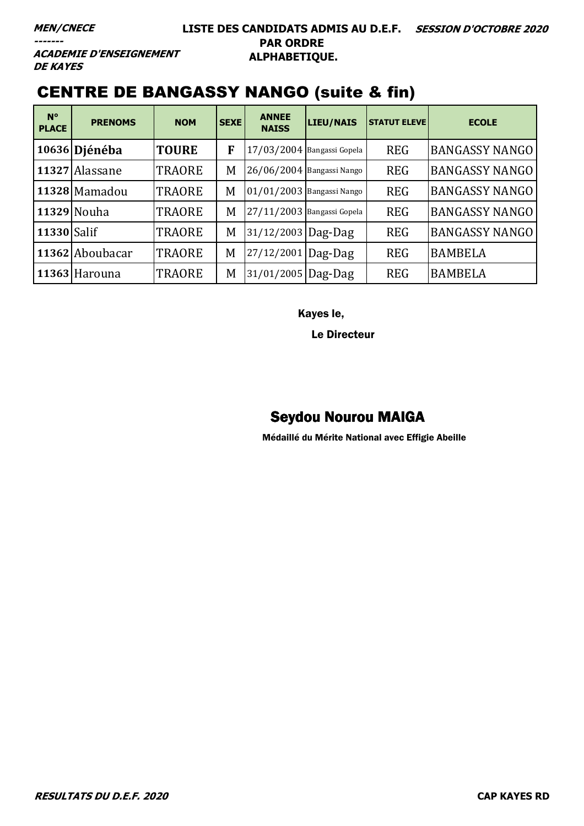#### **LISTE DES CANDIDATS ADMIS AU D.E.F. SESSION D'OCTOBRE 2020 PAR ORDRE ALPHABETIQUE.**

**ACADEMIE D'ENSEIGNEMENT DE KAYES** 

## CENTRE DE BANGASSY NANGO (suite & fin)

| $N^{\circ}$<br><b>PLACE</b> | <b>PRENOMS</b>  | <b>NOM</b>    | <b>SEXE</b> | <b>ANNEE</b><br><b>NAISS</b> | <b>LIEU/NAIS</b> | <b>STATUT ELEVE</b> | <b>ECOLE</b>          |
|-----------------------------|-----------------|---------------|-------------|------------------------------|------------------|---------------------|-----------------------|
|                             | 10636   Djénéba | <b>TOURE</b>  | F           | 17/03/2004 Bangassi Gopela   |                  | <b>REG</b>          | <b>BANGASSY NANGO</b> |
|                             | 11327 Alassane  | <b>TRAORE</b> | M           | 26/06/2004 Bangassi Nango    |                  | <b>REG</b>          | <b>BANGASSY NANGO</b> |
|                             | 11328 Mamadou   | <b>TRAORE</b> | M           | 01/01/2003 Bangassi Nango    |                  | <b>REG</b>          | <b>BANGASSY NANGO</b> |
|                             | 11329 Nouha     | <b>TRAORE</b> | M           | 27/11/2003 Bangassi Gopela   |                  | <b>REG</b>          | <b>BANGASSY NANGO</b> |
| 11330 Salif                 |                 | <b>TRAORE</b> | M           | 31/12/2003 Dag-Dag           |                  | <b>REG</b>          | <b>BANGASSY NANGO</b> |
|                             | 11362 Aboubacar | <b>TRAORE</b> | M           | 27/12/2001 Dag-Dag           |                  | <b>REG</b>          | <b>BAMBELA</b>        |
|                             | 11363 Harouna   | <b>TRAORE</b> | M           | 31/01/2005   Dag-Dag         |                  | <b>REG</b>          | <b>BAMBELA</b>        |

Kayes le,

Le Directeur

#### Seydou Nourou MAIGA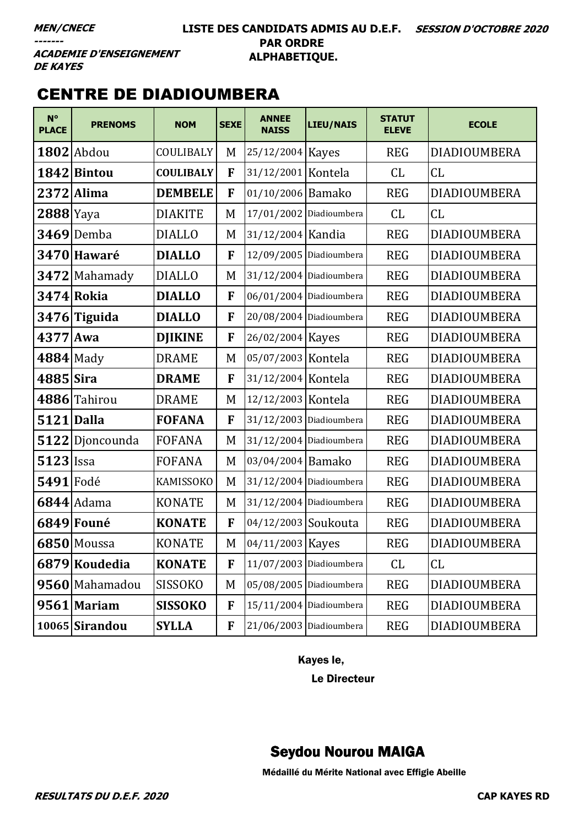#### LISTE DES CANDIDATS ADMIS AU D.E.F. SESSION D'OCTOBRE 2020 **PAR ORDRE** ALPHABETIQUE.

**ACADEMIE D'ENSEIGNEMENT DE KAYES** 

### **CENTRE DE DIADIOUMBERA**

| $N^{\circ}$<br><b>PLACE</b> | <b>PRENOMS</b>    | <b>NOM</b>       | <b>SEXE</b> | <b>ANNEE</b><br><b>NAISS</b> | <b>LIEU/NAIS</b>          | <b>STATUT</b><br><b>ELEVE</b> | <b>ECOLE</b>        |
|-----------------------------|-------------------|------------------|-------------|------------------------------|---------------------------|-------------------------------|---------------------|
|                             | $1802$ Abdou      | COULIBALY        | M           | 25/12/2004 Kayes             |                           | <b>REG</b>                    | <b>DIADIOUMBERA</b> |
|                             | 1842 Bintou       | <b>COULIBALY</b> | F           | 31/12/2001 Kontela           |                           | CL                            | CL                  |
|                             | 2372 Alima        | <b>DEMBELE</b>   | F           | 01/10/2006 Bamako            |                           | <b>REG</b>                    | <b>DIADIOUMBERA</b> |
| $2888$  Yaya                |                   | <b>DIAKITE</b>   | M           |                              | 17/01/2002 Diadioumbera   | CL                            | CL                  |
|                             | $3469$ Demba      | <b>DIALLO</b>    | M           | 31/12/2004 Kandia            |                           | <b>REG</b>                    | <b>DIADIOUMBERA</b> |
|                             | 3470 Hawaré       | <b>DIALLO</b>    | F           |                              | 12/09/2005 Diadioumbera   | <b>REG</b>                    | <b>DIADIOUMBERA</b> |
|                             | 3472 Mahamady     | <b>DIALLO</b>    | M           |                              | $31/12/2004$ Diadioumbera | <b>REG</b>                    | <b>DIADIOUMBERA</b> |
|                             | <b>3474 Rokia</b> | <b>DIALLO</b>    | F           |                              | 06/01/2004 Diadioumbera   | <b>REG</b>                    | <b>DIADIOUMBERA</b> |
|                             | $3476$ Tiguida    | <b>DIALLO</b>    | F           |                              | 20/08/2004 Diadioumbera   | <b>REG</b>                    | <b>DIADIOUMBERA</b> |
| 4377 Awa                    |                   | <b>DJIKINE</b>   | F           | 26/02/2004 Kayes             |                           | <b>REG</b>                    | <b>DIADIOUMBERA</b> |
|                             | $4884$ Mady       | <b>DRAME</b>     | M           | 05/07/2003 Kontela           |                           | <b>REG</b>                    | <b>DIADIOUMBERA</b> |
| 4885 Sira                   |                   | <b>DRAME</b>     | F           | 31/12/2004 Kontela           |                           | <b>REG</b>                    | <b>DIADIOUMBERA</b> |
|                             | 4886 Tahirou      | <b>DRAME</b>     | M           | 12/12/2003 Kontela           |                           | <b>REG</b>                    | <b>DIADIOUMBERA</b> |
| <b>5121 Dalla</b>           |                   | <b>FOFANA</b>    | F           |                              | 31/12/2003 Diadioumbera   | <b>REG</b>                    | <b>DIADIOUMBERA</b> |
|                             | 5122 Djoncounda   | <b>FOFANA</b>    | M           |                              | 31/12/2004 Diadioumbera   | <b>REG</b>                    | <b>DIADIOUMBERA</b> |
| $5123$ Issa                 |                   | <b>FOFANA</b>    | M           | 03/04/2004 Bamako            |                           | <b>REG</b>                    | <b>DIADIOUMBERA</b> |
| 5491 Fodé                   |                   | KAMISSOKO        | M           |                              | 31/12/2004 Diadioumbera   | <b>REG</b>                    | <b>DIADIOUMBERA</b> |
|                             | 6844 Adama        | <b>KONATE</b>    | M           |                              | $31/12/2004$ Diadioumbera | <b>REG</b>                    | DIADIOUMBERA        |
|                             | 6849 Founé        | <b>KONATE</b>    | F           | 04/12/2003 Soukouta          |                           | <b>REG</b>                    | <b>DIADIOUMBERA</b> |
|                             | $6850$ Moussa     | <b>KONATE</b>    | M           | 04/11/2003 Kayes             |                           | <b>REG</b>                    | DIADIOUMBERA        |
|                             | 6879 Koudedia     | <b>KONATE</b>    | F           |                              | 11/07/2003 Diadioumbera   | CL                            | CL                  |
|                             | 9560 Mahamadou    | <b>SISSOKO</b>   | M           | 05/08/2005 Diadioumbera      |                           | <b>REG</b>                    | <b>DIADIOUMBERA</b> |
|                             | 9561 Mariam       | <b>SISSOKO</b>   | F           |                              | 15/11/2004 Diadioumbera   | <b>REG</b>                    | <b>DIADIOUMBERA</b> |
|                             | $10065$ Sirandou  | <b>SYLLA</b>     | F           |                              | 21/06/2003 Diadioumbera   | <b>REG</b>                    | DIADIOUMBERA        |

Kayes le,

Le Directeur

## **Seydou Nourou MAIGA**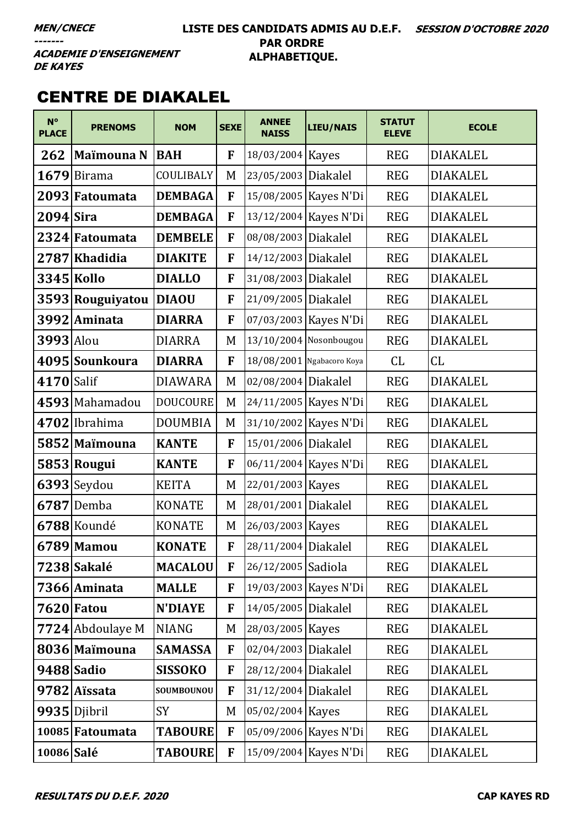#### **LISTE DES CANDIDATS ADMIS AU D.E.F. SESSION D'OCTOBRE 2020 PAR ORDRE ALPHABETIQUE.**

**ACADEMIE D'ENSEIGNEMENT DE KAYES** 

### CENTRE DE DIAKALEL

| $N^{\circ}$<br><b>PLACE</b> | <b>PRENOMS</b>   | <b>NOM</b>      | <b>SEXE</b> | <b>ANNEE</b><br><b>NAISS</b> | <b>LIEU/NAIS</b>          | <b>STATUT</b><br><b>ELEVE</b> | <b>ECOLE</b>    |
|-----------------------------|------------------|-----------------|-------------|------------------------------|---------------------------|-------------------------------|-----------------|
| 262                         | Maïmouna N       | <b>BAH</b>      | F           | 18/03/2004 Kayes             |                           | <b>REG</b>                    | <b>DIAKALEL</b> |
|                             | $1679$ Birama    | COULIBALY       | M           | 23/05/2003 Diakalel          |                           | <b>REG</b>                    | <b>DIAKALEL</b> |
|                             | 2093 Fatoumata   | <b>DEMBAGA</b>  | F           |                              | 15/08/2005   Kayes N'Di   | <b>REG</b>                    | <b>DIAKALEL</b> |
| $2094$ Sira                 |                  | <b>DEMBAGA</b>  | ${\bf F}$   |                              | 13/12/2004 Kayes N'Di     | <b>REG</b>                    | <b>DIAKALEL</b> |
|                             | 2324 Fatoumata   | <b>DEMBELE</b>  | F           | 08/08/2003 Diakalel          |                           | <b>REG</b>                    | <b>DIAKALEL</b> |
|                             | 2787 Khadidia    | <b>DIAKITE</b>  | F           | 14/12/2003 Diakalel          |                           | <b>REG</b>                    | <b>DIAKALEL</b> |
|                             | 3345 Kollo       | <b>DIALLO</b>   | F           | 31/08/2003 Diakalel          |                           | <b>REG</b>                    | <b>DIAKALEL</b> |
|                             | 3593 Rouguiyatou | <b>DIAOU</b>    | $\mathbf F$ | 21/09/2005 Diakalel          |                           | <b>REG</b>                    | <b>DIAKALEL</b> |
|                             | 3992 Aminata     | <b>DIARRA</b>   | F           |                              | 07/03/2003 Kayes N'Di     | <b>REG</b>                    | <b>DIAKALEL</b> |
| 3993 Alou                   |                  | <b>DIARRA</b>   | M           |                              | 13/10/2004 Nosonbougou    | <b>REG</b>                    | <b>DIAKALEL</b> |
|                             | 4095 Sounkoura   | <b>DIARRA</b>   | F           |                              | 18/08/2001 Ngabacoro Koya | CL                            | CL              |
| 4170 Salif                  |                  | <b>DIAWARA</b>  | M           | 02/08/2004 Diakalel          |                           | <b>REG</b>                    | <b>DIAKALEL</b> |
|                             | 4593 Mahamadou   | <b>DOUCOURE</b> | M           |                              | 24/11/2005   Kayes N'Di   | <b>REG</b>                    | <b>DIAKALEL</b> |
|                             | $4702$  Ibrahima | <b>DOUMBIA</b>  | M           |                              | 31/10/2002 Kayes N'Di     | <b>REG</b>                    | <b>DIAKALEL</b> |
|                             | 5852 Maimouna    | <b>KANTE</b>    | F           | 15/01/2006 Diakalel          |                           | <b>REG</b>                    | <b>DIAKALEL</b> |
|                             | 5853 Rougui      | <b>KANTE</b>    | F           |                              | 06/11/2004 Kayes N'Di     | <b>REG</b>                    | <b>DIAKALEL</b> |
|                             | $6393$ Seydou    | <b>KEITA</b>    | M           | 22/01/2003 Kayes             |                           | <b>REG</b>                    | <b>DIAKALEL</b> |
|                             | 6787 Demba       | <b>KONATE</b>   | M           | 28/01/2001 Diakalel          |                           | <b>REG</b>                    | <b>DIAKALEL</b> |
|                             | 6788 Koundé      | <b>KONATE</b>   | M           | 26/03/2003 Kayes             |                           | <b>REG</b>                    | <b>DIAKALEL</b> |
|                             | 6789 Mamou       | <b>KONATE</b>   | F           | 28/11/2004 Diakalel          |                           | <b>REG</b>                    | <b>DIAKALEL</b> |
|                             | 7238 Sakalé      | <b>MACALOU</b>  | F           | 26/12/2005 Sadiola           |                           | <b>REG</b>                    | <b>DIAKALEL</b> |
|                             | 7366 Aminata     | <b>MALLE</b>    | F           |                              | 19/03/2003 Kayes N'Di     | <b>REG</b>                    | <b>DIAKALEL</b> |
|                             | 7620 Fatou       | <b>N'DIAYE</b>  | F           | 14/05/2005 Diakalel          |                           | <b>REG</b>                    | <b>DIAKALEL</b> |
|                             | 7724 Abdoulaye M | <b>NIANG</b>    | M           | 28/03/2005 Kayes             |                           | <b>REG</b>                    | <b>DIAKALEL</b> |
|                             | 8036 Maïmouna    | <b>SAMASSA</b>  | F           | 02/04/2003 Diakalel          |                           | <b>REG</b>                    | <b>DIAKALEL</b> |
|                             | 9488 Sadio       | <b>SISSOKO</b>  | F           | 28/12/2004 Diakalel          |                           | <b>REG</b>                    | <b>DIAKALEL</b> |
|                             | 9782 Aïssata     | SOUMBOUNOU      | F           | 31/12/2004 Diakalel          |                           | <b>REG</b>                    | <b>DIAKALEL</b> |
|                             | 9935 Djibril     | SY              | M           | 05/02/2004 Kayes             |                           | <b>REG</b>                    | <b>DIAKALEL</b> |
|                             | 10085 Fatoumata  | <b>TABOURE</b>  | F           |                              | 05/09/2006 Kayes N'Di     | <b>REG</b>                    | <b>DIAKALEL</b> |
| 10086 Salé                  |                  | <b>TABOURE</b>  | F           |                              | 15/09/2004 Kayes N'Di     | <b>REG</b>                    | <b>DIAKALEL</b> |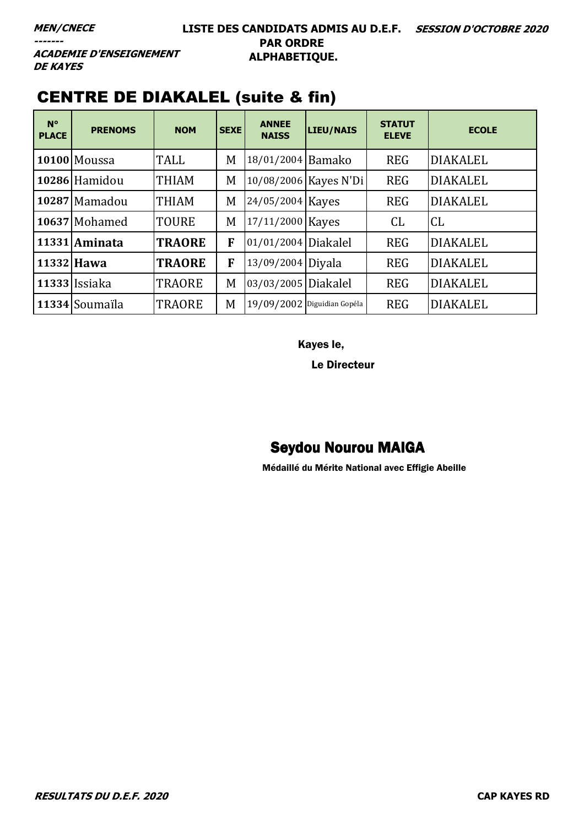**ACADEMIE D'ENSEIGNEMENT DE KAYES** 

| $N^{\circ}$<br><b>PLACE</b> | <b>PRENOMS</b>      | <b>NOM</b>    | <b>SEXE</b> | <b>ANNEE</b><br><b>NAISS</b> | <b>LIEU/NAIS</b>      | <b>STATUT</b><br><b>ELEVE</b> | <b>ECOLE</b>    |
|-----------------------------|---------------------|---------------|-------------|------------------------------|-----------------------|-------------------------------|-----------------|
|                             | <b>10100 Moussa</b> | <b>TALL</b>   | M           | 18/01/2004 Bamako            |                       | <b>REG</b>                    | <b>DIAKALEL</b> |
|                             | 10286 Hamidou       | <b>THIAM</b>  | M           |                              | 10/08/2006 Kayes N'Di | <b>REG</b>                    | <b>DIAKALEL</b> |
|                             | 10287 Mamadou       | <b>THIAM</b>  | M           | 24/05/2004 Kayes             |                       | <b>REG</b>                    | <b>DIAKALEL</b> |
|                             | 10637 Mohamed       | <b>TOURE</b>  | M           | 17/11/2000 Kayes             |                       | CL                            | CL              |
|                             | 11331 Aminata       | <b>TRAORE</b> | F           | 01/01/2004 Diakalel          |                       | <b>REG</b>                    | <b>DIAKALEL</b> |
| 11332 Hawa                  |                     | <b>TRAORE</b> | F           | 13/09/2004 Diyala            |                       | <b>REG</b>                    | <b>DIAKALEL</b> |
|                             | 11333 Issiaka       | <b>TRAORE</b> | M           | 03/03/2005 Diakalel          |                       | <b>REG</b>                    | <b>DIAKALEL</b> |
|                             | 11334 Soumaïla      | <b>TRAORE</b> | M           | 19/09/2002 Diguidian Gopéla  |                       | <b>REG</b>                    | <b>DIAKALEL</b> |

Kayes le,

Le Directeur

# Seydou Nourou MAIGA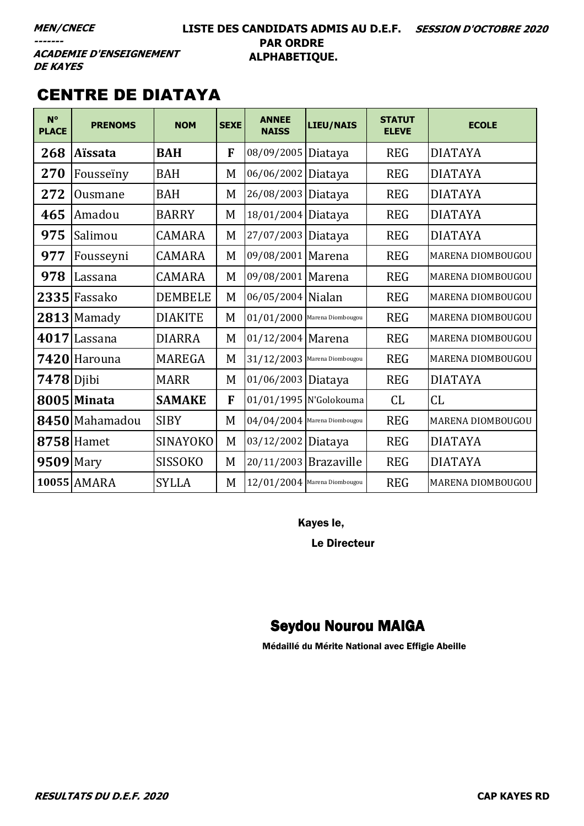#### **LISTE DES CANDIDATS ADMIS AU D.E.F. SESSION D'OCTOBRE 2020 PAR ORDRE ALPHABETIQUE.**

**ACADEMIE D'ENSEIGNEMENT DE KAYES** 

## CENTRE DE DIATAYA

| $N^{\circ}$<br><b>PLACE</b> | <b>PRENOMS</b>  | <b>NOM</b>      | <b>SEXE</b> | <b>ANNEE</b><br><b>NAISS</b>   | <b>LIEU/NAIS</b>       | <b>STATUT</b><br><b>ELEVE</b> | <b>ECOLE</b>      |
|-----------------------------|-----------------|-----------------|-------------|--------------------------------|------------------------|-------------------------------|-------------------|
| 268                         | <b>Aïssata</b>  | <b>BAH</b>      | F           | 08/09/2005 Diataya             |                        | <b>REG</b>                    | <b>DIATAYA</b>    |
| 270                         | Fousseiny       | <b>BAH</b>      | M           | 06/06/2002 Diataya             |                        | <b>REG</b>                    | <b>DIATAYA</b>    |
| 272                         | Ousmane         | <b>BAH</b>      | M           | 26/08/2003 Diataya             |                        | <b>REG</b>                    | <b>DIATAYA</b>    |
| 465                         | Amadou          | <b>BARRY</b>    | M           | 18/01/2004 Diataya             |                        | <b>REG</b>                    | <b>DIATAYA</b>    |
| 975                         | Salimou         | <b>CAMARA</b>   | M           | 27/07/2003 Diataya             |                        | <b>REG</b>                    | <b>DIATAYA</b>    |
| 977                         | Fousseyni       | <b>CAMARA</b>   | M           | 09/08/2001 Marena              |                        | <b>REG</b>                    | MARENA DIOMBOUGOU |
| 978                         | Lassana         | <b>CAMARA</b>   | M           | 09/08/2001 Marena              |                        | <b>REG</b>                    | MARENA DIOMBOUGOU |
|                             | $2335$  Fassako | <b>DEMBELE</b>  | M           | 06/05/2004 Nialan              |                        | <b>REG</b>                    | MARENA DIOMBOUGOU |
|                             | $2813$ Mamady   | <b>DIAKITE</b>  | M           | $01/01/2000$ Marena Diombougou |                        | <b>REG</b>                    | MARENA DIOMBOUGOU |
| 4017                        | Lassana         | <b>DIARRA</b>   | M           | 01/12/2004 Marena              |                        | <b>REG</b>                    | MARENA DIOMBOUGOU |
|                             | 7420 Harouna    | <b>MAREGA</b>   | M           | $31/12/2003$ Marena Diombougou |                        | <b>REG</b>                    | MARENA DIOMBOUGOU |
| $7478$ Djibi                |                 | <b>MARR</b>     | M           | 01/06/2003 Diataya             |                        | <b>REG</b>                    | <b>DIATAYA</b>    |
|                             | 8005 Minata     | <b>SAMAKE</b>   | F           |                                | 01/01/1995 N'Golokouma | CL                            | CL                |
|                             | 8450 Mahamadou  | <b>SIBY</b>     | M           | $04/04/2004$ Marena Diombougou |                        | <b>REG</b>                    | MARENA DIOMBOUGOU |
|                             | $8758$ Hamet    | <b>SINAYOKO</b> | M           | 03/12/2002 Diataya             |                        | <b>REG</b>                    | <b>DIATAYA</b>    |
| 9509 Mary                   |                 | <b>SISSOKO</b>  | M           | 20/11/2003 Brazaville          |                        | <b>REG</b>                    | <b>DIATAYA</b>    |
|                             | 10055 AMARA     | <b>SYLLA</b>    | M           | $12/01/2004$ Marena Diombougou |                        | <b>REG</b>                    | MARENA DIOMBOUGOU |

Kayes le,

Le Directeur

### Seydou Nourou MAIGA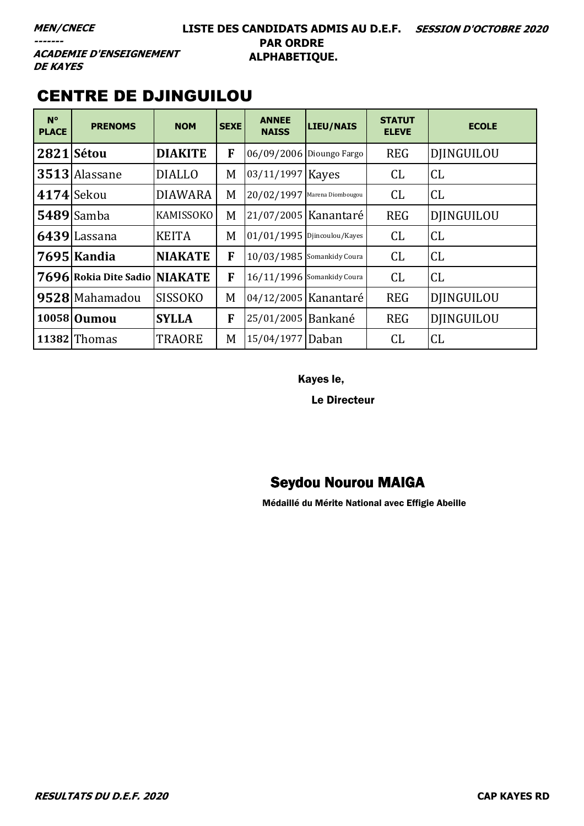#### **LISTE DES CANDIDATS ADMIS AU D.E.F. SESSION D'OCTOBRE 2020 PAR ORDRE ALPHABETIQUE.**

**ACADEMIE D'ENSEIGNEMENT DE KAYES** 

### CENTRE DE DJINGUILOU

| $N^{\circ}$<br><b>PLACE</b> | <b>PRENOMS</b>                | <b>NOM</b>       | <b>SEXE</b> | <b>ANNEE</b><br><b>NAISS</b>  | LIEU/NAIS                | <b>STATUT</b><br><b>ELEVE</b> | <b>ECOLE</b>      |
|-----------------------------|-------------------------------|------------------|-------------|-------------------------------|--------------------------|-------------------------------|-------------------|
| 2821 Sétou                  |                               | <b>DIAKITE</b>   | F           |                               | 06/09/2006 Dioungo Fargo | <b>REG</b>                    | <b>DJINGUILOU</b> |
|                             | 3513 Alassane                 | <b>DIALLO</b>    | M           | 03/11/1997 Kayes              |                          | <b>CL</b>                     | CL                |
| <b>4174</b> Sekou           |                               | <b>DIAWARA</b>   | M           | 20/02/1997 Marena Diombougou  |                          | CL                            | CL                |
|                             | $5489$ Samba                  | <b>KAMISSOKO</b> | M           |                               | 21/07/2005 Kanantaré     | <b>REG</b>                    | <b>DJINGUILOU</b> |
|                             | 6439 Lassana                  | <b>KEITA</b>     | M           | $01/01/1995$ Djincoulou/Kayes |                          | CL                            | <b>CL</b>         |
|                             | 7695 Kandia                   | <b>NIAKATE</b>   | F           | 10/03/1985 Somankidy Coura    |                          | CL                            | CL                |
|                             | 7696 Rokia Dite Sadio NIAKATE |                  | F           | 16/11/1996 Somankidy Coura    |                          | CL                            | CL                |
|                             | 9528 Mahamadou                | <b>SISSOKO</b>   | M           |                               | 04/12/2005 Kanantaré     | <b>REG</b>                    | <b>DIINGUILOU</b> |
|                             | 10058 Oumou                   | <b>SYLLA</b>     | F           | 25/01/2005 Bankané            |                          | <b>REG</b>                    | <b>DJINGUILOU</b> |
|                             | 11382 Thomas                  | <b>TRAORE</b>    | M           | 15/04/1977 Daban              |                          | CL                            | CL                |

Kayes le,

Le Directeur

### Seydou Nourou MAIGA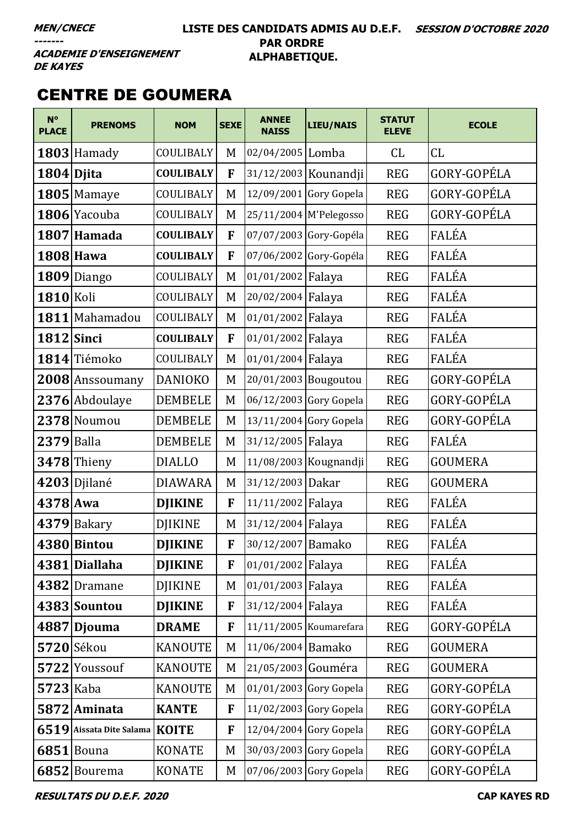#### **LISTE DES CANDIDATS ADMIS AU D.E.F. SESSION D'OCTOBRE 2020 PAR ORDRE ALPHABETIQUE.**

**ACADEMIE D'ENSEIGNEMENT DE KAYES** 

## CENTRE DE GOUMERA

| $N^{\circ}$<br><b>PLACE</b> | <b>PRENOMS</b>                 | <b>NOM</b>       | <b>SEXE</b> | <b>ANNEE</b><br><b>NAISS</b> | <b>LIEU/NAIS</b>         | <b>STATUT</b><br><b>ELEVE</b> | <b>ECOLE</b>   |
|-----------------------------|--------------------------------|------------------|-------------|------------------------------|--------------------------|-------------------------------|----------------|
|                             | 1803 Hamady                    | COULIBALY        | M           | 02/04/2005 Lomba             |                          | <b>CL</b>                     | CL             |
| 1804 Djita                  |                                | <b>COULIBALY</b> | F           |                              | 31/12/2003 Kounandji     | <b>REG</b>                    | GORY-GOPÉLA    |
|                             | 1805 Mamaye                    | COULIBALY        | M           | 12/09/2001                   | Gory Gopela              | <b>REG</b>                    | GORY-GOPÉLA    |
|                             | 1806 Yacouba                   | COULIBALY        | M           | 25/11/2004 M'Pelegosso       |                          | <b>REG</b>                    | GORY-GOPÉLA    |
|                             | 1807 Hamada                    | <b>COULIBALY</b> | F           |                              | 07/07/2003 Gory-Gopéla   | <b>REG</b>                    | FALÉA          |
|                             | $1808$ Hawa                    | <b>COULIBALY</b> | F           |                              | 07/06/2002 Gory-Gopéla   | <b>REG</b>                    | FALÉA          |
|                             | 1809 Diango                    | COULIBALY        | M           | 01/01/2002 Falaya            |                          | <b>REG</b>                    | FALÉA          |
| 1810 Koli                   |                                | COULIBALY        | M           | 20/02/2004 Falaya            |                          | <b>REG</b>                    | FALÉA          |
|                             | 1811 Mahamadou                 | COULIBALY        | M           | 01/01/2002 Falaya            |                          | <b>REG</b>                    | FALÉA          |
| 1812 Sinci                  |                                | <b>COULIBALY</b> | F           | 01/01/2002 Falaya            |                          | <b>REG</b>                    | FALÉA          |
|                             | 1814 Tiémoko                   | COULIBALY        | M           | 01/01/2004 Falaya            |                          | <b>REG</b>                    | FALÉA          |
|                             | 2008 Anssoumany                | <b>DANIOKO</b>   | M           | 20/01/2003 Bougoutou         |                          | <b>REG</b>                    | GORY-GOPÉLA    |
|                             | 2376 Abdoulaye                 | <b>DEMBELE</b>   | M           |                              | 06/12/2003 Gory Gopela   | <b>REG</b>                    | GORY-GOPÉLA    |
|                             | 2378 Noumou                    | <b>DEMBELE</b>   | M           |                              | 13/11/2004 Gory Gopela   | <b>REG</b>                    | GORY-GOPÉLA    |
| $2379$ Balla                |                                | <b>DEMBELE</b>   | M           | 31/12/2005 Falaya            |                          | <b>REG</b>                    | FALÉA          |
|                             | $3478$ Thieny                  | <b>DIALLO</b>    | M           |                              | 11/08/2003 Kougnandji    | <b>REG</b>                    | <b>GOUMERA</b> |
|                             | 4203 Djilané                   | <b>DIAWARA</b>   | M           | 31/12/2003 Dakar             |                          | <b>REG</b>                    | <b>GOUMERA</b> |
| $4378$ Awa                  |                                | <b>DJIKINE</b>   | F           | 11/11/2002 Falaya            |                          | <b>REG</b>                    | FALÉA          |
|                             | 4379 Bakary                    | <b>DJIKINE</b>   | M           | 31/12/2004 Falaya            |                          | <b>REG</b>                    | FALÉA          |
|                             | 4380 Bintou                    | <b>DJIKINE</b>   | F           | 30/12/2007 Bamako            |                          | <b>REG</b>                    | FALÉA          |
|                             | 4381 Diallaha                  | <b>DJIKINE</b>   | F           | 01/01/2002 Falaya            |                          | <b>REG</b>                    | FALÉA          |
|                             | 4382 Dramane                   | <b>DJIKINE</b>   | M           | 01/01/2003 Falaya            |                          | <b>REG</b>                    | FALÉA          |
|                             | 4383 Sountou                   | <b>DJIKINE</b>   | F           | 31/12/2004 Falaya            |                          | <b>REG</b>                    | FALÉA          |
|                             | 4887 Djouma                    | <b>DRAME</b>     | F           |                              | 11/11/2005 Koumarefara   | <b>REG</b>                    | GORY-GOPÉLA    |
|                             | 5720 Sékou                     | <b>KANOUTE</b>   | M           | 11/06/2004 Bamako            |                          | <b>REG</b>                    | <b>GOUMERA</b> |
|                             | 5722 Youssouf                  | <b>KANOUTE</b>   | M           | 21/05/2003 Gouméra           |                          | <b>REG</b>                    | <b>GOUMERA</b> |
| $5723$ Kaba                 |                                | <b>KANOUTE</b>   | M           |                              | 01/01/2003 Gory Gopela   | <b>REG</b>                    | GORY-GOPÉLA    |
|                             | 5872 Aminata                   | <b>KANTE</b>     | F           |                              | 11/02/2003 Gory Gopela   | <b>REG</b>                    | GORY-GOPÉLA    |
|                             | 6519 Aissata Dite Salama KOITE |                  | F           |                              | $12/04/2004$ Gory Gopela | <b>REG</b>                    | GORY-GOPÉLA    |
|                             | $6851$ Bouna                   | <b>KONATE</b>    | M           |                              | 30/03/2003 Gory Gopela   | <b>REG</b>                    | GORY-GOPÉLA    |
|                             | 6852 Bourema                   | <b>KONATE</b>    | M           |                              | 07/06/2003 Gory Gopela   | <b>REG</b>                    | GORY-GOPÉLA    |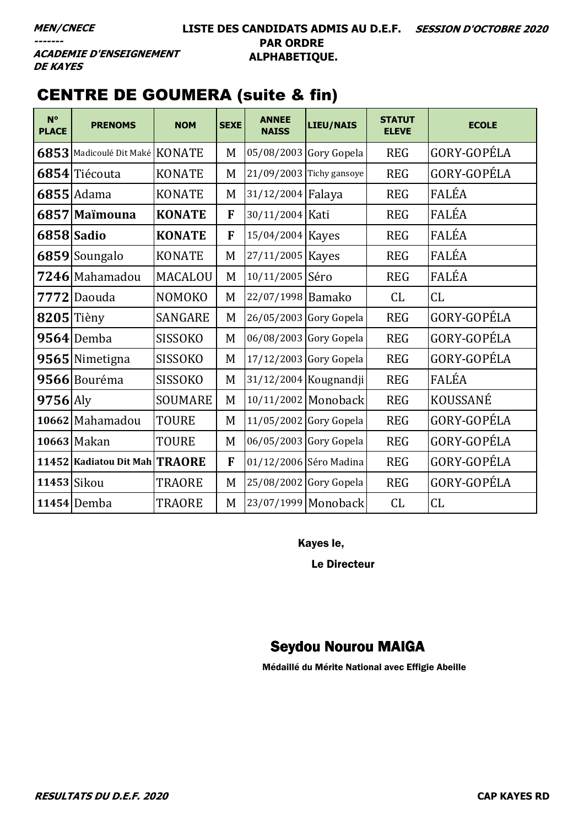#### **LISTE DES CANDIDATS ADMIS AU D.E.F. SESSION D'OCTOBRE 2020 PAR ORDRE ALPHABETIQUE.**

**ACADEMIE D'ENSEIGNEMENT DE KAYES** 

# CENTRE DE GOUMERA (suite & fin)

| $N^{\circ}$<br><b>PLACE</b> | <b>PRENOMS</b>                 | <b>NOM</b>     | <b>SEXE</b> | <b>ANNEE</b><br><b>NAISS</b> | <b>LIEU/NAIS</b>           | <b>STATUT</b><br><b>ELEVE</b> | <b>ECOLE</b> |
|-----------------------------|--------------------------------|----------------|-------------|------------------------------|----------------------------|-------------------------------|--------------|
|                             | 6853 Madicoulé Dit Maké KONATE |                | M           |                              | 05/08/2003 Gory Gopela     | <b>REG</b>                    | GORY-GOPÉLA  |
|                             | 6854 Tiécouta                  | <b>KONATE</b>  | M           |                              | $21/09/2003$ Tichy gansoye | <b>REG</b>                    | GORY-GOPÉLA  |
|                             | $6855$  Adama                  | <b>KONATE</b>  | M           | 31/12/2004 Falaya            |                            | <b>REG</b>                    | FALÉA        |
|                             | 6857 Maïmouna                  | <b>KONATE</b>  | ${\bf F}$   | 30/11/2004 Kati              |                            | <b>REG</b>                    | FALÉA        |
|                             | 6858 Sadio                     | <b>KONATE</b>  | F           | 15/04/2004 Kayes             |                            | <b>REG</b>                    | FALÉA        |
|                             | 6859 Soungalo                  | <b>KONATE</b>  | M           | 27/11/2005 Kayes             |                            | <b>REG</b>                    | FALÉA        |
|                             | 7246 Mahamadou                 | <b>MACALOU</b> | M           | 10/11/2005 Séro              |                            | <b>REG</b>                    | FALÉA        |
|                             | 7772 Daouda                    | <b>NOMOKO</b>  | M           | 22/07/1998 Bamako            |                            | CL                            | CL           |
|                             | $8205$ Tièny                   | <b>SANGARE</b> | M           |                              | 26/05/2003 Gory Gopela     | <b>REG</b>                    | GORY-GOPÉLA  |
|                             | $9564$ Demba                   | <b>SISSOKO</b> | M           |                              | 06/08/2003 Gory Gopela     | <b>REG</b>                    | GORY-GOPÉLA  |
|                             | 9565 Nimetigna                 | <b>SISSOKO</b> | M           |                              | 17/12/2003 Gory Gopela     | <b>REG</b>                    | GORY-GOPÉLA  |
|                             | 9566 Bouréma                   | <b>SISSOKO</b> | M           |                              | 31/12/2004 Kougnandji      | <b>REG</b>                    | FALÉA        |
| $9756$ Aly                  |                                | <b>SOUMARE</b> | M           |                              | 10/11/2002 Monoback        | <b>REG</b>                    | KOUSSANÉ     |
|                             | 10662 Mahamadou                | <b>TOURE</b>   | M           |                              | $11/05/2002$ Gory Gopela   | <b>REG</b>                    | GORY-GOPÉLA  |
|                             | 10663 Makan                    | <b>TOURE</b>   | M           |                              | 06/05/2003 Gory Gopela     | <b>REG</b>                    | GORY-GOPÉLA  |
|                             | 11452 Kadiatou Dit Mah TRAORE  |                | F           |                              | 01/12/2006 Séro Madina     | <b>REG</b>                    | GORY-GOPÉLA  |
|                             | 11453 Sikou                    | <b>TRAORE</b>  | M           |                              | 25/08/2002 Gory Gopela     | <b>REG</b>                    | GORY-GOPÉLA  |
|                             | $11454$ Demba                  | <b>TRAORE</b>  | M           |                              | 23/07/1999 Monoback        | CL                            | CL           |

Kayes le,

Le Directeur

#### Seydou Nourou MAIGA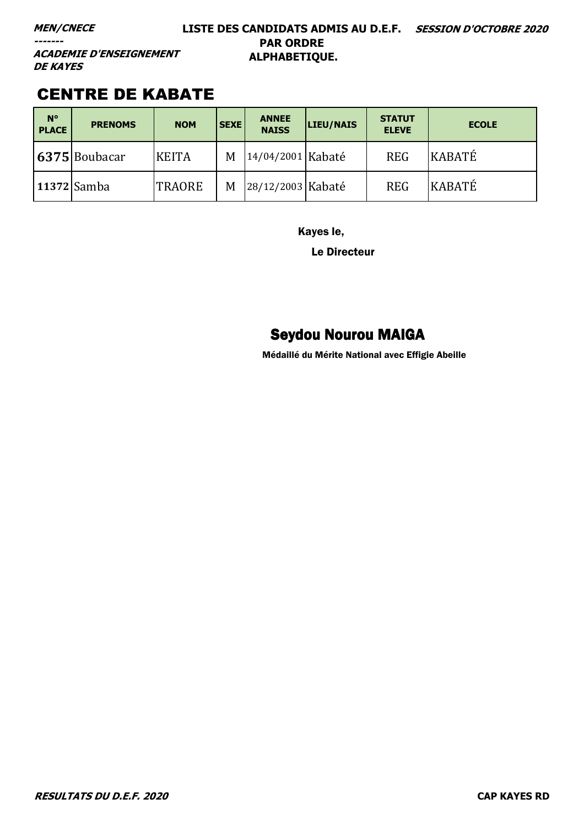#### **MEN/CNECE**

**-------**

#### **LISTE DES CANDIDATS ADMIS AU D.E.F. SESSION D'OCTOBRE 2020 PAR ORDRE ALPHABETIQUE.**

**ACADEMIE D'ENSEIGNEMENT DE KAYES** 

### CENTRE DE KABATE

| $N^{\circ}$<br><b>PLACE</b> | <b>PRENOMS</b>    | <b>NOM</b>    | <b>SEXE</b> | <b>ANNEE</b><br><b>NAISS</b> | <b>LIEU/NAIS</b> | <b>STATUT</b><br><b>ELEVE</b> | <b>ECOLE</b> |
|-----------------------------|-------------------|---------------|-------------|------------------------------|------------------|-------------------------------|--------------|
|                             | $ 6375 $ Boubacar | <b>KEITA</b>  | M           | 14/04/2001 Kabaté            |                  | <b>REG</b>                    | KABATÉ       |
|                             | 11372 Samba       | <b>TRAORE</b> | M           | 28/12/2003 Kabaté            |                  | <b>REG</b>                    | KABATÉ       |

Kayes le,

Le Directeur

# Seydou Nourou MAIGA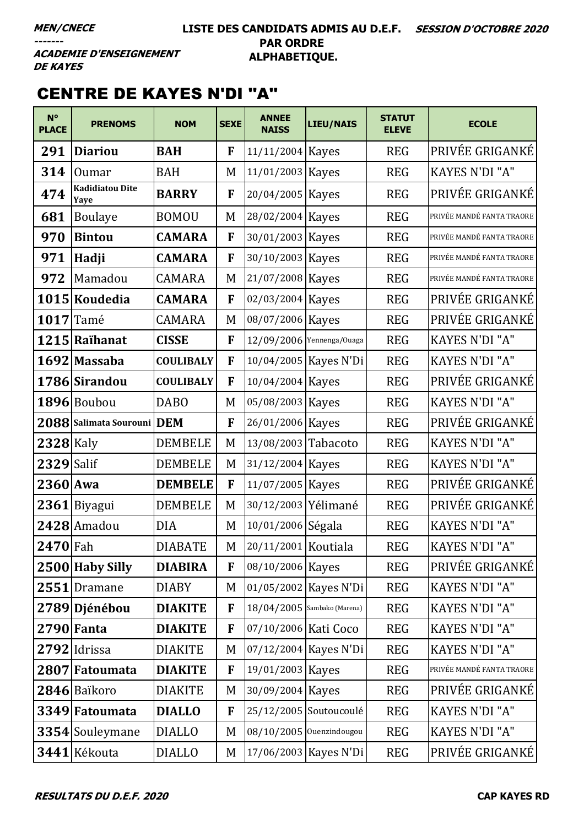#### **LISTE DES CANDIDATS ADMIS AU D.E.F. SESSION D'OCTOBRE 2020 PAR ORDRE ALPHABETIQUE.**

**ACADEMIE D'ENSEIGNEMENT DE KAYES** 

# CENTRE DE KAYES N'DI ''A''

| $N^{\circ}$<br><b>PLACE</b> | <b>PRENOMS</b>                 | <b>NOM</b>       | <b>SEXE</b> | <b>ANNEE</b><br><b>NAISS</b> | <b>LIEU/NAIS</b>          | <b>STATUT</b><br><b>ELEVE</b> | <b>ECOLE</b>              |
|-----------------------------|--------------------------------|------------------|-------------|------------------------------|---------------------------|-------------------------------|---------------------------|
| 291                         | <b>Diariou</b>                 | <b>BAH</b>       | F           | 11/11/2004 Kayes             |                           | <b>REG</b>                    | PRIVÉE GRIGANKÉ           |
| 314                         | <b>Oumar</b>                   | <b>BAH</b>       | M           | 11/01/2003 Kayes             |                           | <b>REG</b>                    | <b>KAYES N'DI "A"</b>     |
| 474                         | <b>Kadidiatou Dite</b><br>Yaye | <b>BARRY</b>     | F           | 20/04/2005 Kayes             |                           | <b>REG</b>                    | PRIVÉE GRIGANKÉ           |
| 681                         | <b>Boulaye</b>                 | <b>BOMOU</b>     | M           | 28/02/2004 Kayes             |                           | <b>REG</b>                    | PRIVÉE MANDÉ FANTA TRAORE |
| 970                         | <b>Bintou</b>                  | <b>CAMARA</b>    | F           | 30/01/2003 Kayes             |                           | <b>REG</b>                    | PRIVÉE MANDÉ FANTA TRAORE |
| 971                         | Hadji                          | <b>CAMARA</b>    | F           | 30/10/2003 Kayes             |                           | <b>REG</b>                    | PRIVÉE MANDÉ FANTA TRAORE |
| 972                         | Mamadou                        | <b>CAMARA</b>    | M           | 21/07/2008 Kayes             |                           | <b>REG</b>                    | PRIVÉE MANDÉ FANTA TRAORE |
|                             | 1015 Koudedia                  | <b>CAMARA</b>    | F           | 02/03/2004 Kayes             |                           | <b>REG</b>                    | PRIVÉE GRIGANKÉ           |
| 1017                        | Tamé                           | <b>CAMARA</b>    | M           | 08/07/2006 Kayes             |                           | <b>REG</b>                    | PRIVÉE GRIGANKÉ           |
|                             | 1215 Raïhanat                  | <b>CISSE</b>     | F           |                              | 12/09/2006 Yennenga/Ouaga | <b>REG</b>                    | KAYES N'DI "A"            |
|                             | 1692 Massaba                   | <b>COULIBALY</b> | F           |                              | 10/04/2005 Kayes N'Di     | <b>REG</b>                    | <b>KAYES N'DI "A"</b>     |
|                             | 1786 Sirandou                  | <b>COULIBALY</b> | F           | 10/04/2004 Kayes             |                           | <b>REG</b>                    | PRIVÉE GRIGANKÉ           |
|                             | 1896 Boubou                    | <b>DABO</b>      | M           | 05/08/2003 Kayes             |                           | <b>REG</b>                    | <b>KAYES N'DI "A"</b>     |
|                             | 2088 Salimata Sourouni DEM     |                  | F           | 26/01/2006 Kayes             |                           | <b>REG</b>                    | PRIVÉE GRIGANKÉ           |
| $2328$ Kaly                 |                                | <b>DEMBELE</b>   | M           | 13/08/2003 Tabacoto          |                           | <b>REG</b>                    | <b>KAYES N'DI "A"</b>     |
| $2329$ Salif                |                                | <b>DEMBELE</b>   | M           | 31/12/2004 Kayes             |                           | <b>REG</b>                    | KAYES N'DI "A"            |
| $2360$ Awa                  |                                | <b>DEMBELE</b>   | F           | 11/07/2005 Kayes             |                           | <b>REG</b>                    | PRIVÉE GRIGANKÉ           |
|                             | $2361$ Biyagui                 | <b>DEMBELE</b>   | M           | 30/12/2003 Yélimané          |                           | <b>REG</b>                    | PRIVÉE GRIGANKÉ           |
|                             | 2428 Amadou                    | DIA              | M           | 10/01/2006 Ségala            |                           | <b>REG</b>                    | <b>KAYES N'DI "A"</b>     |
| $2470$ Fah                  |                                | <b>DIABATE</b>   | M           | 20/11/2001 Koutiala          |                           | <b>REG</b>                    | KAYES N'DI "A"            |
|                             | 2500 Haby Silly                | <b>DIABIRA</b>   | F           | 08/10/2006 Kayes             |                           | <b>REG</b>                    | PRIVÉE GRIGANKÉ           |
|                             | 2551 Dramane                   | <b>DIABY</b>     | M           |                              | 01/05/2002 Kayes N'Di     | <b>REG</b>                    | KAYES N'DI "A"            |
|                             | 2789 Djénébou                  | <b>DIAKITE</b>   | F           | 18/04/2005 Sambako (Marena)  |                           | <b>REG</b>                    | <b>KAYES N'DI "A"</b>     |
|                             | 2790 Fanta                     | <b>DIAKITE</b>   | F           | 07/10/2006 Kati Coco         |                           | <b>REG</b>                    | KAYES N'DI "A"            |
|                             | 2792 Idrissa                   | <b>DIAKITE</b>   | M           |                              | 07/12/2004 Kayes N'Di     | <b>REG</b>                    | <b>KAYES N'DI "A"</b>     |
|                             | 2807 Fatoumata                 | <b>DIAKITE</b>   | F           | 19/01/2003 Kayes             |                           | <b>REG</b>                    | PRIVÉE MANDÉ FANTA TRAORE |
|                             | 2846 Baïkoro                   | <b>DIAKITE</b>   | M           | 30/09/2004 Kayes             |                           | <b>REG</b>                    | PRIVÉE GRIGANKÉ           |
|                             | 3349 Fatoumata                 | <b>DIALLO</b>    | F           |                              | 25/12/2005 Soutoucoulé    | <b>REG</b>                    | KAYES N'DI "A"            |
|                             | 3354 Souleymane                | <b>DIALLO</b>    | M           |                              | 08/10/2005 Ouenzindougou  | <b>REG</b>                    | <b>KAYES N'DI "A"</b>     |
|                             | 3441 Kékouta                   | <b>DIALLO</b>    | M           |                              | 17/06/2003 Kayes N'Di     | <b>REG</b>                    | PRIVÉE GRIGANKÉ           |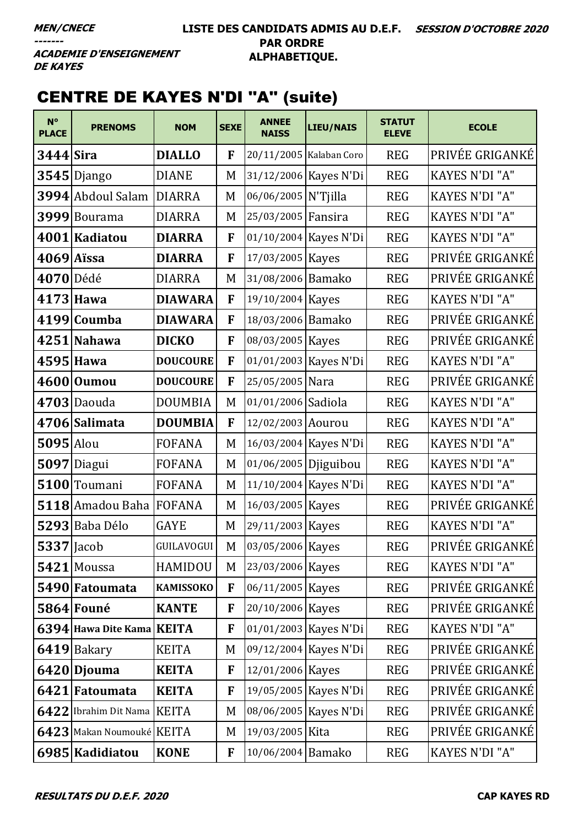**ACADEMIE D'ENSEIGNEMENT DE KAYES** 

# CENTRE DE KAYES N'DI ''A'' (suite)

| $N^{\circ}$<br><b>PLACE</b> | <b>PRENOMS</b>              | <b>NOM</b>        | <b>SEXE</b> | <b>ANNEE</b><br><b>NAISS</b> | <b>LIEU/NAIS</b>        | <b>STATUT</b><br><b>ELEVE</b> | <b>ECOLE</b>          |
|-----------------------------|-----------------------------|-------------------|-------------|------------------------------|-------------------------|-------------------------------|-----------------------|
| $3444$ Sira                 |                             | <b>DIALLO</b>     | F           |                              | 20/11/2005 Kalaban Coro | <b>REG</b>                    | PRIVÉE GRIGANKÉ       |
|                             | $3545$ Django               | <b>DIANE</b>      | M           |                              | 31/12/2006 Kayes N'Di   | <b>REG</b>                    | KAYES N'DI "A"        |
|                             | 3994 Abdoul Salam           | <b>DIARRA</b>     | M           | 06/06/2005 N'Tjilla          |                         | <b>REG</b>                    | <b>KAYES N'DI "A"</b> |
|                             | 3999 Bourama                | <b>DIARRA</b>     | M           | 25/03/2005 Fansira           |                         | <b>REG</b>                    | <b>KAYES N'DI "A"</b> |
|                             | 4001 Kadiatou               | <b>DIARRA</b>     | F           |                              | 01/10/2004 Kayes N'Di   | <b>REG</b>                    | KAYES N'DI "A"        |
|                             | $4069$ Aissa                | <b>DIARRA</b>     | F           | 17/03/2005 Kayes             |                         | <b>REG</b>                    | PRIVÉE GRIGANKÉ       |
| 4070 Dédé                   |                             | <b>DIARRA</b>     | M           | 31/08/2006 Bamako            |                         | <b>REG</b>                    | PRIVÉE GRIGANKÉ       |
|                             | 4173 Hawa                   | <b>DIAWARA</b>    | F           | 19/10/2004 Kayes             |                         | <b>REG</b>                    | <b>KAYES N'DI "A"</b> |
|                             | 4199 Coumba                 | <b>DIAWARA</b>    | F           | 18/03/2006 Bamako            |                         | <b>REG</b>                    | PRIVÉE GRIGANKÉ       |
|                             | 4251 Nahawa                 | <b>DICKO</b>      | F           | 08/03/2005 Kayes             |                         | <b>REG</b>                    | PRIVÉE GRIGANKÉ       |
|                             | 4595 Hawa                   | <b>DOUCOURE</b>   | F           |                              | 01/01/2003 Kayes N'Di   | <b>REG</b>                    | <b>KAYES N'DI "A"</b> |
|                             | 4600 Oumou                  | <b>DOUCOURE</b>   | F           | 25/05/2005 Nara              |                         | <b>REG</b>                    | PRIVÉE GRIGANKÉ       |
|                             | $4703$ Daouda               | <b>DOUMBIA</b>    | M           | 01/01/2006 Sadiola           |                         | <b>REG</b>                    | KAYES N'DI "A"        |
|                             | 4706 Salimata               | <b>DOUMBIA</b>    | F           | 12/02/2003 Aourou            |                         | <b>REG</b>                    | <b>KAYES N'DI "A"</b> |
| $5095$ Alou                 |                             | <b>FOFANA</b>     | M           |                              | 16/03/2004 Kayes N'Di   | <b>REG</b>                    | <b>KAYES N'DI "A"</b> |
|                             | 5097 Diagui                 | <b>FOFANA</b>     | M           | 01/06/2005 Djiguibou         |                         | <b>REG</b>                    | KAYES N'DI "A"        |
|                             | 5100 Toumani                | <b>FOFANA</b>     | M           |                              | 11/10/2004 Kayes N'Di   | <b>REG</b>                    | KAYES N'DI "A"        |
|                             | 5118 Amadou Baha FOFANA     |                   | M           | 16/03/2005 Kayes             |                         | <b>REG</b>                    | PRIVÉE GRIGANKÉ       |
|                             | 5293 Baba Délo              | <b>GAYE</b>       | M           | 29/11/2003 Kayes             |                         | <b>REG</b>                    | <b>KAYES N'DI "A"</b> |
| <b>5337</b> Jacob           |                             | <b>GUILAVOGUI</b> | M           | 03/05/2006 Kayes             |                         | <b>REG</b>                    | PRIVÉE GRIGANKÉ       |
|                             | 5421 Moussa                 | HAMIDOU           | M           | 23/03/2006 Kayes             |                         | <b>REG</b>                    | KAYES N'DI "A"        |
|                             | 5490 Fatoumata              | <b>KAMISSOKO</b>  | F           | 06/11/2005 Kayes             |                         | <b>REG</b>                    | PRIVÉE GRIGANKÉ       |
|                             | 5864 Founé                  | <b>KANTE</b>      | F           | 20/10/2006 Kayes             |                         | <b>REG</b>                    | PRIVÉE GRIGANKÉ       |
|                             | 6394 Hawa Dite Kama KEITA   |                   | F           |                              | 01/01/2003 Kayes N'Di   | <b>REG</b>                    | KAYES N'DI "A"        |
|                             | 6419 Bakary                 | <b>KEITA</b>      | M           |                              | 09/12/2004 Kayes N'Di   | <b>REG</b>                    | PRIVÉE GRIGANKÉ       |
|                             | 6420 Djouma                 | <b>KEITA</b>      | F           | 12/01/2006 Kayes             |                         | <b>REG</b>                    | PRIVÉE GRIGANKÉ       |
|                             | 6421 Fatoumata              | <b>KEITA</b>      | F           |                              | 19/05/2005 Kayes N'Di   | <b>REG</b>                    | PRIVÉE GRIGANKÉ       |
|                             | 6422 Ibrahim Dit Nama KEITA |                   | M           |                              | 08/06/2005 Kayes N'Di   | <b>REG</b>                    | PRIVÉE GRIGANKÉ       |
|                             | 6423 Makan Noumouké KEITA   |                   | M           | 19/03/2005 Kita              |                         | <b>REG</b>                    | PRIVÉE GRIGANKÉ       |
|                             | 6985 Kadidiatou             | <b>KONE</b>       | F           | 10/06/2004 Bamako            |                         | <b>REG</b>                    | KAYES N'DI "A"        |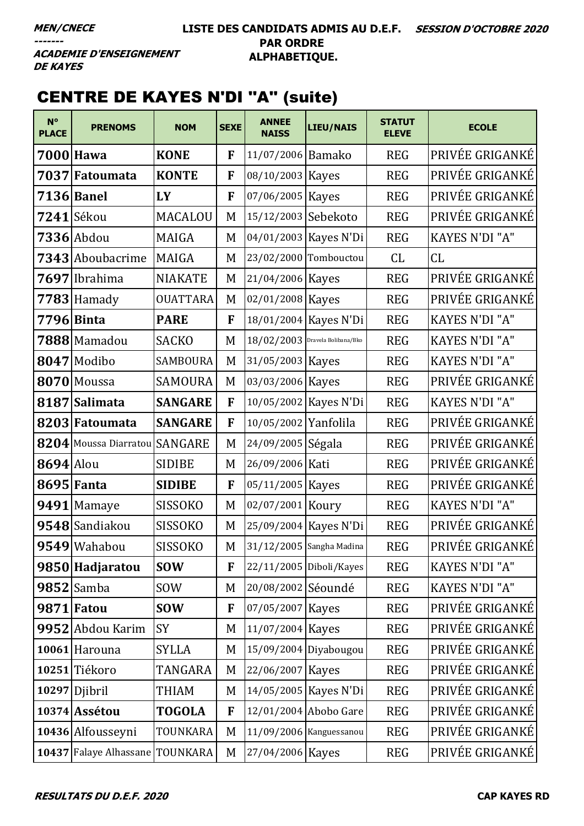**ACADEMIE D'ENSEIGNEMENT DE KAYES** 

# CENTRE DE KAYES N'DI ''A'' (suite)

| $N^{\circ}$<br><b>PLACE</b> | <b>PRENOMS</b>                  | <b>NOM</b>      | <b>SEXE</b> | <b>ANNEE</b><br><b>NAISS</b>      | <b>LIEU/NAIS</b>         | <b>STATUT</b><br><b>ELEVE</b> | <b>ECOLE</b>          |
|-----------------------------|---------------------------------|-----------------|-------------|-----------------------------------|--------------------------|-------------------------------|-----------------------|
|                             | 7000 Hawa                       | <b>KONE</b>     | F           | 11/07/2006 Bamako                 |                          | <b>REG</b>                    | PRIVÉE GRIGANKÉ       |
|                             | 7037 Fatoumata                  | <b>KONTE</b>    | F           | 08/10/2003 Kayes                  |                          | <b>REG</b>                    | PRIVÉE GRIGANKÉ       |
|                             | 7136 Banel                      | LY              | F           | 07/06/2005 Kayes                  |                          | <b>REG</b>                    | PRIVÉE GRIGANKÉ       |
|                             | 7241 Sékou                      | <b>MACALOU</b>  | M           | 15/12/2003 Sebekoto               |                          | <b>REG</b>                    | PRIVÉE GRIGANKÉ       |
|                             | $7336$ Abdou                    | <b>MAIGA</b>    | M           |                                   | 04/01/2003 Kayes N'Di    | <b>REG</b>                    | <b>KAYES N'DI "A"</b> |
|                             | 7343 Aboubacrime                | <b>MAIGA</b>    | M           |                                   | 23/02/2000 Tombouctou    | CL                            | CL                    |
| 7697                        | Ibrahima                        | <b>NIAKATE</b>  | M           | 21/04/2006 Kayes                  |                          | <b>REG</b>                    | PRIVÉE GRIGANKÉ       |
|                             | 7783 Hamady                     | <b>OUATTARA</b> | M           | 02/01/2008 Kayes                  |                          | <b>REG</b>                    | PRIVÉE GRIGANKÉ       |
|                             | 7796 Binta                      | <b>PARE</b>     | F           |                                   | 18/01/2004 Kayes N'Di    | <b>REG</b>                    | KAYES N'DI "A"        |
|                             | 7888 Mamadou                    | <b>SACKO</b>    | M           | $18/02/2003$ Dravela Bolibana/Bko |                          | <b>REG</b>                    | <b>KAYES N'DI "A"</b> |
|                             | 8047 Modibo                     | <b>SAMBOURA</b> | M           | 31/05/2003 Kayes                  |                          | <b>REG</b>                    | KAYES N'DI "A"        |
|                             | 8070 Moussa                     | <b>SAMOURA</b>  | M           | 03/03/2006 Kayes                  |                          | <b>REG</b>                    | PRIVÉE GRIGANKÉ       |
|                             | 8187 Salimata                   | <b>SANGARE</b>  | F           |                                   | 10/05/2002 Kayes N'Di    | <b>REG</b>                    | KAYES N'DI "A"        |
|                             | 8203 Fatoumata                  | <b>SANGARE</b>  | F           | 10/05/2002 Yanfolila              |                          | <b>REG</b>                    | PRIVÉE GRIGANKÉ       |
|                             | 8204 Moussa Diarratou SANGARE   |                 | M           | 24/09/2005 Ségala                 |                          | <b>REG</b>                    | PRIVÉE GRIGANKÉ       |
| <b>8694</b> Alou            |                                 | <b>SIDIBE</b>   | M           | 26/09/2006 Kati                   |                          | <b>REG</b>                    | PRIVÉE GRIGANKÉ       |
|                             | 8695 Fanta                      | <b>SIDIBE</b>   | F           | 05/11/2005 Kayes                  |                          | <b>REG</b>                    | PRIVÉE GRIGANKÉ       |
|                             | 9491 Mamaye                     | <b>SISSOKO</b>  | M           | 02/07/2001 Koury                  |                          | <b>REG</b>                    | <b>KAYES N'DI "A"</b> |
|                             | 9548 Sandiakou                  | <b>SISSOKO</b>  | M           |                                   | 25/09/2004 Kayes N'Di    | <b>REG</b>                    | PRIVÉE GRIGANKÉ       |
|                             | 9549 Wahabou                    | <b>SISSOKO</b>  | M           |                                   | 31/12/2005 Sangha Madina | <b>REG</b>                    | PRIVÉE GRIGANKÉ       |
|                             | 9850 Hadjaratou                 | <b>SOW</b>      | F           |                                   | 22/11/2005 Diboli/Kayes  | <b>REG</b>                    | <b>KAYES N'DI "A"</b> |
|                             | $9852$ Samba                    | <b>SOW</b>      | M           | 20/08/2002 Séoundé                |                          | <b>REG</b>                    | KAYES N'DI "A"        |
|                             | 9871 Fatou                      | <b>SOW</b>      | F           | 07/05/2007 Kayes                  |                          | <b>REG</b>                    | PRIVÉE GRIGANKÉ       |
|                             | 9952 Abdou Karim                | SY              | M           | 11/07/2004 Kayes                  |                          | <b>REG</b>                    | PRIVÉE GRIGANKÉ       |
|                             | 10061 Harouna                   | <b>SYLLA</b>    | M           |                                   | 15/09/2004 Diyabougou    | <b>REG</b>                    | PRIVÉE GRIGANKÉ       |
|                             | 10251 Tiékoro                   | TANGARA         | M           | 22/06/2007 Kayes                  |                          | <b>REG</b>                    | PRIVÉE GRIGANKÉ       |
|                             | $10297$ Djibril                 | THIAM           | M           |                                   | 14/05/2005 Kayes N'Di    | <b>REG</b>                    | PRIVÉE GRIGANKÉ       |
|                             | 10374 Assétou                   | <b>TOGOLA</b>   | F           |                                   | 12/01/2004 Abobo Gare    | <b>REG</b>                    | PRIVÉE GRIGANKÉ       |
|                             | 10436 Alfousseyni               | TOUNKARA        | M           |                                   | 11/09/2006 Kanguessanou  | <b>REG</b>                    | PRIVÉE GRIGANKÉ       |
|                             | 10437 Falaye Alhassane TOUNKARA |                 | M           | 27/04/2006 Kayes                  |                          | <b>REG</b>                    | PRIVÉE GRIGANKÉ       |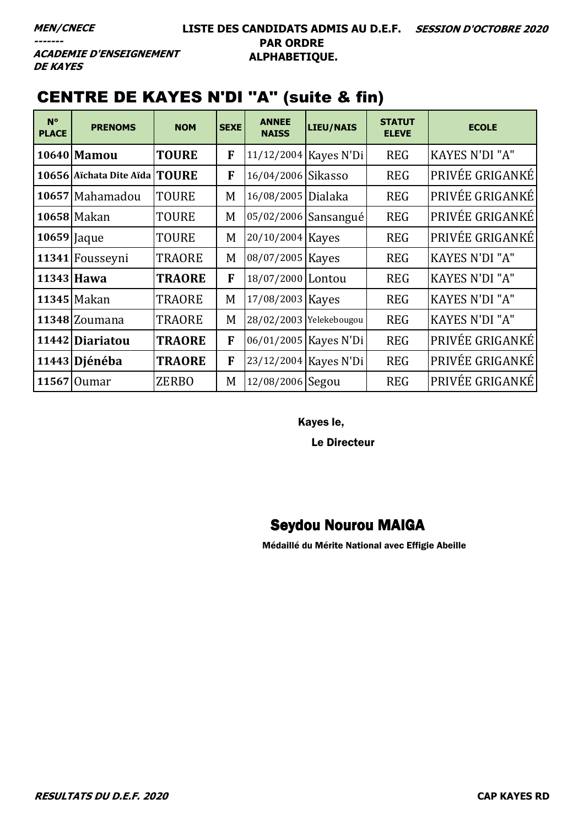**ACADEMIE D'ENSEIGNEMENT DE KAYES** 

# CENTRE DE KAYES N'DI ''A'' (suite & fin)

| $N^{\circ}$<br><b>PLACE</b> | <b>PRENOMS</b>                | <b>NOM</b>    | <b>SEXE</b> | <b>ANNEE</b><br><b>NAISS</b> | <b>LIEU/NAIS</b>        | <b>STATUT</b><br><b>ELEVE</b> | <b>ECOLE</b>          |
|-----------------------------|-------------------------------|---------------|-------------|------------------------------|-------------------------|-------------------------------|-----------------------|
|                             | 10640 Mamou                   | <b>TOURE</b>  | F           | 11/12/2004 Kayes N'Di        |                         | <b>REG</b>                    | <b>KAYES N'DI "A"</b> |
|                             | 10656 Aïchata Dite Aïda TOURE |               | F           | 16/04/2006 Sikasso           |                         | <b>REG</b>                    | PRIVÉE GRIGANKÉ       |
|                             | 10657 Mahamadou               | TOURE         | M           | 16/08/2005 Dialaka           |                         | <b>REG</b>                    | PRIVÉE GRIGANKÉ       |
|                             | 10658 Makan                   | TOURE         | M           |                              | 05/02/2006 Sansangué    | <b>REG</b>                    | PRIVÉE GRIGANKÉ       |
| 10659 Jaque                 |                               | TOURE         | M           | 20/10/2004 Kayes             |                         | <b>REG</b>                    | PRIVÉE GRIGANKÉ       |
|                             | 11341 Fousseyni               | <b>TRAORE</b> | M           | 08/07/2005 Kayes             |                         | <b>REG</b>                    | <b>KAYES N'DI "A"</b> |
|                             | $11343$ Hawa                  | <b>TRAORE</b> | F           | 18/07/2000 Lontou            |                         | <b>REG</b>                    | <b>KAYES N'DI "A"</b> |
|                             | 11345 Makan                   | <b>TRAORE</b> | M           | 17/08/2003 Kayes             |                         | <b>REG</b>                    | <b>KAYES N'DI "A"</b> |
|                             | 11348 Zoumana                 | TRAORE        | M           |                              | 28/02/2003 Yelekebougou | <b>REG</b>                    | <b>KAYES N'DI "A"</b> |
|                             | 11442 Diariatou               | <b>TRAORE</b> | F           |                              | 06/01/2005   Kayes N'Di | <b>REG</b>                    | PRIVÉE GRIGANKÉ       |
|                             | 11443 Djénéba                 | <b>TRAORE</b> | F           | 23/12/2004 Kayes N'Di        |                         | <b>REG</b>                    | PRIVÉE GRIGANKÉ       |
|                             | 11567 Oumar                   | <b>ZERBO</b>  | M           | 12/08/2006 Segou             |                         | <b>REG</b>                    | PRIVÉE GRIGANKÉ       |

Kayes le,

Le Directeur

### Seydou Nourou MAIGA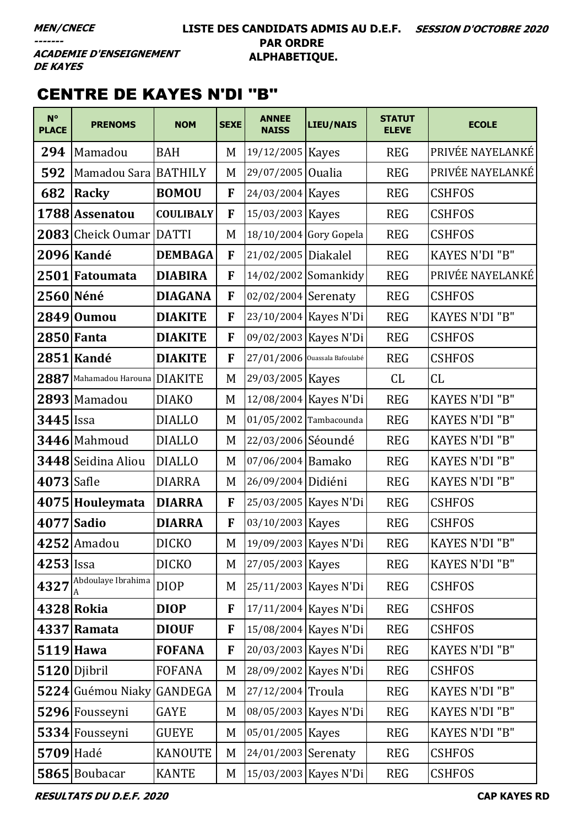#### **LISTE DES CANDIDATS ADMIS AU D.E.F. SESSION D'OCTOBRE 2020 PAR ORDRE ALPHABETIQUE.**

**ACADEMIE D'ENSEIGNEMENT DE KAYES** 

# CENTRE DE KAYES N'DI ''B''

| $N^{\circ}$<br><b>PLACE</b> | <b>PRENOMS</b>            | <b>NOM</b>       | <b>SEXE</b> | <b>ANNEE</b><br><b>NAISS</b> | <b>LIEU/NAIS</b>              | <b>STATUT</b><br><b>ELEVE</b> | <b>ECOLE</b>          |
|-----------------------------|---------------------------|------------------|-------------|------------------------------|-------------------------------|-------------------------------|-----------------------|
| 294                         | Mamadou                   | <b>BAH</b>       | M           | 19/12/2005 Kayes             |                               | <b>REG</b>                    | PRIVÉE NAYELANKÉ      |
| 592                         | Mamadou Sara   BATHILY    |                  | M           | 29/07/2005 Oualia            |                               | <b>REG</b>                    | PRIVÉE NAYELANKÉ      |
| 682                         | Racky                     | <b>BOMOU</b>     | F           | 24/03/2004 Kayes             |                               | <b>REG</b>                    | <b>CSHFOS</b>         |
|                             | 1788 Assenatou            | <b>COULIBALY</b> | F           | 15/03/2003 Kayes             |                               | <b>REG</b>                    | <b>CSHFOS</b>         |
|                             | 2083 Cheick Oumar DATTI   |                  | M           |                              | 18/10/2004 Gory Gopela        | <b>REG</b>                    | <b>CSHFOS</b>         |
|                             | 2096 Kandé                | <b>DEMBAGA</b>   | F           | 21/02/2005 Diakalel          |                               | <b>REG</b>                    | KAYES N'DI "B"        |
|                             | 2501 Fatoumata            | <b>DIABIRA</b>   | F           |                              | 14/02/2002 Somankidy          | <b>REG</b>                    | PRIVÉE NAYELANKÉ      |
|                             | 2560 Néné                 | <b>DIAGANA</b>   | F           | 02/02/2004 Serenaty          |                               | <b>REG</b>                    | <b>CSHFOS</b>         |
|                             | 2849 0umou                | <b>DIAKITE</b>   | F           |                              | 23/10/2004 Kayes N'Di         | <b>REG</b>                    | <b>KAYES N'DI "B"</b> |
|                             | 2850 Fanta                | <b>DIAKITE</b>   | F           |                              | 09/02/2003 Kayes N'Di         | <b>REG</b>                    | <b>CSHFOS</b>         |
|                             | 2851 Kandé                | <b>DIAKITE</b>   | F           |                              | 27/01/2006 Ouassala Bafoulabé | <b>REG</b>                    | <b>CSHFOS</b>         |
| 2887                        | Mahamadou Harouna DIAKITE |                  | M           | 29/03/2005 Kayes             |                               | CL                            | CL                    |
|                             | 2893 Mamadou              | <b>DIAKO</b>     | M           |                              | 12/08/2004 Kayes N'Di         | <b>REG</b>                    | KAYES N'DI "B"        |
| $3445$ Issa                 |                           | <b>DIALLO</b>    | M           | 01/05/2002 Tambacounda       |                               | <b>REG</b>                    | <b>KAYES N'DI "B"</b> |
|                             | 3446 Mahmoud              | <b>DIALLO</b>    | M           | 22/03/2006 Séoundé           |                               | <b>REG</b>                    | KAYES N'DI "B"        |
|                             | 3448 Seidina Aliou        | <b>DIALLO</b>    | M           | 07/06/2004 Bamako            |                               | <b>REG</b>                    | KAYES N'DI "B"        |
| 4073 Safle                  |                           | <b>DIARRA</b>    | M           | 26/09/2004 Didiéni           |                               | <b>REG</b>                    | KAYES N'DI "B"        |
|                             | 4075 Houleymata           | <b>DIARRA</b>    | F           |                              | 25/03/2005   Kayes N'Di       | <b>REG</b>                    | <b>CSHFOS</b>         |
|                             | $4077$ Sadio              | <b>DIARRA</b>    | F           | 03/10/2003 Kayes             |                               | <b>REG</b>                    | <b>CSHFOS</b>         |
|                             | $4252$ Amadou             | <b>DICKO</b>     | M           |                              | 19/09/2003 Kayes N'Di         | <b>REG</b>                    | <b>KAYES N'DI "B"</b> |
| 4253 Issa                   |                           | <b>DICKO</b>     | M           | 27/05/2003 Kayes             |                               | <b>REG</b>                    | KAYES N'DI "B"        |
| 4327                        | Abdoulaye Ibrahima        | <b>DIOP</b>      | M           |                              | 25/11/2003 Kayes N'Di         | <b>REG</b>                    | <b>CSHFOS</b>         |
|                             | 4328 Rokia                | <b>DIOP</b>      | F           |                              | 17/11/2004 Kayes N'Di         | <b>REG</b>                    | <b>CSHFOS</b>         |
|                             | 4337 Ramata               | <b>DIOUF</b>     | F           |                              | 15/08/2004 Kayes N'Di         | <b>REG</b>                    | <b>CSHFOS</b>         |
|                             | 5119 Hawa                 | <b>FOFANA</b>    | F           |                              | 20/03/2003 Kayes N'Di         | <b>REG</b>                    | <b>KAYES N'DI "B"</b> |
|                             | 5120 Djibril              | <b>FOFANA</b>    | M           |                              | 28/09/2002 Kayes N'Di         | <b>REG</b>                    | <b>CSHFOS</b>         |
|                             | 5224 Guémou Niaky         | <b>GANDEGA</b>   | M           | 27/12/2004 Troula            |                               | <b>REG</b>                    | KAYES N'DI "B"        |
|                             | 5296 Fousseyni            | <b>GAYE</b>      | M           |                              | 08/05/2003 Kayes N'Di         | <b>REG</b>                    | <b>KAYES N'DI "B"</b> |
|                             | 5334 Fousseyni            | <b>GUEYE</b>     | M           | 05/01/2005 Kayes             |                               | <b>REG</b>                    | <b>KAYES N'DI "B"</b> |
| 5709 Hadé                   |                           | <b>KANOUTE</b>   | M           | 24/01/2003 Serenaty          |                               | <b>REG</b>                    | <b>CSHFOS</b>         |
|                             | 5865 Boubacar             | <b>KANTE</b>     | M           |                              | 15/03/2003 Kayes N'Di         | <b>REG</b>                    | <b>CSHFOS</b>         |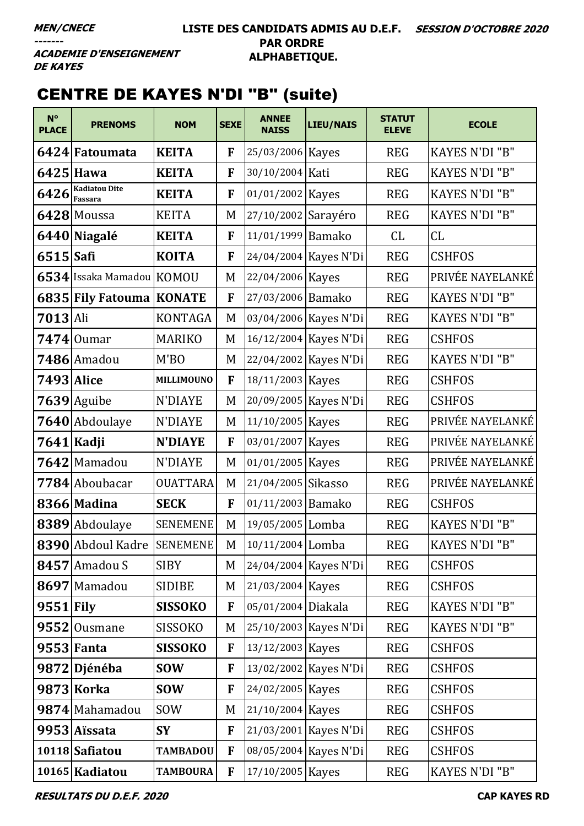#### **LISTE DES CANDIDATS ADMIS AU D.E.F. SESSION D'OCTOBRE 2020 PAR ORDRE ALPHABETIQUE.**

**ACADEMIE D'ENSEIGNEMENT DE KAYES** 

# CENTRE DE KAYES N'DI ''B'' (suite)

| $N^{\circ}$<br><b>PLACE</b> | <b>PRENOMS</b>             | <b>NOM</b>        | <b>SEXE</b> | <b>ANNEE</b><br><b>NAISS</b> | <b>LIEU/NAIS</b>      | <b>STATUT</b><br><b>ELEVE</b> | <b>ECOLE</b>          |
|-----------------------------|----------------------------|-------------------|-------------|------------------------------|-----------------------|-------------------------------|-----------------------|
|                             | 6424 Fatoumata             | <b>KEITA</b>      | F           | 25/03/2006 Kayes             |                       | <b>REG</b>                    | <b>KAYES N'DI "B"</b> |
|                             | 6425 Hawa                  | <b>KEITA</b>      | F           | 30/10/2004 Kati              |                       | <b>REG</b>                    | <b>KAYES N'DI "B"</b> |
| $6426$ Fassara              | <b>Kadiatou Dite</b>       | <b>KEITA</b>      | F           | 01/01/2002 Kayes             |                       | <b>REG</b>                    | KAYES N'DI "B"        |
|                             | 6428 Moussa                | <b>KEITA</b>      | M           | 27/10/2002 Sarayéro          |                       | <b>REG</b>                    | <b>KAYES N'DI "B"</b> |
|                             | 6440 Niagalé               | <b>KEITA</b>      | F           | 11/01/1999 Bamako            |                       | CL                            | CL                    |
| $6515$ Safi                 |                            | <b>KOITA</b>      | F           |                              | 24/04/2004 Kayes N'Di | <b>REG</b>                    | <b>CSHFOS</b>         |
|                             | 6534 Issaka Mamadou KOMOU  |                   | M           | 22/04/2006 Kayes             |                       | <b>REG</b>                    | PRIVÉE NAYELANKÉ      |
|                             | 6835 Fily Fatouma KONATE   |                   | F           | 27/03/2006 Bamako            |                       | <b>REG</b>                    | <b>KAYES N'DI "B"</b> |
| $7013$ Ali                  |                            | <b>KONTAGA</b>    | M           |                              | 03/04/2006 Kayes N'Di | <b>REG</b>                    | <b>KAYES N'DI "B"</b> |
|                             | $7474$ Oumar               | <b>MARIKO</b>     | M           |                              | 16/12/2004 Kayes N'Di | <b>REG</b>                    | <b>CSHFOS</b>         |
|                             | 7486 Amadou                | M'BO              | M           |                              | 22/04/2002 Kayes N'Di | <b>REG</b>                    | <b>KAYES N'DI "B"</b> |
| <b>7493</b> Alice           |                            | <b>MILLIMOUNO</b> | F           | 18/11/2003 Kayes             |                       | <b>REG</b>                    | <b>CSHFOS</b>         |
|                             | $7639$ Aguibe              | <b>N'DIAYE</b>    | M           |                              | 20/09/2005 Kayes N'Di | <b>REG</b>                    | <b>CSHFOS</b>         |
|                             | 7640 Abdoulaye             | N'DIAYE           | M           | 11/10/2005 Kayes             |                       | <b>REG</b>                    | PRIVÉE NAYELANKÉ      |
|                             | 7641 Kadji                 | <b>N'DIAYE</b>    | F           | 03/01/2007 Kayes             |                       | <b>REG</b>                    | PRIVÉE NAYELANKÉ      |
|                             | 7642 Mamadou               | <b>N'DIAYE</b>    | M           | 01/01/2005 Kayes             |                       | <b>REG</b>                    | PRIVÉE NAYELANKÉ      |
|                             | 7784 Aboubacar             | <b>OUATTARA</b>   | M           | 21/04/2005 Sikasso           |                       | <b>REG</b>                    | PRIVÉE NAYELANKÉ      |
|                             | 8366 Madina                | <b>SECK</b>       | F           | 01/11/2003 Bamako            |                       | <b>REG</b>                    | <b>CSHFOS</b>         |
|                             | 8389 Abdoulaye             | <b>SENEMENE</b>   | M           | 19/05/2005 Lomba             |                       | <b>REG</b>                    | <b>KAYES N'DI "B"</b> |
|                             | 8390 Abdoul Kadre SENEMENE |                   | M           | 10/11/2004 Lomba             |                       | <b>REG</b>                    | KAYES N'DI "B"        |
|                             | 8457 Amadou S              | <b>SIBY</b>       | M           |                              | 24/04/2004 Kayes N'Di | <b>REG</b>                    | <b>CSHFOS</b>         |
|                             | 8697 Mamadou               | <b>SIDIBE</b>     | M           | 21/03/2004 Kayes             |                       | <b>REG</b>                    | <b>CSHFOS</b>         |
| $9551$ Fily                 |                            | <b>SISSOKO</b>    | F           | 05/01/2004 Diakala           |                       | <b>REG</b>                    | <b>KAYES N'DI "B"</b> |
|                             | $9552$ Ousmane             | SISSOKO           | M           |                              | 25/10/2003 Kayes N'Di | <b>REG</b>                    | <b>KAYES N'DI "B"</b> |
|                             | $9553$ Fanta               | <b>SISSOKO</b>    | F           | 13/12/2003 Kayes             |                       | <b>REG</b>                    | <b>CSHFOS</b>         |
|                             | 9872 Djénéba               | <b>SOW</b>        | F           |                              | 13/02/2002 Kayes N'Di | <b>REG</b>                    | <b>CSHFOS</b>         |
|                             | 9873 Korka                 | <b>SOW</b>        | F           | 24/02/2005 Kayes             |                       | <b>REG</b>                    | <b>CSHFOS</b>         |
|                             | 9874 Mahamadou             | <b>SOW</b>        | M           | 21/10/2004 Kayes             |                       | <b>REG</b>                    | <b>CSHFOS</b>         |
|                             | 9953 Aïssata               | <b>SY</b>         | F           |                              | 21/03/2001 Kayes N'Di | <b>REG</b>                    | <b>CSHFOS</b>         |
|                             | 10118 Safiatou             | <b>TAMBADOU</b>   | F           |                              | 08/05/2004 Kayes N'Di | <b>REG</b>                    | <b>CSHFOS</b>         |
|                             | 10165 Kadiatou             | <b>TAMBOURA</b>   | F           | 17/10/2005 Kayes             |                       | <b>REG</b>                    | <b>KAYES N'DI "B"</b> |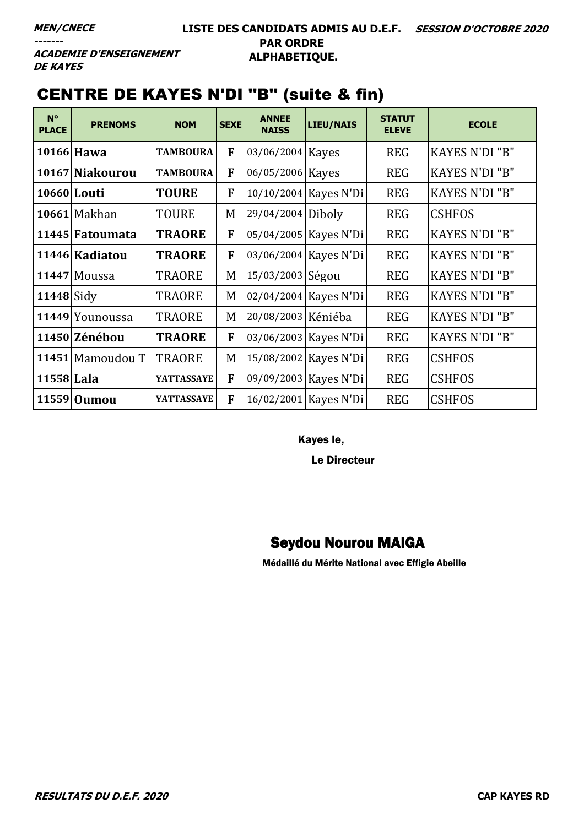#### **LISTE DES CANDIDATS ADMIS AU D.E.F. SESSION D'OCTOBRE 2020 PAR ORDRE ALPHABETIQUE.**

**ACADEMIE D'ENSEIGNEMENT DE KAYES** 

# CENTRE DE KAYES N'DI ''B'' (suite & fin)

| $N^{\circ}$<br><b>PLACE</b> | <b>PRENOMS</b>   | <b>NOM</b>        | <b>SEXE</b> | <b>ANNEE</b><br><b>NAISS</b> | LIEU/NAIS               | <b>STATUT</b><br><b>ELEVE</b> | <b>ECOLE</b>          |
|-----------------------------|------------------|-------------------|-------------|------------------------------|-------------------------|-------------------------------|-----------------------|
|                             | 10166 Hawa       | <b>TAMBOURA</b>   | F           | 03/06/2004 Kayes             |                         | <b>REG</b>                    | <b>KAYES N'DI "B"</b> |
|                             | 10167 Niakourou  | <b>TAMBOURA</b>   | F           | 06/05/2006 Kayes             |                         | <b>REG</b>                    | <b>KAYES N'DI "B"</b> |
|                             | 10660 Louti      | <b>TOURE</b>      | F           |                              | 10/10/2004 Kayes N'Di   | <b>REG</b>                    | <b>KAYES N'DI "B"</b> |
|                             | 10661 Makhan     | <b>TOURE</b>      | M           | 29/04/2004 Diboly            |                         | <b>REG</b>                    | <b>CSHFOS</b>         |
|                             | 11445 Fatoumata  | <b>TRAORE</b>     | F           |                              | 05/04/2005 Kayes N'Di   | <b>REG</b>                    | <b>KAYES N'DI "B"</b> |
|                             | 11446 Kadiatou   | <b>TRAORE</b>     | F           |                              | 03/06/2004 Kayes N'Di   | <b>REG</b>                    | <b>KAYES N'DI "B"</b> |
|                             | 11447 Moussa     | <b>TRAORE</b>     | M           | 15/03/2003 Ségou             |                         | <b>REG</b>                    | <b>KAYES N'DI "B"</b> |
| $11448$ Sidy                |                  | <b>TRAORE</b>     | M           |                              | 02/04/2004 Kayes N'Di   | <b>REG</b>                    | <b>KAYES N'DI "B"</b> |
|                             | 11449 Younoussa  | <b>TRAORE</b>     | M           | 20/08/2003 Kéniéba           |                         | <b>REG</b>                    | <b>KAYES N'DI "B"</b> |
|                             | 11450 Zénébou    | <b>TRAORE</b>     | F           |                              | 03/06/2003 Kayes N'Di   | <b>REG</b>                    | <b>KAYES N'DI "B"</b> |
|                             | 11451 Mamoudou T | TRAORE            | M           |                              | 15/08/2002   Kayes N'Di | <b>REG</b>                    | <b>CSHFOS</b>         |
| 11558 Lala                  |                  | <b>YATTASSAYE</b> | F           |                              | 09/09/2003   Kayes N'Di | <b>REG</b>                    | <b>CSHFOS</b>         |
|                             | 11559 Oumou      | <b>YATTASSAYE</b> | F           |                              | 16/02/2001 Kayes N'Di   | <b>REG</b>                    | <b>CSHFOS</b>         |

Kayes le,

Le Directeur

#### Seydou Nourou MAIGA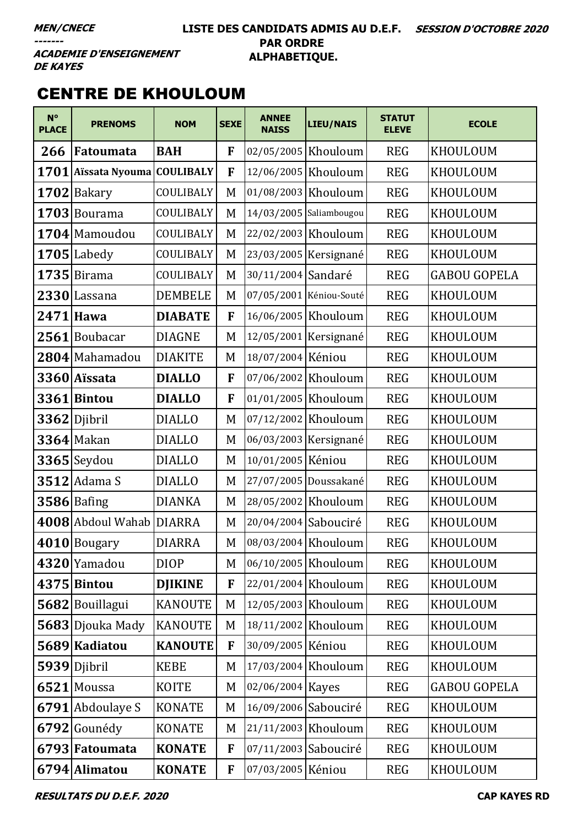#### **LISTE DES CANDIDATS ADMIS AU D.E.F. SESSION D'OCTOBRE 2020 PAR ORDRE ALPHABETIQUE.**

**ACADEMIE D'ENSEIGNEMENT DE KAYES** 

### CENTRE DE KHOULOUM

| $N^{\circ}$<br><b>PLACE</b> | <b>PRENOMS</b>           | <b>NOM</b>     | <b>SEXE</b> | <b>ANNEE</b><br><b>NAISS</b> | LIEU/NAIS               | <b>STATUT</b><br><b>ELEVE</b> | <b>ECOLE</b>        |
|-----------------------------|--------------------------|----------------|-------------|------------------------------|-------------------------|-------------------------------|---------------------|
| 266                         | Fatoumata                | <b>BAH</b>     | F           | 02/05/2005 Khouloum          |                         | <b>REG</b>                    | KHOULOUM            |
| 1701                        | Aïssata Nyouma COULIBALY |                | F           |                              | 12/06/2005 Khouloum     | <b>REG</b>                    | KHOULOUM            |
|                             | 1702 Bakary              | COULIBALY      | M           | 01/08/2003 Khouloum          |                         | <b>REG</b>                    | KHOULOUM            |
|                             | $1703$ Bourama           | COULIBALY      | M           |                              | 14/03/2005 Saliambougou | <b>REG</b>                    | KHOULOUM            |
|                             | 1704 Mamoudou            | COULIBALY      | M           |                              | 22/02/2003 Khouloum     | <b>REG</b>                    | KHOULOUM            |
|                             | 1705 Labedy              | COULIBALY      | M           |                              | 23/03/2005 Kersignané   | <b>REG</b>                    | KHOULOUM            |
|                             | $1735$ Birama            | COULIBALY      | M           | 30/11/2004 Sandaré           |                         | <b>REG</b>                    | <b>GABOU GOPELA</b> |
|                             | 2330 Lassana             | <b>DEMBELE</b> | M           |                              | 07/05/2001 Kéniou-Souté | <b>REG</b>                    | KHOULOUM            |
|                             | 2471 Hawa                | <b>DIABATE</b> | F           |                              | 16/06/2005   Khouloum   | <b>REG</b>                    | KHOULOUM            |
|                             | 2561 Boubacar            | <b>DIAGNE</b>  | M           |                              | 12/05/2001 Kersignané   | <b>REG</b>                    | KHOULOUM            |
|                             | 2804 Mahamadou           | <b>DIAKITE</b> | M           | 18/07/2004 Kéniou            |                         | <b>REG</b>                    | KHOULOUM            |
|                             | 3360 Aïssata             | <b>DIALLO</b>  | F           |                              | 07/06/2002 Khouloum     | <b>REG</b>                    | KHOULOUM            |
|                             | 3361 Bintou              | <b>DIALLO</b>  | F           |                              | 01/01/2005 Khouloum     | <b>REG</b>                    | KHOULOUM            |
|                             | 3362 Djibril             | <b>DIALLO</b>  | M           | 07/12/2002 Khouloum          |                         | <b>REG</b>                    | KHOULOUM            |
|                             | $3364$ Makan             | <b>DIALLO</b>  | M           |                              | 06/03/2003 Kersignané   | <b>REG</b>                    | KHOULOUM            |
|                             | $3365$ Seydou            | <b>DIALLO</b>  | M           | 10/01/2005 Kéniou            |                         | <b>REG</b>                    | KHOULOUM            |
|                             | $3512$ Adama S           | <b>DIALLO</b>  | M           |                              | 27/07/2005 Doussakané   | <b>REG</b>                    | KHOULOUM            |
|                             | $3586$ Bafing            | <b>DIANKA</b>  | M           | 28/05/2002 Khouloum          |                         | <b>REG</b>                    | KHOULOUM            |
|                             | 4008 Abdoul Wahab        | <b>DIARRA</b>  | M           | 20/04/2004 Sabouciré         |                         | <b>REG</b>                    | KHOULOUM            |
|                             | 4010 Bougary             | <b>DIARRA</b>  | M           | 08/03/2004 Khouloum          |                         | <b>REG</b>                    | KHOULOUM            |
|                             | 4320 Yamadou             | <b>DIOP</b>    | M           | 06/10/2005 Khouloum          |                         | <b>REG</b>                    | KHOULOUM            |
|                             | 4375 Bintou              | <b>DJIKINE</b> | F           |                              | 22/01/2004 Khouloum     | <b>REG</b>                    | <b>KHOULOUM</b>     |
|                             | 5682 Bouillagui          | <b>KANOUTE</b> | M           |                              | 12/05/2003 Khouloum     | <b>REG</b>                    | KHOULOUM            |
|                             | 5683 Djouka Mady         | <b>KANOUTE</b> | M           |                              | 18/11/2002 Khouloum     | <b>REG</b>                    | KHOULOUM            |
|                             | 5689 Kadiatou            | <b>KANOUTE</b> | F           | 30/09/2005 Kéniou            |                         | <b>REG</b>                    | KHOULOUM            |
|                             | 5939 Djibril             | <b>KEBE</b>    | M           |                              | 17/03/2004 Khouloum     | <b>REG</b>                    | KHOULOUM            |
|                             | 6521 Moussa              | <b>KOITE</b>   | M           | 02/06/2004 Kayes             |                         | <b>REG</b>                    | <b>GABOU GOPELA</b> |
|                             | 6791 Abdoulaye S         | <b>KONATE</b>  | M           | 16/09/2006 Sabouciré         |                         | <b>REG</b>                    | KHOULOUM            |
|                             | 6792 Gounédy             | <b>KONATE</b>  | M           | 21/11/2003 Khouloum          |                         | <b>REG</b>                    | KHOULOUM            |
|                             | 6793 Fatoumata           | <b>KONATE</b>  | F           | 07/11/2003 Sabouciré         |                         | <b>REG</b>                    | KHOULOUM            |
|                             | 6794 Alimatou            | <b>KONATE</b>  | F           | 07/03/2005 Kéniou            |                         | <b>REG</b>                    | KHOULOUM            |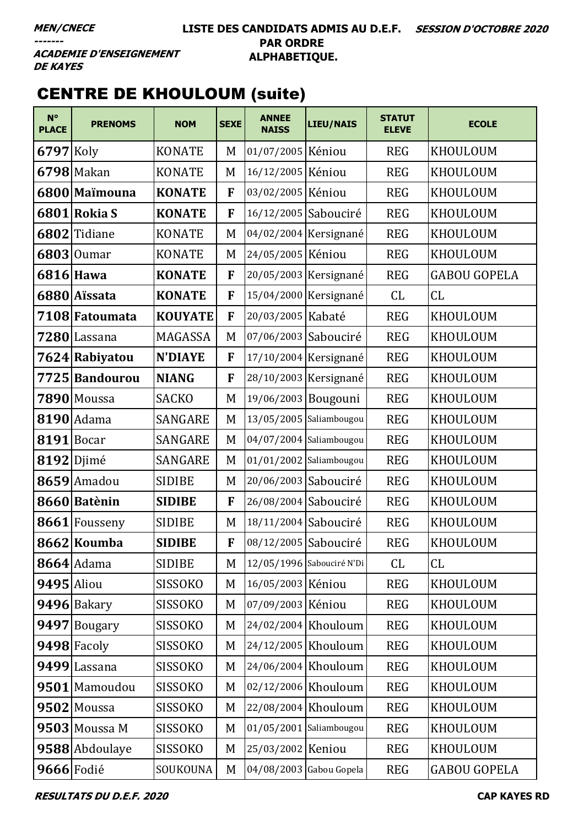#### **LISTE DES CANDIDATS ADMIS AU D.E.F. SESSION D'OCTOBRE 2020 PAR ORDRE ALPHABETIQUE.**

**ACADEMIE D'ENSEIGNEMENT DE KAYES** 

# CENTRE DE KHOULOUM (suite)

| $N^{\circ}$<br><b>PLACE</b> | <b>PRENOMS</b>  | <b>NOM</b>     | <b>SEXE</b> | <b>ANNEE</b><br><b>NAISS</b> | <b>LIEU/NAIS</b>          | <b>STATUT</b><br><b>ELEVE</b> | <b>ECOLE</b>        |
|-----------------------------|-----------------|----------------|-------------|------------------------------|---------------------------|-------------------------------|---------------------|
| $6797$ Koly                 |                 | <b>KONATE</b>  | M           | 01/07/2005 Kéniou            |                           | <b>REG</b>                    | KHOULOUM            |
|                             | 6798 Makan      | <b>KONATE</b>  | M           | 16/12/2005 Kéniou            |                           | <b>REG</b>                    | KHOULOUM            |
|                             | 6800 Maïmouna   | <b>KONATE</b>  | F           | 03/02/2005 Kéniou            |                           | <b>REG</b>                    | KHOULOUM            |
|                             | 6801 Rokia S    | <b>KONATE</b>  | F           | 16/12/2005 Sabouciré         |                           | <b>REG</b>                    | KHOULOUM            |
|                             | 6802 Tidiane    | <b>KONATE</b>  | M           |                              | 04/02/2004 Kersignané     | <b>REG</b>                    | KHOULOUM            |
|                             | $6803$ Oumar    | <b>KONATE</b>  | M           | 24/05/2005 Kéniou            |                           | <b>REG</b>                    | KHOULOUM            |
|                             | 6816 Hawa       | <b>KONATE</b>  | F           |                              | 20/05/2003 Kersignané     | <b>REG</b>                    | <b>GABOU GOPELA</b> |
|                             | 6880 Aïssata    | <b>KONATE</b>  | F           |                              | 15/04/2000 Kersignané     | CL                            | CL                  |
|                             | 7108 Fatoumata  | <b>KOUYATE</b> | F           | 20/03/2005 Kabaté            |                           | <b>REG</b>                    | KHOULOUM            |
|                             | 7280 Lassana    | MAGASSA        | M           | 07/06/2003 Sabouciré         |                           | <b>REG</b>                    | KHOULOUM            |
|                             | 7624 Rabiyatou  | <b>N'DIAYE</b> | F           |                              | 17/10/2004 Kersignané     | <b>REG</b>                    | KHOULOUM            |
|                             | 7725 Bandourou  | <b>NIANG</b>   | F           |                              | 28/10/2003 Kersignané     | <b>REG</b>                    | KHOULOUM            |
|                             | 7890 Moussa     | <b>SACKO</b>   | M           | 19/06/2003 Bougouni          |                           | <b>REG</b>                    | KHOULOUM            |
|                             | $8190$ Adama    | <b>SANGARE</b> | M           |                              | 13/05/2005 Saliambougou   | <b>REG</b>                    | KHOULOUM            |
|                             | 8191 Bocar      | <b>SANGARE</b> | M           |                              | 04/07/2004 Saliambougou   | <b>REG</b>                    | KHOULOUM            |
|                             | 8192 Djimé      | SANGARE        | M           |                              | $01/01/2002$ Saliambougou | <b>REG</b>                    | KHOULOUM            |
|                             | 8659 Amadou     | <b>SIDIBE</b>  | M           | 20/06/2003 Sabouciré         |                           | <b>REG</b>                    | KHOULOUM            |
|                             | 8660 Batènin    | <b>SIDIBE</b>  | F           | 26/08/2004 Sabouciré         |                           | <b>REG</b>                    | KHOULOUM            |
|                             | 8661 Fousseny   | <b>SIDIBE</b>  | M           | 18/11/2004 Sabouciré         |                           | <b>REG</b>                    | KHOULOUM            |
|                             | 8662 Koumba     | <b>SIDIBE</b>  | F           | 08/12/2005 Sabouciré         |                           | <b>REG</b>                    | KHOULOUM            |
|                             | $8664$ Adama    | <b>SIDIBE</b>  | M           |                              | 12/05/1996 Sabouciré N'Di | CL                            | CL                  |
| 9495 Aliou                  |                 | <b>SISSOKO</b> | M           | 16/05/2003 Kéniou            |                           | <b>REG</b>                    | KHOULOUM            |
|                             | 9496 Bakary     | <b>SISSOKO</b> | M           | 07/09/2003 Kéniou            |                           | <b>REG</b>                    | <b>KHOULOUM</b>     |
|                             | 9497 Bougary    | <b>SISSOKO</b> | M           |                              | 24/02/2004 Khouloum       | <b>REG</b>                    | KHOULOUM            |
|                             | 9498 Facoly     | <b>SISSOKO</b> | M           | 24/12/2005 Khouloum          |                           | <b>REG</b>                    | KHOULOUM            |
|                             | 9499 Lassana    | <b>SISSOKO</b> | M           |                              | 24/06/2004 Khouloum       | <b>REG</b>                    | KHOULOUM            |
|                             | 9501 Mamoudou   | <b>SISSOKO</b> | M           | 02/12/2006 Khouloum          |                           | <b>REG</b>                    | <b>KHOULOUM</b>     |
|                             | 9502 Moussa     | <b>SISSOKO</b> | M           |                              | 22/08/2004 Khouloum       | <b>REG</b>                    | KHOULOUM            |
|                             | $9503$ Moussa M | <b>SISSOKO</b> | M           |                              | 01/05/2001 Saliambougou   | <b>REG</b>                    | KHOULOUM            |
|                             | 9588 Abdoulaye  | <b>SISSOKO</b> | M           | 25/03/2002 Keniou            |                           | <b>REG</b>                    | KHOULOUM            |
|                             | 9666 Fodié      | SOUKOUNA       | M           |                              | 04/08/2003 Gabou Gopela   | <b>REG</b>                    | <b>GABOU GOPELA</b> |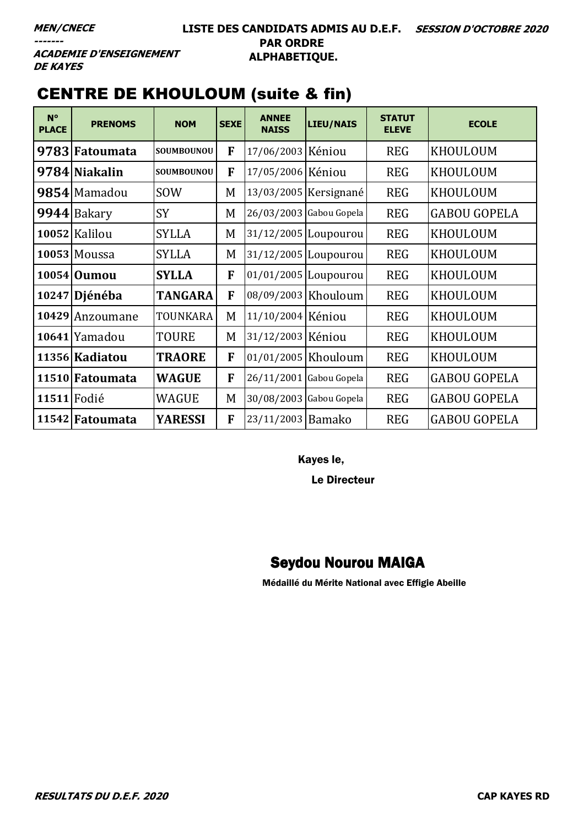**ACADEMIE D'ENSEIGNEMENT DE KAYES** 

# CENTRE DE KHOULOUM (suite & fin)

| $N^{\circ}$<br><b>PLACE</b> | <b>PRENOMS</b>  | <b>NOM</b>        | <b>SEXE</b> | <b>ANNEE</b><br><b>NAISS</b> | LIEU/NAIS                 | <b>STATUT</b><br><b>ELEVE</b> | <b>ECOLE</b>        |
|-----------------------------|-----------------|-------------------|-------------|------------------------------|---------------------------|-------------------------------|---------------------|
|                             | 9783 Fatoumata  | SOUMBOUNOU        | F           | 17/06/2003 Kéniou            |                           | <b>REG</b>                    | KHOULOUM            |
|                             | 9784 Niakalin   | <b>SOUMBOUNOU</b> | F           | 17/05/2006 Kéniou            |                           | <b>REG</b>                    | KHOULOUM            |
|                             | 9854 Mamadou    | <b>SOW</b>        | M           |                              | 13/03/2005 Kersignané     | <b>REG</b>                    | KHOULOUM            |
|                             | 9944 Bakary     | <b>SY</b>         | M           |                              | 26/03/2003 Gabou Gopela   | <b>REG</b>                    | <b>GABOU GOPELA</b> |
|                             | 10052 Kalilou   | <b>SYLLA</b>      | M           |                              | 31/12/2005 Loupourou      | <b>REG</b>                    | <b>KHOULOUM</b>     |
|                             | $10053$ Moussa  | <b>SYLLA</b>      | M           |                              | 31/12/2005   Loupourou    | <b>REG</b>                    | KHOULOUM            |
|                             | 10054 Oumou     | <b>SYLLA</b>      | F           |                              | 01/01/2005 Loupourou      | <b>REG</b>                    | <b>KHOULOUM</b>     |
|                             | 10247 Djénéba   | <b>TANGARA</b>    | F           | 08/09/2003 Khouloum          |                           | <b>REG</b>                    | KHOULOUM            |
|                             | 10429 Anzoumane | TOUNKARA          | M           | 11/10/2004 Kéniou            |                           | <b>REG</b>                    | KHOULOUM            |
|                             | 10641 Yamadou   | <b>TOURE</b>      | M           | 31/12/2003 Kéniou            |                           | <b>REG</b>                    | KHOULOUM            |
|                             | 11356 Kadiatou  | <b>TRAORE</b>     | F           |                              | 01/01/2005 Khouloum       | <b>REG</b>                    | KHOULOUM            |
|                             | 11510 Fatoumata | <b>WAGUE</b>      | F           |                              | $26/11/2001$ Gabou Gopela | <b>REG</b>                    | <b>GABOU GOPELA</b> |
| 11511 Fodié                 |                 | <b>WAGUE</b>      | M           |                              | 30/08/2003 Gabou Gopela   | <b>REG</b>                    | <b>GABOU GOPELA</b> |
|                             | 11542 Fatoumata | <b>YARESSI</b>    | F           | 23/11/2003 Bamako            |                           | <b>REG</b>                    | <b>GABOU GOPELA</b> |

Kayes le,

Le Directeur

### Seydou Nourou MAIGA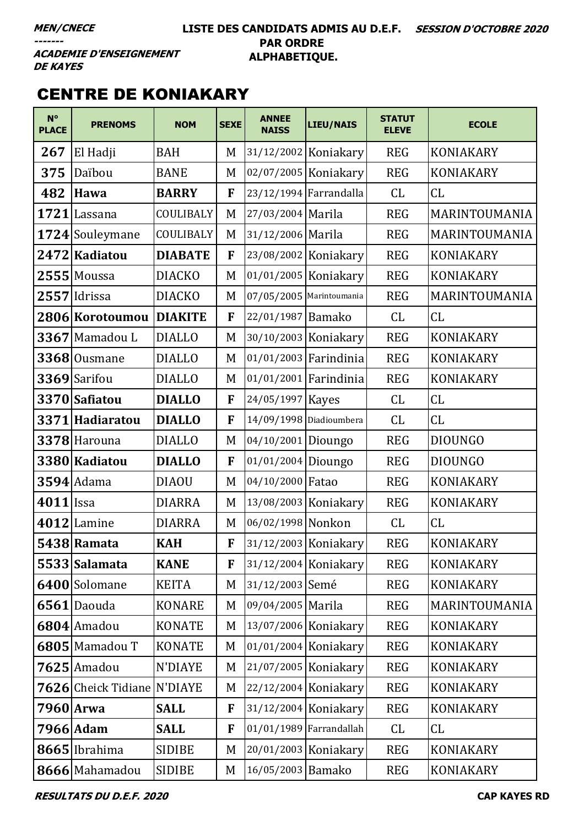#### **LISTE DES CANDIDATS ADMIS AU D.E.F. SESSION D'OCTOBRE 2020 PAR ORDRE ALPHABETIQUE.**

**ACADEMIE D'ENSEIGNEMENT DE KAYES** 

# CENTRE DE KONIAKARY

| $N^{\circ}$<br><b>PLACE</b> | <b>PRENOMS</b>              | <b>NOM</b>     | <b>SEXE</b> | <b>ANNEE</b><br><b>NAISS</b> | <b>LIEU/NAIS</b>          | <b>STATUT</b><br><b>ELEVE</b> | <b>ECOLE</b>     |
|-----------------------------|-----------------------------|----------------|-------------|------------------------------|---------------------------|-------------------------------|------------------|
| 267                         | El Hadji                    | <b>BAH</b>     | M           |                              | 31/12/2002 Koniakary      | <b>REG</b>                    | <b>KONIAKARY</b> |
| 375                         | Daïbou                      | <b>BANE</b>    | M           |                              | 02/07/2005 Koniakary      | <b>REG</b>                    | <b>KONIAKARY</b> |
| 482                         | Hawa                        | <b>BARRY</b>   | F           |                              | 23/12/1994 Farrandalla    | CL                            | CL               |
|                             | 1721 Lassana                | COULIBALY      | M           | 27/03/2004 Marila            |                           | <b>REG</b>                    | MARINTOUMANIA    |
|                             | 1724 Souleymane             | COULIBALY      | M           | 31/12/2006 Marila            |                           | <b>REG</b>                    | MARINTOUMANIA    |
|                             | 2472 Kadiatou               | <b>DIABATE</b> | F           |                              | 23/08/2002 Koniakary      | <b>REG</b>                    | <b>KONIAKARY</b> |
|                             | $2555$ Moussa               | <b>DIACKO</b>  | M           |                              | 01/01/2005 Koniakary      | <b>REG</b>                    | <b>KONIAKARY</b> |
|                             | 2557 Idrissa                | <b>DIACKO</b>  | M           | 07/05/2005 Marintoumania     |                           | <b>REG</b>                    | MARINTOUMANIA    |
|                             | 2806 Korotoumou             | <b>DIAKITE</b> | F           | 22/01/1987 Bamako            |                           | CL                            | CL               |
|                             | 3367 Mamadou L              | <b>DIALLO</b>  | M           |                              | 30/10/2003 Koniakary      | <b>REG</b>                    | <b>KONIAKARY</b> |
|                             | $3368$ Ousmane              | <b>DIALLO</b>  | M           |                              | $01/01/2003$ Farindinia   | <b>REG</b>                    | <b>KONIAKARY</b> |
|                             | 3369 Sarifou                | <b>DIALLO</b>  | M           |                              | 01/01/2001 Farindinia     | <b>REG</b>                    | <b>KONIAKARY</b> |
|                             | 3370 Safiatou               | <b>DIALLO</b>  | F           | 24/05/1997 Kayes             |                           | CL                            | CL               |
|                             | 3371 Hadiaratou             | <b>DIALLO</b>  | F           |                              | 14/09/1998 Diadioumbera   | CL                            | CL               |
|                             | 3378 Harouna                | <b>DIALLO</b>  | M           | 04/10/2001 Dioungo           |                           | <b>REG</b>                    | <b>DIOUNGO</b>   |
|                             | 3380 Kadiatou               | <b>DIALLO</b>  | F           | $01/01/2004$ Dioungo         |                           | <b>REG</b>                    | <b>DIOUNGO</b>   |
|                             | $3594$ Adama                | <b>DIAOU</b>   | M           | 04/10/2000 Fatao             |                           | <b>REG</b>                    | <b>KONIAKARY</b> |
| 4011 Issa                   |                             | <b>DIARRA</b>  | M           |                              | 13/08/2003 Koniakary      | <b>REG</b>                    | <b>KONIAKARY</b> |
|                             | 4012 Lamine                 | <b>DIARRA</b>  | M           | 06/02/1998 Nonkon            |                           | CL                            | CL               |
|                             | 5438 Ramata                 | <b>KAH</b>     | F           |                              | 31/12/2003 Koniakary      | <b>REG</b>                    | KONIAKARY        |
|                             | 5533 Salamata               | <b>KANE</b>    | F           |                              | 31/12/2004 Koniakary      | <b>REG</b>                    | KONIAKARY        |
|                             | 6400 Solomane               | <b>KEITA</b>   | M           | 31/12/2003 Semé              |                           | <b>REG</b>                    | <b>KONIAKARY</b> |
|                             | 6561 Daouda                 | <b>KONARE</b>  | M           | 09/04/2005 Marila            |                           | <b>REG</b>                    | MARINTOUMANIA    |
|                             | 6804 Amadou                 | <b>KONATE</b>  | M           |                              | 13/07/2006 Koniakary      | <b>REG</b>                    | <b>KONIAKARY</b> |
|                             | 6805 Mamadou T              | <b>KONATE</b>  | M           |                              | $01/01/2004$ Koniakary    | <b>REG</b>                    | <b>KONIAKARY</b> |
|                             | $7625$ Amadou               | <b>N'DIAYE</b> | M           |                              | 21/07/2005 Koniakary      | <b>REG</b>                    | <b>KONIAKARY</b> |
|                             | 7626 Cheick Tidiane N'DIAYE |                | M           |                              | $22/12/2004$ Koniakary    | <b>REG</b>                    | <b>KONIAKARY</b> |
|                             | 7960 Arwa                   | <b>SALL</b>    | F           |                              | 31/12/2004 Koniakary      | <b>REG</b>                    | <b>KONIAKARY</b> |
|                             | 7966 Adam                   | <b>SALL</b>    | F           |                              | $01/01/1989$ Farrandallah | CL                            | CL               |
|                             | 8665 Ibrahima               | <b>SIDIBE</b>  | M           |                              | 20/01/2003 Koniakary      | <b>REG</b>                    | <b>KONIAKARY</b> |
|                             | 8666 Mahamadou              | <b>SIDIBE</b>  | M           | 16/05/2003 Bamako            |                           | <b>REG</b>                    | <b>KONIAKARY</b> |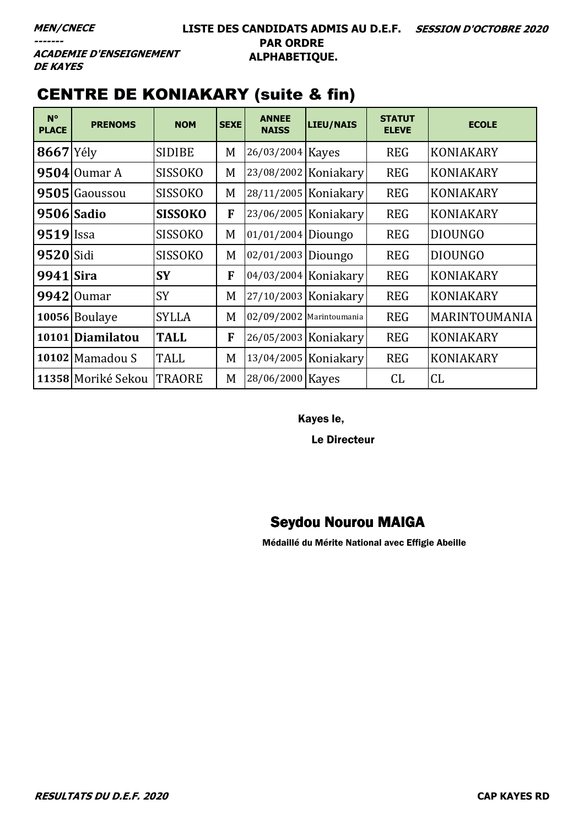**ACADEMIE D'ENSEIGNEMENT DE KAYES** 

# CENTRE DE KONIAKARY (suite & fin)

| $N^{\circ}$<br><b>PLACE</b> | <b>PRENOMS</b>     | <b>NOM</b>     | <b>SEXE</b> | <b>ANNEE</b><br><b>NAISS</b> | LIEU/NAIS              | <b>STATUT</b><br><b>ELEVE</b> | <b>ECOLE</b>     |
|-----------------------------|--------------------|----------------|-------------|------------------------------|------------------------|-------------------------------|------------------|
| $8667$ Yély                 |                    | <b>SIDIBE</b>  | M           | 26/03/2004 Kayes             |                        | <b>REG</b>                    | <b>KONIAKARY</b> |
|                             | $9504$ Oumar A     | <b>SISSOKO</b> | M           |                              | 23/08/2002 Koniakary   | <b>REG</b>                    | <b>KONIAKARY</b> |
|                             | 9505 Gaoussou      | <b>SISSOKO</b> | M           |                              | 28/11/2005   Koniakary | <b>REG</b>                    | <b>KONIAKARY</b> |
|                             | 9506 Sadio         | <b>SISSOKO</b> | F           |                              | 23/06/2005 Koniakary   | <b>REG</b>                    | <b>KONIAKARY</b> |
| 9519                        | <b>Issa</b>        | <b>SISSOKO</b> | M           | 01/01/2004 Dioungo           |                        | <b>REG</b>                    | <b>DIOUNGO</b>   |
| <b>9520</b> Sidi            |                    | <b>SISSOKO</b> | M           | 02/01/2003 Dioungo           |                        | <b>REG</b>                    | <b>DIOUNGO</b>   |
| 9941 Sira                   |                    | <b>SY</b>      | F           |                              | 04/03/2004 Koniakary   | <b>REG</b>                    | <b>KONIAKARY</b> |
|                             | $9942$ Oumar       | <b>SY</b>      | M           |                              | 27/10/2003 Koniakary   | <b>REG</b>                    | <b>KONIAKARY</b> |
|                             | 10056 Boulaye      | <b>SYLLA</b>   | M           | 02/09/2002 Marintoumania     |                        | <b>REG</b>                    | MARINTOUMANIA    |
|                             | 10101 Diamilatou   | <b>TALL</b>    | F           |                              | 26/05/2003   Koniakary | <b>REG</b>                    | <b>KONIAKARY</b> |
|                             | 10102 Mamadou S    | <b>TALL</b>    | M           |                              | 13/04/2005 Koniakary   | <b>REG</b>                    | <b>KONIAKARY</b> |
|                             | 11358 Moriké Sekou | <b>TRAORE</b>  | M           | 28/06/2000 Kayes             |                        | CL                            | CL               |

Kayes le,

Le Directeur

#### Seydou Nourou MAIGA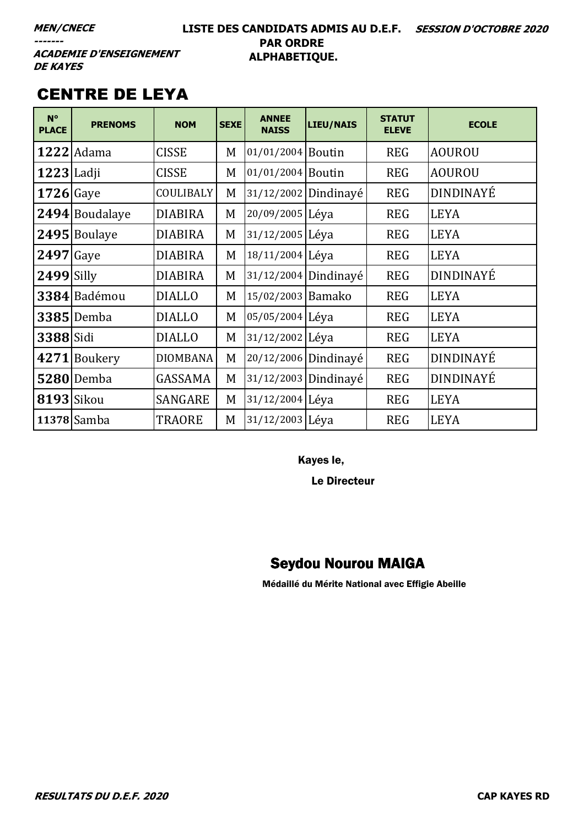#### **LISTE DES CANDIDATS ADMIS AU D.E.F. SESSION D'OCTOBRE 2020 PAR ORDRE ALPHABETIQUE.**

**ACADEMIE D'ENSEIGNEMENT DE KAYES** 

# CENTRE DE LEYA

| $N^{\circ}$<br><b>PLACE</b> | <b>PRENOMS</b>    | <b>NOM</b>      | <b>SEXE</b> | <b>ANNEE</b><br><b>NAISS</b> | LIEU/NAIS            | <b>STATUT</b><br><b>ELEVE</b> | <b>ECOLE</b>     |
|-----------------------------|-------------------|-----------------|-------------|------------------------------|----------------------|-------------------------------|------------------|
|                             | <b>1222</b> Adama | <b>CISSE</b>    | M           | 01/01/2004 Boutin            |                      | <b>REG</b>                    | <b>AOUROU</b>    |
| <b>1223</b> Ladji           |                   | <b>CISSE</b>    | M           | 01/01/2004 Boutin            |                      | <b>REG</b>                    | <b>AOUROU</b>    |
| $1726$ Gaye                 |                   | COULIBALY       | M           |                              | 31/12/2002 Dindinayé | <b>REG</b>                    | DINDINAYÉ        |
|                             | 2494 Boudalaye    | <b>DIABIRA</b>  | M           | 20/09/2005 Léya              |                      | <b>REG</b>                    | <b>LEYA</b>      |
|                             | 2495 Boulaye      | <b>DIABIRA</b>  | M           | 31/12/2005 Léya              |                      | <b>REG</b>                    | <b>LEYA</b>      |
| <b>2497</b> Gaye            |                   | <b>DIABIRA</b>  | M           | 18/11/2004 Léva              |                      | <b>REG</b>                    | <b>LEYA</b>      |
| <b>2499</b> Silly           |                   | <b>DIABIRA</b>  | M           |                              | 31/12/2004 Dindinayé | <b>REG</b>                    | <b>DINDINAYÉ</b> |
|                             | 3384 Badémou      | <b>DIALLO</b>   | M           | 15/02/2003 Bamako            |                      | <b>REG</b>                    | <b>LEYA</b>      |
|                             | <b>3385</b> Demba | <b>DIALLO</b>   | M           | 05/05/2004 Léya              |                      | <b>REG</b>                    | <b>LEYA</b>      |
| 3388 Sidi                   |                   | <b>DIALLO</b>   | M           | 31/12/2002 Léya              |                      | <b>REG</b>                    | <b>LEYA</b>      |
|                             | 4271 Boukery      | <b>DIOMBANA</b> | M           | 20/12/2006 Dindinayé         |                      | <b>REG</b>                    | DINDINAYÉ        |
|                             | <b>5280</b> Demba | GASSAMA         | M           |                              | 31/12/2003 Dindinayé | <b>REG</b>                    | DINDINAYÉ        |
| 8193 Sikou                  |                   | SANGARE         | M           | 31/12/2004 Léva              |                      | <b>REG</b>                    | <b>LEYA</b>      |
|                             | 11378 Samba       | <b>TRAORE</b>   | M           | 31/12/2003 Léya              |                      | <b>REG</b>                    | <b>LEYA</b>      |

Kayes le,

Le Directeur

### Seydou Nourou MAIGA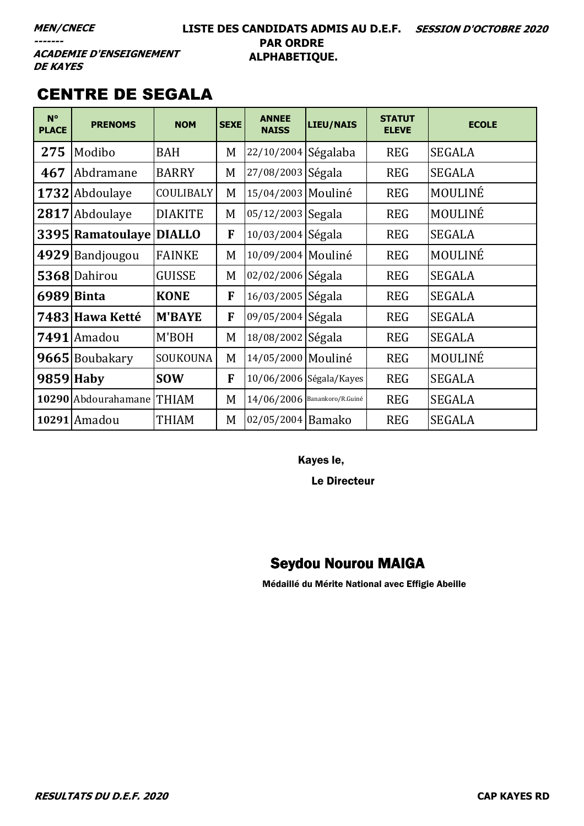#### **LISTE DES CANDIDATS ADMIS AU D.E.F. SESSION D'OCTOBRE 2020 PAR ORDRE ALPHABETIQUE.**

**ACADEMIE D'ENSEIGNEMENT DE KAYES** 

### CENTRE DE SEGALA

| $N^{\circ}$<br><b>PLACE</b> | <b>PRENOMS</b>            | <b>NOM</b>       | <b>SEXE</b> | <b>ANNEE</b><br><b>NAISS</b> | <b>LIEU/NAIS</b>               | <b>STATUT</b><br><b>ELEVE</b> | <b>ECOLE</b>  |
|-----------------------------|---------------------------|------------------|-------------|------------------------------|--------------------------------|-------------------------------|---------------|
| 275                         | Modibo                    | <b>BAH</b>       | M           | 22/10/2004 Ségalaba          |                                | <b>REG</b>                    | <b>SEGALA</b> |
| 467                         | Abdramane                 | <b>BARRY</b>     | M           | 27/08/2003 Ségala            |                                | <b>REG</b>                    | <b>SEGALA</b> |
|                             | 1732 Abdoulaye            | <b>COULIBALY</b> | M           | 15/04/2003 Mouliné           |                                | <b>REG</b>                    | MOULINÉ       |
|                             | 2817 Abdoulaye            | <b>DIAKITE</b>   | M           | 05/12/2003 Segala            |                                | <b>REG</b>                    | MOULINÉ       |
|                             | 3395 Ramatoulaye DIALLO   |                  | F           | 10/03/2004 Ségala            |                                | <b>REG</b>                    | <b>SEGALA</b> |
|                             | 4929 Bandjougou           | <b>FAINKE</b>    | M           | 10/09/2004 Mouliné           |                                | <b>REG</b>                    | MOULINÉ       |
|                             | 5368 Dahirou              | <b>GUISSE</b>    | M           | 02/02/2006 Ségala            |                                | <b>REG</b>                    | <b>SEGALA</b> |
|                             | 6989 Binta                | <b>KONE</b>      | F           | 16/03/2005 Ségala            |                                | <b>REG</b>                    | <b>SEGALA</b> |
|                             | 7483 Hawa Ketté           | <b>M'BAYE</b>    | F           | 09/05/2004 Ségala            |                                | <b>REG</b>                    | <b>SEGALA</b> |
|                             | 7491 Amadou               | M'BOH            | M           | 18/08/2002 Ségala            |                                | <b>REG</b>                    | <b>SEGALA</b> |
|                             | 9665 Boubakary            | SOUKOUNA         | M           | 14/05/2000   Mouliné         |                                | <b>REG</b>                    | MOULINÉ       |
|                             | 9859 Haby                 | <b>SOW</b>       | F           |                              | 10/06/2006 Ségala/Kayes        | <b>REG</b>                    | <b>SEGALA</b> |
|                             | 10290 Abdourahamane THIAM |                  | M           |                              | $14/06/2006$ Banankoro/R.Guiné | <b>REG</b>                    | <b>SEGALA</b> |
|                             | 10291 Amadou              | <b>THIAM</b>     | M           | 02/05/2004 Bamako            |                                | <b>REG</b>                    | <b>SEGALA</b> |

Kayes le,

Le Directeur

### Seydou Nourou MAIGA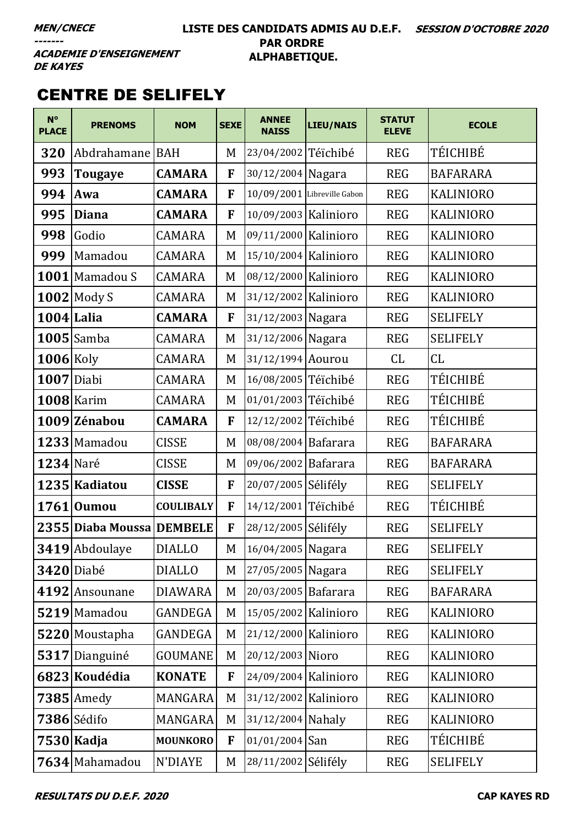#### **LISTE DES CANDIDATS ADMIS AU D.E.F. SESSION D'OCTOBRE 2020 PAR ORDRE ALPHABETIQUE.**

**ACADEMIE D'ENSEIGNEMENT DE KAYES** 

# CENTRE DE SELIFELY

| $N^{\circ}$<br><b>PLACE</b> | <b>PRENOMS</b>            | <b>NOM</b>       | <b>SEXE</b> | <b>ANNEE</b><br><b>NAISS</b> | <b>LIEU/NAIS</b>            | <b>STATUT</b><br><b>ELEVE</b> | <b>ECOLE</b>     |
|-----------------------------|---------------------------|------------------|-------------|------------------------------|-----------------------------|-------------------------------|------------------|
| 320                         | Abdrahamane   BAH         |                  | M           | 23/04/2002 Téïchibé          |                             | <b>REG</b>                    | TÉICHIBÉ         |
| 993                         | <b>Tougaye</b>            | <b>CAMARA</b>    | F           | 30/12/2004 Nagara            |                             | <b>REG</b>                    | <b>BAFARARA</b>  |
| 994                         | Awa                       | <b>CAMARA</b>    | F           |                              | 10/09/2001 Libreville Gabon | <b>REG</b>                    | <b>KALINIORO</b> |
| 995                         | <b>Diana</b>              | <b>CAMARA</b>    | F           | 10/09/2003 Kalinioro         |                             | <b>REG</b>                    | <b>KALINIORO</b> |
| 998                         | Godio                     | <b>CAMARA</b>    | M           | 09/11/2000 Kalinioro         |                             | <b>REG</b>                    | <b>KALINIORO</b> |
| 999                         | Mamadou                   | <b>CAMARA</b>    | M           | $15/10/2004$ Kalinioro       |                             | <b>REG</b>                    | <b>KALINIORO</b> |
|                             | 1001 Mamadou S            | <b>CAMARA</b>    | M           | 08/12/2000 Kalinioro         |                             | <b>REG</b>                    | <b>KALINIORO</b> |
|                             | $1002$ Mody S             | <b>CAMARA</b>    | M           | 31/12/2002   Kalinioro       |                             | <b>REG</b>                    | <b>KALINIORO</b> |
| $1004$ Lalia                |                           | <b>CAMARA</b>    | F           | 31/12/2003 Nagara            |                             | <b>REG</b>                    | <b>SELIFELY</b>  |
|                             | $1005$ Samba              | <b>CAMARA</b>    | M           | 31/12/2006 Nagara            |                             | <b>REG</b>                    | <b>SELIFELY</b>  |
| $1006$ Koly                 |                           | <b>CAMARA</b>    | M           | 31/12/1994 Aourou            |                             | CL                            | CL               |
| $1007$ Diabi                |                           | <b>CAMARA</b>    | M           | 16/08/2005 Téïchibé          |                             | <b>REG</b>                    | TÉICHIBÉ         |
|                             | $1008$  Karim             | <b>CAMARA</b>    | M           | 01/01/2003 Téïchibé          |                             | <b>REG</b>                    | TÉICHIBÉ         |
|                             | 1009 Zénabou              | <b>CAMARA</b>    | F           | 12/12/2002 Téïchibé          |                             | <b>REG</b>                    | TÉICHIBÉ         |
|                             | 1233 Mamadou              | <b>CISSE</b>     | M           | 08/08/2004 Bafarara          |                             | <b>REG</b>                    | <b>BAFARARA</b>  |
| <b>1234</b> Naré            |                           | <b>CISSE</b>     | M           | 09/06/2002 Bafarara          |                             | <b>REG</b>                    | <b>BAFARARA</b>  |
|                             | 1235 Kadiatou             | <b>CISSE</b>     | F           | 20/07/2005 Sélifély          |                             | <b>REG</b>                    | <b>SELIFELY</b>  |
|                             | $1761$  Oumou             | <b>COULIBALY</b> | F           | 14/12/2001 Téïchibé          |                             | <b>REG</b>                    | TÉICHIBÉ         |
|                             | 2355 Diaba Moussa DEMBELE |                  | F           | 28/12/2005 Sélifély          |                             | <b>REG</b>                    | <b>SELIFELY</b>  |
|                             | 3419 Abdoulaye            | <b>DIALLO</b>    | M           | 16/04/2005 Nagara            |                             | <b>REG</b>                    | <b>SELIFELY</b>  |
|                             | <b>3420</b> Diabé         | <b>DIALLO</b>    | M           | 27/05/2005 Nagara            |                             | <b>REG</b>                    | <b>SELIFELY</b>  |
|                             | 4192 Ansounane            | <b>DIAWARA</b>   | M           | 20/03/2005 Bafarara          |                             | <b>REG</b>                    | <b>BAFARARA</b>  |
|                             | $5219$ Mamadou            | GANDEGA          | M           | 15/05/2002 Kalinioro         |                             | <b>REG</b>                    | <b>KALINIORO</b> |
|                             | 5220 Moustapha            | <b>GANDEGA</b>   | M           | 21/12/2000 Kalinioro         |                             | <b>REG</b>                    | <b>KALINIORO</b> |
|                             | 5317 Dianguiné            | <b>GOUMANE</b>   | M           | 20/12/2003 Nioro             |                             | <b>REG</b>                    | <b>KALINIORO</b> |
|                             | 6823 Koudédia             | <b>KONATE</b>    | F           | 24/09/2004 Kalinioro         |                             | <b>REG</b>                    | <b>KALINIORO</b> |
|                             | $7385$ Amedy              | MANGARA          | M           | 31/12/2002 Kalinioro         |                             | <b>REG</b>                    | <b>KALINIORO</b> |
|                             | 7386 Sédifo               | MANGARA          | M           | 31/12/2004 Nahaly            |                             | <b>REG</b>                    | <b>KALINIORO</b> |
|                             | 7530 Kadja                | <b>MOUNKORO</b>  | F           | $01/01/2004$ San             |                             | <b>REG</b>                    | TÉICHIBÉ         |
|                             | 7634 Mahamadou            | N'DIAYE          | M           | 28/11/2002 Sélifély          |                             | <b>REG</b>                    | <b>SELIFELY</b>  |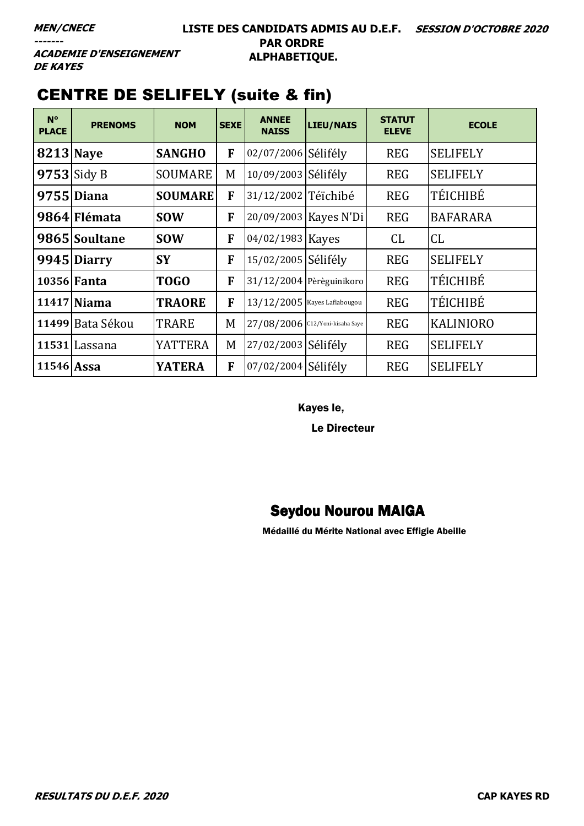**ACADEMIE D'ENSEIGNEMENT DE KAYES** 

| $N^{\circ}$<br><b>PLACE</b> | <b>PRENOMS</b>     | <b>NOM</b>     | <b>SEXE</b> | <b>ANNEE</b><br><b>NAISS</b> | LIEU/NAIS                       | <b>STATUT</b><br><b>ELEVE</b> | <b>ECOLE</b>     |
|-----------------------------|--------------------|----------------|-------------|------------------------------|---------------------------------|-------------------------------|------------------|
| <b>8213 Nave</b>            |                    | <b>SANGHO</b>  | F           | 02/07/2006 Sélifély          |                                 | <b>REG</b>                    | <b>SELIFELY</b>  |
|                             | $9753$ Sidy B      | <b>SOUMARE</b> | M           | 10/09/2003 Sélifély          |                                 | <b>REG</b>                    | <b>SELIFELY</b>  |
|                             | 9755 Diana         | <b>SOUMARE</b> | F           | 31/12/2002 Téïchibé          |                                 | <b>REG</b>                    | TÉICHIBÉ         |
|                             | 9864 Flémata       | <b>SOW</b>     | F           |                              | 20/09/2003 Kayes N'Di           | <b>REG</b>                    | <b>BAFARARA</b>  |
|                             | 9865 Soultane      | <b>SOW</b>     | F           | 04/02/1983 Kayes             |                                 | CL                            | CL               |
|                             | 9945 Diarry        | <b>SY</b>      | F           | 15/02/2005 Sélifély          |                                 | <b>REG</b>                    | <b>SELIFELY</b>  |
|                             | 10356 <b>Fanta</b> | TOGO           | F           |                              | 31/12/2004 Pèrèguinikoro        | <b>REG</b>                    | TÉICHIBÉ         |
|                             | 11417 Niama        | <b>TRAORE</b>  | F           |                              | 13/12/2005 Kayes Lafiabougou    | <b>REG</b>                    | TÉICHIBÉ         |
|                             | 11499 Bata Sékou   | <b>TRARE</b>   | M           |                              | 27/08/2006 C12/Yoni-kisaha Saye | <b>REG</b>                    | <b>KALINIORO</b> |
|                             | 11531 Lassana      | <b>YATTERA</b> | M           | 27/02/2003 Sélifély          |                                 | <b>REG</b>                    | <b>SELIFELY</b>  |
| 11546 Assa                  |                    | <b>YATERA</b>  | F           | 07/02/2004 Sélifély          |                                 | <b>REG</b>                    | <b>SELIFELY</b>  |

# CENTRE DE SELIFELY (suite & fin)

Kayes le,

Le Directeur

### Seydou Nourou MAIGA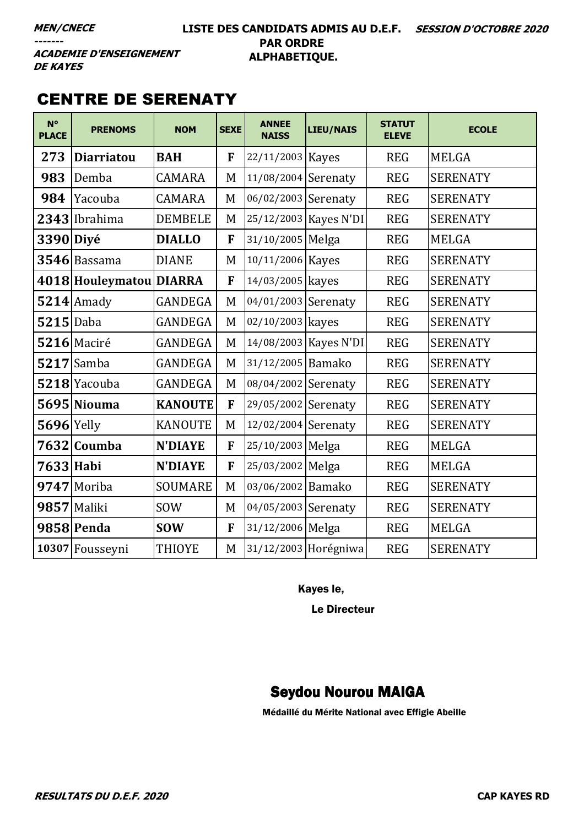#### LISTE DES CANDIDATS ADMIS AU D.E.F. SESSION D'OCTOBRE 2020 **PAR ORDRE** ALPHABETIQUE.

**ACADEMIE D'ENSEIGNEMENT DE KAYES** 

### **CENTRE DE SERENATY**

| $N^{\circ}$<br><b>PLACE</b> | <b>PRENOMS</b>          | <b>NOM</b>     | <b>SEXE</b> | <b>ANNEE</b><br><b>NAISS</b> | <b>LIEU/NAIS</b>      | <b>STATUT</b><br><b>ELEVE</b> | <b>ECOLE</b>    |
|-----------------------------|-------------------------|----------------|-------------|------------------------------|-----------------------|-------------------------------|-----------------|
| 273                         | <b>Diarriatou</b>       | <b>BAH</b>     | F           | 22/11/2003 Kayes             |                       | <b>REG</b>                    | <b>MELGA</b>    |
| 983                         | Demba                   | <b>CAMARA</b>  | M           | 11/08/2004 Serenaty          |                       | <b>REG</b>                    | <b>SERENATY</b> |
| 984                         | Yacouba                 | <b>CAMARA</b>  | M           | 06/02/2003 Serenaty          |                       | <b>REG</b>                    | <b>SERENATY</b> |
|                             | 2343 Ibrahima           | <b>DEMBELE</b> | M           |                              | 25/12/2003 Kayes N'DI | <b>REG</b>                    | <b>SERENATY</b> |
| 3390 Diyé                   |                         | <b>DIALLO</b>  | F           | 31/10/2005 Melga             |                       | <b>REG</b>                    | <b>MELGA</b>    |
|                             | 3546 Bassama            | <b>DIANE</b>   | M           | 10/11/2006 Kayes             |                       | <b>REG</b>                    | <b>SERENATY</b> |
|                             | 4018 Houleymatou DIARRA |                | F           | 14/03/2005 kayes             |                       | <b>REG</b>                    | <b>SERENATY</b> |
|                             | $5214$ Amady            | <b>GANDEGA</b> | M           | 04/01/2003 Serenaty          |                       | <b>REG</b>                    | <b>SERENATY</b> |
| $5215$ Daba                 |                         | <b>GANDEGA</b> | M           | 02/10/2003 kayes             |                       | <b>REG</b>                    | <b>SERENATY</b> |
|                             | 5216 Maciré             | <b>GANDEGA</b> | M           |                              | 14/08/2003 Kayes N'DI | <b>REG</b>                    | <b>SERENATY</b> |
|                             | $5217$ Samba            | <b>GANDEGA</b> | M           | 31/12/2005 Bamako            |                       | <b>REG</b>                    | <b>SERENATY</b> |
|                             | 5218 Yacouba            | <b>GANDEGA</b> | M           | 08/04/2002 Serenaty          |                       | <b>REG</b>                    | <b>SERENATY</b> |
|                             | 5695 Niouma             | <b>KANOUTE</b> | F           | 29/05/2002 Serenaty          |                       | <b>REG</b>                    | <b>SERENATY</b> |
| $5696$ Yelly                |                         | <b>KANOUTE</b> | M           | 12/02/2004 Serenaty          |                       | <b>REG</b>                    | <b>SERENATY</b> |
|                             | 7632 Coumba             | <b>N'DIAYE</b> | F           | 25/10/2003 Melga             |                       | <b>REG</b>                    | <b>MELGA</b>    |
| 7633 Habi                   |                         | <b>N'DIAYE</b> | ${\bf F}$   | 25/03/2002 Melga             |                       | <b>REG</b>                    | <b>MELGA</b>    |
|                             | 9747 Moriba             | <b>SOUMARE</b> | M           | 03/06/2002 Bamako            |                       | <b>REG</b>                    | <b>SERENATY</b> |
|                             | 9857 Maliki             | <b>SOW</b>     | M           | 04/05/2003 Serenaty          |                       | <b>REG</b>                    | <b>SERENATY</b> |
|                             | 9858 Penda              | <b>SOW</b>     | F           | 31/12/2006 Melga             |                       | <b>REG</b>                    | <b>MELGA</b>    |
|                             | 10307 Fousseyni         | <b>THIOYE</b>  | M           |                              | 31/12/2003 Horégniwa  | <b>REG</b>                    | <b>SERENATY</b> |

Kayes le,

Le Directeur

#### **Seydou Nourou MAIGA**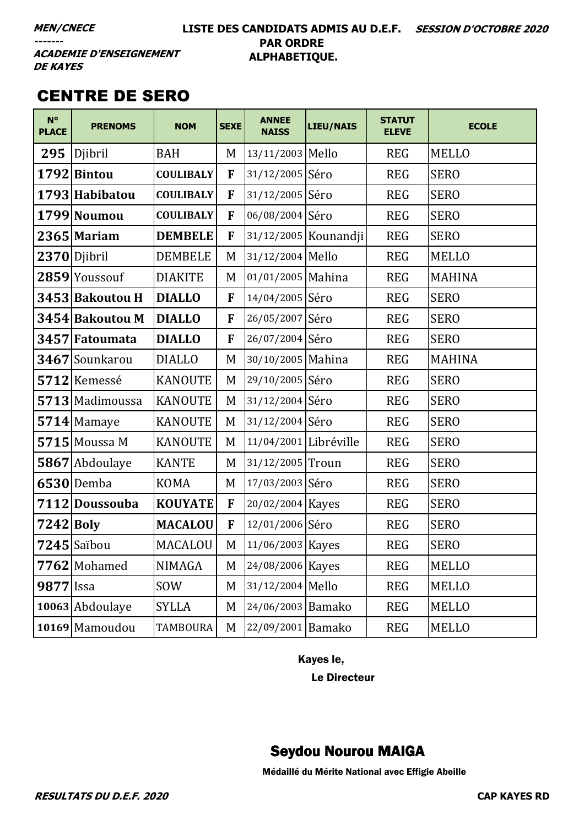#### LISTE DES CANDIDATS ADMIS AU D.E.F. SESSION D'OCTOBRE 2020 **PAR ORDRE** ALPHABETIQUE.

**ACADEMIE D'ENSEIGNEMENT DE KAYES** 

## **CENTRE DE SERO**

| $N^{\circ}$<br><b>PLACE</b> | <b>PRENOMS</b>  | <b>NOM</b>       | <b>SEXE</b> | <b>ANNEE</b><br><b>NAISS</b> | <b>LIEU/NAIS</b>       | <b>STATUT</b><br><b>ELEVE</b> | <b>ECOLE</b>  |
|-----------------------------|-----------------|------------------|-------------|------------------------------|------------------------|-------------------------------|---------------|
| 295                         | Djibril         | <b>BAH</b>       | M           | 13/11/2003 Mello             |                        | <b>REG</b>                    | <b>MELLO</b>  |
|                             | 1792 Bintou     | <b>COULIBALY</b> | F           | 31/12/2005 Séro              |                        | <b>REG</b>                    | <b>SERO</b>   |
|                             | 1793 Habibatou  | <b>COULIBALY</b> | F           | 31/12/2005 Séro              |                        | <b>REG</b>                    | <b>SERO</b>   |
|                             | 1799 Noumou     | <b>COULIBALY</b> | F           | 06/08/2004 Séro              |                        | <b>REG</b>                    | <b>SERO</b>   |
|                             | $2365$ Mariam   | <b>DEMBELE</b>   | F           |                              | 31/12/2005   Kounandji | <b>REG</b>                    | <b>SERO</b>   |
|                             | 2370 Djibril    | <b>DEMBELE</b>   | M           | 31/12/2004 Mello             |                        | <b>REG</b>                    | <b>MELLO</b>  |
|                             | 2859 Youssouf   | <b>DIAKITE</b>   | M           | 01/01/2005 Mahina            |                        | <b>REG</b>                    | <b>MAHINA</b> |
|                             | 3453 Bakoutou H | <b>DIALLO</b>    | ${\bf F}$   | 14/04/2005 Séro              |                        | <b>REG</b>                    | <b>SERO</b>   |
|                             | 3454 Bakoutou M | <b>DIALLO</b>    | F           | 26/05/2007 Séro              |                        | <b>REG</b>                    | <b>SERO</b>   |
|                             | 3457 Fatoumata  | <b>DIALLO</b>    | F           | 26/07/2004 Séro              |                        | <b>REG</b>                    | <b>SERO</b>   |
|                             | 3467 Sounkarou  | <b>DIALLO</b>    | M           | 30/10/2005 Mahina            |                        | <b>REG</b>                    | <b>MAHINA</b> |
|                             | 5712 Kemessé    | <b>KANOUTE</b>   | M           | 29/10/2005 Séro              |                        | <b>REG</b>                    | <b>SERO</b>   |
|                             | 5713 Madimoussa | <b>KANOUTE</b>   | M           | 31/12/2004 Séro              |                        | <b>REG</b>                    | <b>SERO</b>   |
|                             | 5714 Mamaye     | <b>KANOUTE</b>   | M           | 31/12/2004 Séro              |                        | <b>REG</b>                    | <b>SERO</b>   |
|                             | $5715$ Moussa M | <b>KANOUTE</b>   | M           | 11/04/2001 Libréville        |                        | <b>REG</b>                    | <b>SERO</b>   |
|                             | 5867 Abdoulaye  | <b>KANTE</b>     | M           | 31/12/2005 Troun             |                        | <b>REG</b>                    | <b>SERO</b>   |
|                             | $6530$ Demba    | <b>KOMA</b>      | M           | 17/03/2003 Séro              |                        | <b>REG</b>                    | <b>SERO</b>   |
|                             | 7112 Doussouba  | <b>KOUYATE</b>   | F           | 20/02/2004 Kayes             |                        | <b>REG</b>                    | <b>SERO</b>   |
| 7242 Boly                   |                 | <b>MACALOU</b>   | F           | 12/01/2006 Séro              |                        | <b>REG</b>                    | <b>SERO</b>   |
|                             | $7245$ Saïbou   | MACALOU          | M           | 11/06/2003 Kayes             |                        | <b>REG</b>                    | <b>SERO</b>   |
|                             | 7762 Mohamed    | <b>NIMAGA</b>    | M           | 24/08/2006 Kayes             |                        | <b>REG</b>                    | <b>MELLO</b>  |
| 9877 Issa                   |                 | SOW              | M           | 31/12/2004 Mello             |                        | <b>REG</b>                    | <b>MELLO</b>  |
|                             | 10063 Abdoulaye | <b>SYLLA</b>     | M           | 24/06/2003 Bamako            |                        | <b>REG</b>                    | <b>MELLO</b>  |
|                             | 10169 Mamoudou  | <b>TAMBOURA</b>  | M           | 22/09/2001 Bamako            |                        | <b>REG</b>                    | <b>MELLO</b>  |

Kayes le,

**Le Directeur** 

### **Seydou Nourou MAIGA**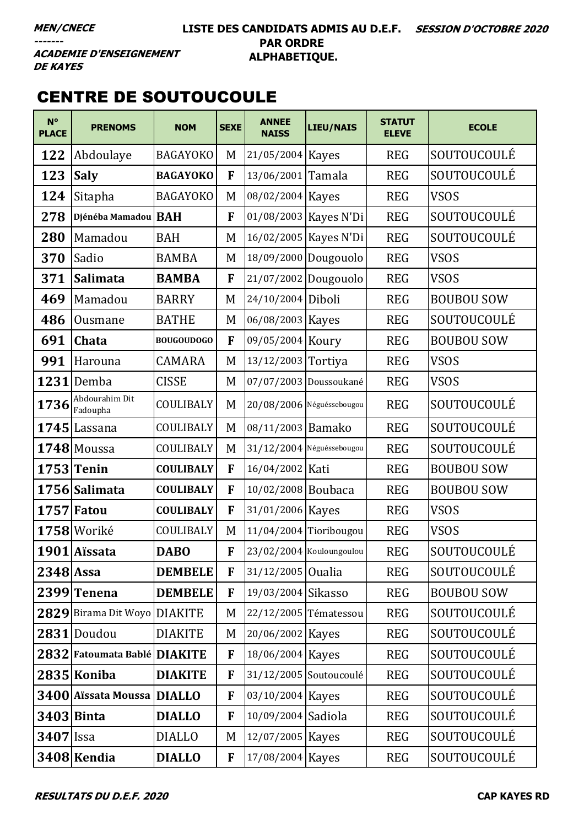#### **LISTE DES CANDIDATS ADMIS AU D.E.F. SESSION D'OCTOBRE 2020 PAR ORDRE ALPHABETIQUE.**

**ACADEMIE D'ENSEIGNEMENT DE KAYES** 

### CENTRE DE SOUTOUCOULE

| $N^{\circ}$<br><b>PLACE</b> | <b>PRENOMS</b>               | <b>NOM</b>        | <b>SEXE</b>  | <b>ANNEE</b><br><b>NAISS</b> | <b>LIEU/NAIS</b>          | <b>STATUT</b><br><b>ELEVE</b> | <b>ECOLE</b>      |
|-----------------------------|------------------------------|-------------------|--------------|------------------------------|---------------------------|-------------------------------|-------------------|
| 122                         | Abdoulaye                    | <b>BAGAYOKO</b>   | M            | 21/05/2004 Kayes             |                           | <b>REG</b>                    | SOUTOUCOULÉ       |
| 123                         | <b>Saly</b>                  | <b>BAGAYOKO</b>   | F            | 13/06/2001 Tamala            |                           | <b>REG</b>                    | SOUTOUCOULÉ       |
| 124                         | Sitapha                      | <b>BAGAYOKO</b>   | M            | 08/02/2004 Kayes             |                           | <b>REG</b>                    | <b>VSOS</b>       |
| 278                         | Djénéba Mamadou   BAH        |                   | F            |                              | 01/08/2003 Kayes N'Di     | <b>REG</b>                    | SOUTOUCOULÉ       |
| 280                         | Mamadou                      | <b>BAH</b>        | M            |                              | 16/02/2005   Kayes N'Di   | <b>REG</b>                    | SOUTOUCOULÉ       |
| 370                         | Sadio                        | <b>BAMBA</b>      | M            |                              | 18/09/2000 Dougouolo      | <b>REG</b>                    | <b>VSOS</b>       |
| 371                         | <b>Salimata</b>              | <b>BAMBA</b>      | F            | 21/07/2002 Dougouolo         |                           | <b>REG</b>                    | <b>VSOS</b>       |
| 469                         | Mamadou                      | <b>BARRY</b>      | M            | 24/10/2004 Diboli            |                           | <b>REG</b>                    | <b>BOUBOU SOW</b> |
| 486                         | Ousmane                      | <b>BATHE</b>      | M            | 06/08/2003 Kayes             |                           | <b>REG</b>                    | SOUTOUCOULÉ       |
| 691                         | Chata                        | <b>BOUGOUDOGO</b> | F            | 09/05/2004 Koury             |                           | <b>REG</b>                    | <b>BOUBOU SOW</b> |
| 991                         | Harouna                      | CAMARA            | M            | 13/12/2003 Tortiya           |                           | <b>REG</b>                    | <b>VSOS</b>       |
|                             | $1231$ Demba                 | <b>CISSE</b>      | M            | 07/07/2003 Doussoukané       |                           | <b>REG</b>                    | <b>VSOS</b>       |
| 1736                        | Abdourahim Dit<br>Fadoupha   | COULIBALY         | M            |                              | 20/08/2006 Néguéssebougou | <b>REG</b>                    | SOUTOUCOULÉ       |
|                             | $1745$ Lassana               | COULIBALY         | M            | 08/11/2003 Bamako            |                           | <b>REG</b>                    | SOUTOUCOULÉ       |
|                             | $1748$ Moussa                | COULIBALY         | M            |                              | 31/12/2004 Néguéssebougou | <b>REG</b>                    | SOUTOUCOULÉ       |
|                             | $1753$ Tenin                 | <b>COULIBALY</b>  | F            | 16/04/2002 Kati              |                           | <b>REG</b>                    | <b>BOUBOU SOW</b> |
|                             | 1756 Salimata                | <b>COULIBALY</b>  | F            | 10/02/2008 Boubaca           |                           | <b>REG</b>                    | <b>BOUBOU SOW</b> |
|                             | $1757$ Fatou                 | <b>COULIBALY</b>  | F            | 31/01/2006 Kayes             |                           | <b>REG</b>                    | <b>VSOS</b>       |
|                             | 1758 Woriké                  | COULIBALY         | M            |                              | 11/04/2004 Tioribougou    | <b>REG</b>                    | VSOS              |
|                             | 1901 Aïssata                 | <b>DABO</b>       | F            | 23/02/2004 Kouloungoulou     |                           | <b>REG</b>                    | SOUTOUCOULÉ       |
| $2348$ Assa                 |                              | <b>DEMBELE</b>    | F            | 31/12/2005 Oualia            |                           | <b>REG</b>                    | SOUTOUCOULÉ       |
|                             | 2399 Tenena                  | <b>DEMBELE</b>    | F            | 19/03/2004 Sikasso           |                           | <b>REG</b>                    | <b>BOUBOU SOW</b> |
|                             | 2829 Birama Dit Woyo DIAKITE |                   | M            | 22/12/2005 Tématessou        |                           | <b>REG</b>                    | SOUTOUCOULÉ       |
|                             | 2831 Doudou                  | <b>DIAKITE</b>    | M            | 20/06/2002 Kayes             |                           | <b>REG</b>                    | SOUTOUCOULÉ       |
|                             | 2832 Fatoumata Bablé DIAKITE |                   | F            | 18/06/2004 Kayes             |                           | <b>REG</b>                    | SOUTOUCOULÉ       |
|                             | 2835 Koniba                  | <b>DIAKITE</b>    | F            |                              | 31/12/2005 Soutoucoulé    | <b>REG</b>                    | SOUTOUCOULÉ       |
|                             | 3400 Aïssata Moussa DIALLO   |                   | F            | 03/10/2004 Kayes             |                           | <b>REG</b>                    | SOUTOUCOULÉ       |
|                             | <b>3403</b> Binta            | <b>DIALLO</b>     | F            | 10/09/2004 Sadiola           |                           | <b>REG</b>                    | SOUTOUCOULÉ       |
| <b>3407</b> Issa            |                              | <b>DIALLO</b>     | M            | 12/07/2005 Kayes             |                           | <b>REG</b>                    | SOUTOUCOULÉ       |
|                             | 3408 Kendia                  | <b>DIALLO</b>     | $\mathbf{F}$ | 17/08/2004 Kayes             |                           | <b>REG</b>                    | SOUTOUCOULÉ       |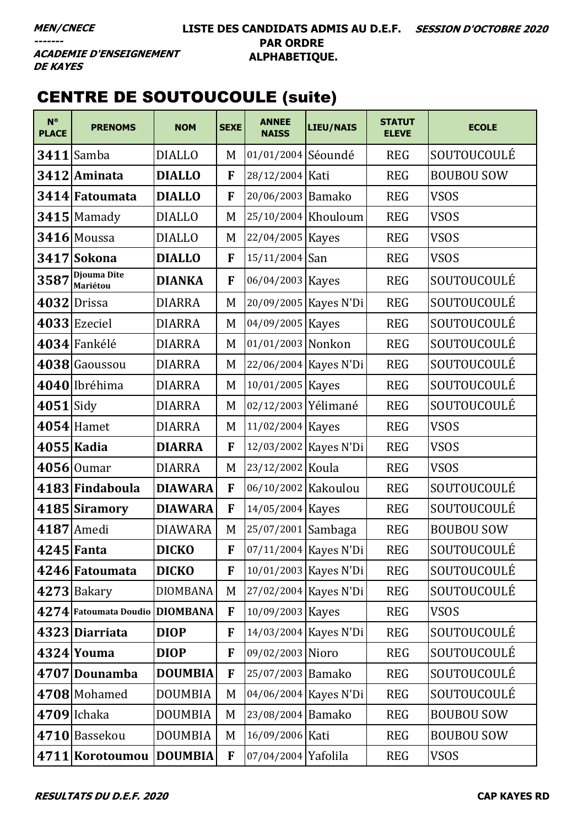**ACADEMIE D'ENSEIGNEMENT DE KAYES** 

# **CENTRE DE SOUTOUCOULE (suite)**

| $N^{\circ}$<br><b>PLACE</b> | <b>PRENOMS</b>                 | <b>NOM</b>      | <b>SEXE</b>  | <b>ANNEE</b><br><b>NAISS</b> | <b>LIEU/NAIS</b>        | <b>STATUT</b><br><b>ELEVE</b> | <b>ECOLE</b>      |
|-----------------------------|--------------------------------|-----------------|--------------|------------------------------|-------------------------|-------------------------------|-------------------|
| 3411                        | Samba                          | <b>DIALLO</b>   | M            | 01/01/2004 Séoundé           |                         | <b>REG</b>                    | SOUTOUCOULÉ       |
|                             | 3412 Aminata                   | <b>DIALLO</b>   | F            | 28/12/2004 Kati              |                         | <b>REG</b>                    | <b>BOUBOU SOW</b> |
|                             | 3414 Fatoumata                 | <b>DIALLO</b>   | F            | 20/06/2003 Bamako            |                         | <b>REG</b>                    | <b>VSOS</b>       |
|                             | $3415$ Mamady                  | <b>DIALLO</b>   | M            |                              | 25/10/2004 Khouloum     | <b>REG</b>                    | <b>VSOS</b>       |
|                             | 3416 Moussa                    | <b>DIALLO</b>   | M            | 22/04/2005 Kayes             |                         | <b>REG</b>                    | <b>VSOS</b>       |
|                             | 3417 Sokona                    | <b>DIALLO</b>   | $\mathbf{F}$ | 15/11/2004 San               |                         | <b>REG</b>                    | <b>VSOS</b>       |
| 3587                        | <b>Djouma Dite</b><br>Mariétou | <b>DIANKA</b>   | F            | 06/04/2003 Kayes             |                         | <b>REG</b>                    | SOUTOUCOULÉ       |
|                             | 4032 Drissa                    | <b>DIARRA</b>   | M            |                              | 20/09/2005   Kayes N'Di | <b>REG</b>                    | SOUTOUCOULÉ       |
|                             | 4033 Ezeciel                   | <b>DIARRA</b>   | M            | 04/09/2005 Kayes             |                         | <b>REG</b>                    | SOUTOUCOULÉ       |
|                             | 4034 Fankélé                   | <b>DIARRA</b>   | M            | 01/01/2003 Nonkon            |                         | <b>REG</b>                    | SOUTOUCOULÉ       |
|                             | 4038 Gaoussou                  | <b>DIARRA</b>   | M            |                              | 22/06/2004 Kayes N'Di   | <b>REG</b>                    | SOUTOUCOULÉ       |
|                             | 4040 Ibréhima                  | <b>DIARRA</b>   | M            | 10/01/2005   Kayes           |                         | <b>REG</b>                    | SOUTOUCOULÉ       |
| $4051$ Sidy                 |                                | <b>DIARRA</b>   | M            | 02/12/2003 Yélimané          |                         | <b>REG</b>                    | SOUTOUCOULÉ       |
|                             | $4054$ Hamet                   | <b>DIARRA</b>   | M            | 11/02/2004 Kayes             |                         | <b>REG</b>                    | <b>VSOS</b>       |
|                             | 4055 Kadia                     | <b>DIARRA</b>   | F            |                              | 12/03/2002 Kayes N'Di   | <b>REG</b>                    | <b>VSOS</b>       |
|                             | $4056$ Oumar                   | <b>DIARRA</b>   | M            | 23/12/2002 Koula             |                         | <b>REG</b>                    | <b>VSOS</b>       |
|                             | 4183 Findaboula                | <b>DIAWARA</b>  | F            | 06/10/2002 Kakoulou          |                         | <b>REG</b>                    | SOUTOUCOULÉ       |
|                             | 4185 Siramory                  | <b>DIAWARA</b>  | F            | 14/05/2004 Kayes             |                         | <b>REG</b>                    | SOUTOUCOULÉ       |
|                             | 4187 Amedi                     | <b>DIAWARA</b>  | M            | 25/07/2001 Sambaga           |                         | <b>REG</b>                    | <b>BOUBOU SOW</b> |
|                             | $4245$ Fanta                   | <b>DICKO</b>    | F            |                              | 07/11/2004 Kayes N'Di   | <b>REG</b>                    | SOUTOUCOULÉ       |
|                             | 4246 Fatoumata                 | <b>DICKO</b>    | F            |                              | 10/01/2003   Kayes N'Di | <b>REG</b>                    | SOUTOUCOULÉ       |
|                             | $4273$ Bakary                  | <b>DIOMBANA</b> | M            |                              | 27/02/2004 Kayes N'Di   | <b>REG</b>                    | SOUTOUCOULÉ       |
|                             | 4274 Fatoumata Doudio DIOMBANA |                 | F            | 10/09/2003 Kayes             |                         | <b>REG</b>                    | <b>VSOS</b>       |
|                             | 4323 Diarriata                 | <b>DIOP</b>     | F            |                              | 14/03/2004 Kayes N'Di   | <b>REG</b>                    | SOUTOUCOULÉ       |
|                             | 4324 Youma                     | <b>DIOP</b>     | F            | 09/02/2003 Nioro             |                         | <b>REG</b>                    | SOUTOUCOULÉ       |
|                             | 4707 Dounamba                  | <b>DOUMBIA</b>  | F            | 25/07/2003 Bamako            |                         | <b>REG</b>                    | SOUTOUCOULÉ       |
|                             | 4708 Mohamed                   | <b>DOUMBIA</b>  | M            |                              | 04/06/2004 Kayes N'Di   | <b>REG</b>                    | SOUTOUCOULÉ       |
|                             | $4709$ Ichaka                  | <b>DOUMBIA</b>  | M            | 23/08/2004 Bamako            |                         | <b>REG</b>                    | <b>BOUBOU SOW</b> |
|                             | 4710 Bassekou                  | <b>DOUMBIA</b>  | M            | 16/09/2006 Kati              |                         | <b>REG</b>                    | <b>BOUBOU SOW</b> |
|                             | 4711 Korotoumou DOUMBIA        |                 | F            | 07/04/2004 Yafolila          |                         | <b>REG</b>                    | <b>VSOS</b>       |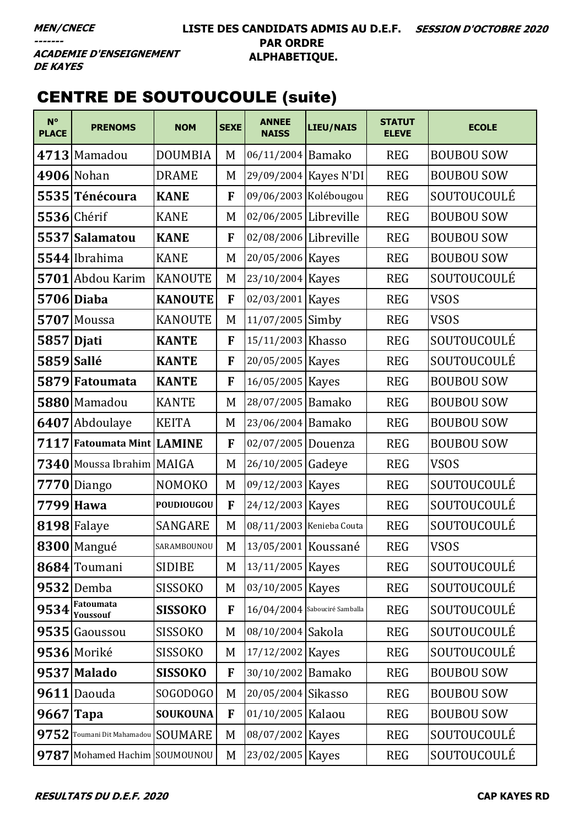**ACADEMIE D'ENSEIGNEMENT DE KAYES** 

# CENTRE DE SOUTOUCOULE (suite)

| $N^{\circ}$<br><b>PLACE</b> | <b>PRENOMS</b>                     | <b>NOM</b>        | <b>SEXE</b> | <b>ANNEE</b><br><b>NAISS</b> | <b>LIEU/NAIS</b>                | <b>STATUT</b><br><b>ELEVE</b> | <b>ECOLE</b>      |
|-----------------------------|------------------------------------|-------------------|-------------|------------------------------|---------------------------------|-------------------------------|-------------------|
|                             | $4713$ Mamadou                     | <b>DOUMBIA</b>    | M           | 06/11/2004 Bamako            |                                 | <b>REG</b>                    | <b>BOUBOU SOW</b> |
|                             | 4906 Nohan                         | <b>DRAME</b>      | M           |                              | 29/09/2004 Kayes N'DI           | <b>REG</b>                    | <b>BOUBOU SOW</b> |
|                             | 5535 Ténécoura                     | <b>KANE</b>       | F           |                              | 09/06/2003 Kolébougou           | <b>REG</b>                    | SOUTOUCOULÉ       |
|                             | $5536$ Chérif                      | <b>KANE</b>       | M           | 02/06/2005 Libreville        |                                 | <b>REG</b>                    | <b>BOUBOU SOW</b> |
|                             | 5537 Salamatou                     | <b>KANE</b>       | F           | 02/08/2006 Libreville        |                                 | <b>REG</b>                    | <b>BOUBOU SOW</b> |
|                             | 5544 Ibrahima                      | <b>KANE</b>       | M           | 20/05/2006 Kayes             |                                 | <b>REG</b>                    | <b>BOUBOU SOW</b> |
|                             | 5701 Abdou Karim                   | <b>KANOUTE</b>    | M           | 23/10/2004 Kayes             |                                 | <b>REG</b>                    | SOUTOUCOULÉ       |
|                             | 5706 Diaba                         | <b>KANOUTE</b>    | F           | 02/03/2001 Kayes             |                                 | <b>REG</b>                    | <b>VSOS</b>       |
|                             | $5707$ Moussa                      | <b>KANOUTE</b>    | M           | 11/07/2005 Simby             |                                 | <b>REG</b>                    | <b>VSOS</b>       |
| 5857 Djati                  |                                    | <b>KANTE</b>      | F           | 15/11/2003 Khasso            |                                 | <b>REG</b>                    | SOUTOUCOULÉ       |
| 5859 Sallé                  |                                    | <b>KANTE</b>      | F           | 20/05/2005   Kayes           |                                 | <b>REG</b>                    | SOUTOUCOULÉ       |
|                             | 5879 Fatoumata                     | <b>KANTE</b>      | F           | 16/05/2005   Kayes           |                                 | <b>REG</b>                    | <b>BOUBOU SOW</b> |
|                             | 5880 Mamadou                       | <b>KANTE</b>      | M           | 28/07/2005 Bamako            |                                 | <b>REG</b>                    | <b>BOUBOU SOW</b> |
|                             | 6407 Abdoulaye                     | <b>KEITA</b>      | M           | 23/06/2004 Bamako            |                                 | <b>REG</b>                    | <b>BOUBOU SOW</b> |
|                             | 7117 Fatoumata Mint LAMINE         |                   | F           | 02/07/2005 Douenza           |                                 | <b>REG</b>                    | <b>BOUBOU SOW</b> |
|                             | 7340 Moussa Ibrahim MAIGA          |                   | M           | 26/10/2005 Gadeye            |                                 | <b>REG</b>                    | <b>VSOS</b>       |
|                             | $7770$ Diango                      | <b>NOMOKO</b>     | M           | 09/12/2003 Kayes             |                                 | <b>REG</b>                    | SOUTOUCOULÉ       |
|                             | 7799 Hawa                          | <b>POUDIOUGOU</b> | F           | 24/12/2003 Kayes             |                                 | <b>REG</b>                    | SOUTOUCOULÉ       |
|                             | 8198 Falaye                        | <b>SANGARE</b>    | M           | 08/11/2003 Kenieba Couta     |                                 | <b>REG</b>                    | SOUTOUCOULÉ       |
|                             | 8300 Mangué                        | SARAMBOUNOU       | M           | 13/05/2001 Koussané          |                                 | <b>REG</b>                    | <b>VSOS</b>       |
|                             | 8684 Toumani                       | <b>SIDIBE</b>     | M           | 13/11/2005   Kayes           |                                 | <b>REG</b>                    | SOUTOUCOULÉ       |
|                             | <b>9532</b> Demba                  | <b>SISSOKO</b>    | M           | 03/10/2005 Kayes             |                                 | <b>REG</b>                    | SOUTOUCOULÉ       |
| 9534                        | Fatoumata<br><b>Youssouf</b>       | <b>SISSOKO</b>    | F           |                              | $16/04/2004$ Sabouciré Samballa | <b>REG</b>                    | SOUTOUCOULÉ       |
|                             | 9535 Gaoussou                      | <b>SISSOKO</b>    | M           | 08/10/2004 Sakola            |                                 | <b>REG</b>                    | SOUTOUCOULÉ       |
|                             | 9536 Moriké                        | <b>SISSOKO</b>    | M           | 17/12/2002 Kayes             |                                 | <b>REG</b>                    | SOUTOUCOULÉ       |
|                             | 9537 Malado                        | <b>SISSOKO</b>    | F           | 30/10/2002 Bamako            |                                 | <b>REG</b>                    | <b>BOUBOU SOW</b> |
|                             | 9611 Daouda                        | SOGODOGO          | M           | 20/05/2004 Sikasso           |                                 | <b>REG</b>                    | <b>BOUBOU SOW</b> |
| $9667$ Tapa                 |                                    | <b>SOUKOUNA</b>   | F           | 01/10/2005 Kalaou            |                                 | <b>REG</b>                    | <b>BOUBOU SOW</b> |
|                             | 9752 Toumani Dit Mahamadou SOUMARE |                   | M           | 08/07/2002 Kayes             |                                 | <b>REG</b>                    | SOUTOUCOULÉ       |
|                             | 9787 Mohamed Hachim SOUMOUNOU      |                   | M           | 23/02/2005 Kayes             |                                 | <b>REG</b>                    | SOUTOUCOULÉ       |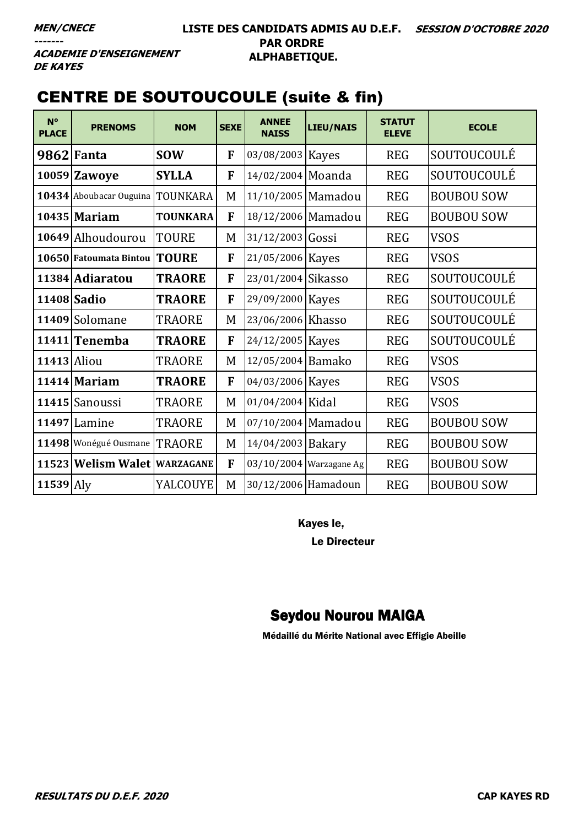**ACADEMIE D'ENSEIGNEMENT DE KAYES** 

# CENTRE DE SOUTOUCOULE (suite & fin)

| $N^{\circ}$<br><b>PLACE</b> | <b>PRENOMS</b>                   | <b>NOM</b>      | <b>SEXE</b> | <b>ANNEE</b><br><b>NAISS</b> | <b>LIEU/NAIS</b>        | <b>STATUT</b><br><b>ELEVE</b> | <b>ECOLE</b>      |
|-----------------------------|----------------------------------|-----------------|-------------|------------------------------|-------------------------|-------------------------------|-------------------|
|                             | 9862 Fanta                       | <b>SOW</b>      | F           | 03/08/2003 Kayes             |                         | <b>REG</b>                    | SOUTOUCOULÉ       |
|                             | 10059 Zawoye                     | <b>SYLLA</b>    | F           | 14/02/2004 Moanda            |                         | <b>REG</b>                    | SOUTOUCOULÉ       |
|                             | 10434 Aboubacar Ouguina TOUNKARA |                 | M           | 11/10/2005 Mamadou           |                         | <b>REG</b>                    | <b>BOUBOU SOW</b> |
|                             | $10435$ Mariam                   | <b>TOUNKARA</b> | F           | 18/12/2006 Mamadou           |                         | <b>REG</b>                    | <b>BOUBOU SOW</b> |
|                             | 10649 Alhoudourou                | <b>TOURE</b>    | M           | 31/12/2003 Gossi             |                         | <b>REG</b>                    | <b>VSOS</b>       |
|                             | 10650 Fatoumata Bintou           | <b>TOURE</b>    | F           | 21/05/2006 Kayes             |                         | <b>REG</b>                    | <b>VSOS</b>       |
|                             | 11384 Adiaratou                  | <b>TRAORE</b>   | F           | 23/01/2004 Sikasso           |                         | <b>REG</b>                    | SOUTOUCOULÉ       |
|                             | 11408 Sadio                      | <b>TRAORE</b>   | F           | 29/09/2000 Kayes             |                         | <b>REG</b>                    | SOUTOUCOULÉ       |
|                             | 11409 Solomane                   | TRAORE          | M           | 23/06/2006 Khasso            |                         | <b>REG</b>                    | SOUTOUCOULÉ       |
|                             | 11411 Tenemba                    | <b>TRAORE</b>   | F           | 24/12/2005 Kayes             |                         | <b>REG</b>                    | SOUTOUCOULÉ       |
| $11413$ Aliou               |                                  | TRAORE          | M           | 12/05/2004 Bamako            |                         | <b>REG</b>                    | <b>VSOS</b>       |
|                             | 11414 Mariam                     | <b>TRAORE</b>   | F           | 04/03/2006 Kayes             |                         | <b>REG</b>                    | <b>VSOS</b>       |
|                             | 11415 Sanoussi                   | TRAORE          | M           | 01/04/2004 Kidal             |                         | <b>REG</b>                    | <b>VSOS</b>       |
| 11497                       | Lamine                           | TRAORE          | M           | 07/10/2004 Mamadou           |                         | <b>REG</b>                    | <b>BOUBOU SOW</b> |
|                             | 11498 Wonégué Ousmane            | <b>TRAORE</b>   | M           | 14/04/2003 Bakary            |                         | <b>REG</b>                    | <b>BOUBOU SOW</b> |
|                             | 11523 Welism Walet WARZAGANE     |                 | F           |                              | 03/10/2004 Warzagane Ag | <b>REG</b>                    | <b>BOUBOU SOW</b> |
| 11539 Aly                   |                                  | YALCOUYE        | M           | 30/12/2006 Hamadoun          |                         | <b>REG</b>                    | <b>BOUBOU SOW</b> |

Kayes le,

Le Directeur

## Seydou Nourou MAIGA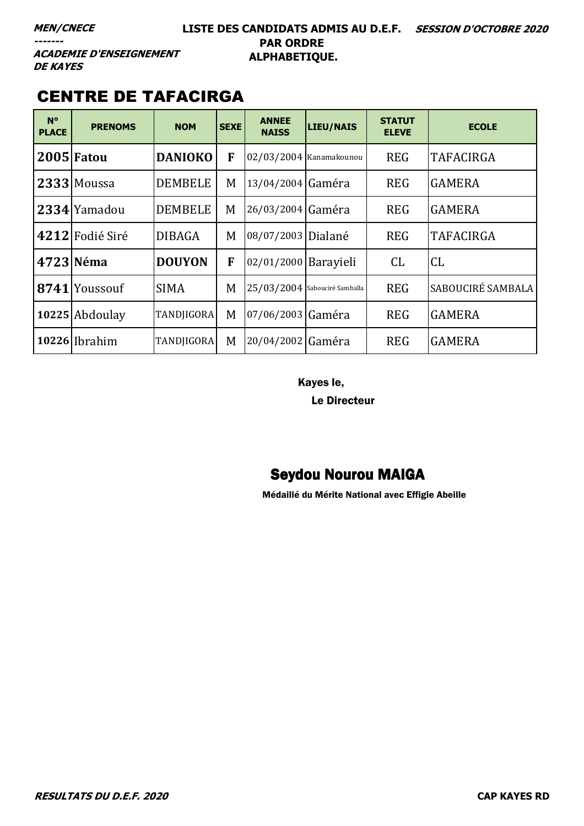#### **LISTE DES CANDIDATS ADMIS AU D.E.F. SESSION D'OCTOBRE 2020 PAR ORDRE ALPHABETIQUE.**

**ACADEMIE D'ENSEIGNEMENT DE KAYES** 

### CENTRE DE TAFACIRGA

| $N^{\circ}$<br><b>PLACE</b> | <b>PRENOMS</b>                | <b>NOM</b>        | <b>SEXE</b> | <b>ANNEE</b><br><b>NAISS</b> | LIEU/NAIS                     | <b>STATUT</b><br><b>ELEVE</b> | <b>ECOLE</b>      |
|-----------------------------|-------------------------------|-------------------|-------------|------------------------------|-------------------------------|-------------------------------|-------------------|
|                             | 2005 Fatou                    | <b>DANIOKO</b>    | F           | 02/03/2004 Kanamakounou      |                               | <b>REG</b>                    | <b>TAFACIRGA</b>  |
|                             | 2333 Moussa                   | <b>DEMBELE</b>    | M           | 13/04/2004 Gaméra            |                               | <b>REG</b>                    | <b>GAMERA</b>     |
|                             | 2334 Yamadou                  | <b>DEMBELE</b>    | M           | 26/03/2004 Gaméra            |                               | <b>REG</b>                    | <b>GAMERA</b>     |
|                             | 4212 Fodié Siré               | <b>DIBAGA</b>     | M           | 08/07/2003 Dialané           |                               | <b>REG</b>                    | <b>TAFACIRGA</b>  |
|                             | 4723 Néma                     | <b>DOUYON</b>     | F           | 02/01/2000   Barayieli       |                               | CL                            | CL                |
| 8741                        | <i><u><b>Youssouf</b></u></i> | <b>SIMA</b>       | M           |                              | 25/03/2004 Sabouciré Samballa | <b>REG</b>                    | SABOUCIRÉ SAMBALA |
|                             | 10225 Abdoulay                | TANDJIGORA        | M           | 07/06/2003 Gaméra            |                               | <b>REG</b>                    | <b>GAMERA</b>     |
|                             | 10226 Ibrahim                 | <b>TANDJIGORA</b> | M           | 20/04/2002 Gaméra            |                               | <b>REG</b>                    | <b>GAMERA</b>     |

Kayes le,

Le Directeur

### Seydou Nourou MAIGA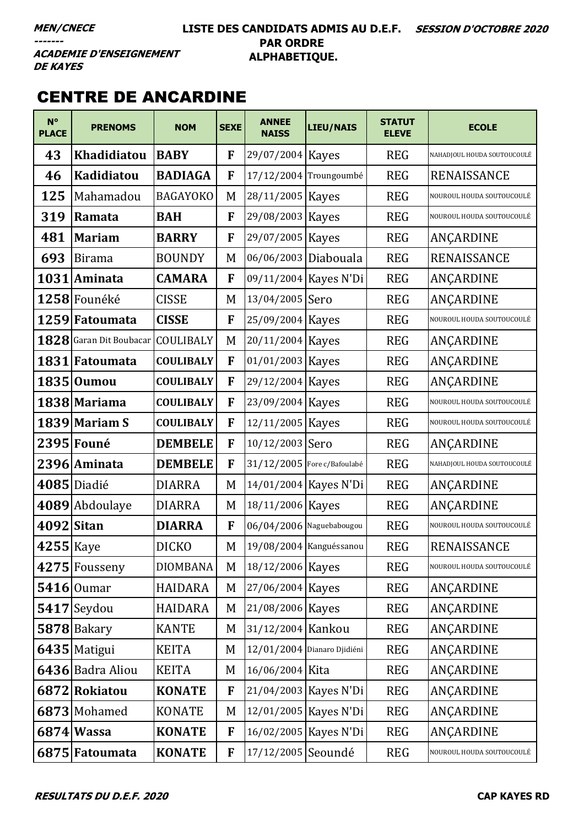#### **LISTE DES CANDIDATS ADMIS AU D.E.F. SESSION D'OCTOBRE 2020 PAR ORDRE ALPHABETIQUE.**

**ACADEMIE D'ENSEIGNEMENT DE KAYES** 

### CENTRE DE ANCARDINE

| $N^{\circ}$<br><b>PLACE</b> | <b>PRENOMS</b>                    | <b>NOM</b>       | <b>SEXE</b> | <b>ANNEE</b><br><b>NAISS</b> | <b>LIEU/NAIS</b>            | <b>STATUT</b><br><b>ELEVE</b> | <b>ECOLE</b>                |
|-----------------------------|-----------------------------------|------------------|-------------|------------------------------|-----------------------------|-------------------------------|-----------------------------|
| 43                          | Khadidiatou                       | <b>BABY</b>      | F           | 29/07/2004 Kayes             |                             | <b>REG</b>                    | NAHADJOUL HOUDA SOUTOUCOULÉ |
| 46                          | Kadidiatou                        | <b>BADIAGA</b>   | F           | 17/12/2004 Troungoumbé       |                             | <b>REG</b>                    | RENAISSANCE                 |
| 125                         | Mahamadou                         | <b>BAGAYOKO</b>  | M           | 28/11/2005 Kayes             |                             | <b>REG</b>                    | NOUROUL HOUDA SOUTOUCOULÉ   |
| 319                         | Ramata                            | <b>BAH</b>       | F           | 29/08/2003 Kayes             |                             | <b>REG</b>                    | NOUROUL HOUDA SOUTOUCOULÉ   |
| 481                         | <b>Mariam</b>                     | <b>BARRY</b>     | F           | 29/07/2005 Kayes             |                             | <b>REG</b>                    | ANÇARDINE                   |
| 693                         | <b>Birama</b>                     | <b>BOUNDY</b>    | M           | 06/06/2003 Diabouala         |                             | <b>REG</b>                    | <b>RENAISSANCE</b>          |
| 1031                        | Aminata                           | <b>CAMARA</b>    | F           |                              | 09/11/2004 Kayes N'Di       | <b>REG</b>                    | ANÇARDINE                   |
|                             | 1258 Founéké                      | <b>CISSE</b>     | M           | 13/04/2005 Sero              |                             | <b>REG</b>                    | ANÇARDINE                   |
|                             | 1259 Fatoumata                    | <b>CISSE</b>     | F           | 25/09/2004 Kayes             |                             | <b>REG</b>                    | NOUROUL HOUDA SOUTOUCOULÉ   |
|                             | 1828 Garan Dit Boubacar COULIBALY |                  | M           | 20/11/2004 Kayes             |                             | <b>REG</b>                    | ANÇARDINE                   |
|                             | 1831 Fatoumata                    | <b>COULIBALY</b> | F           | 01/01/2003 Kayes             |                             | <b>REG</b>                    | ANÇARDINE                   |
|                             | 1835 Oumou                        | <b>COULIBALY</b> | F           | 29/12/2004 Kayes             |                             | <b>REG</b>                    | ANÇARDINE                   |
|                             | 1838 Mariama                      | <b>COULIBALY</b> | F           | 23/09/2004 Kayes             |                             | <b>REG</b>                    | NOUROUL HOUDA SOUTOUCOULÉ   |
|                             | 1839 Mariam S                     | <b>COULIBALY</b> | F           | 12/11/2005 Kayes             |                             | <b>REG</b>                    | NOUROUL HOUDA SOUTOUCOULÉ   |
|                             | 2395 Founé                        | <b>DEMBELE</b>   | F           | 10/12/2003 Sero              |                             | <b>REG</b>                    | ANÇARDINE                   |
|                             | 2396 Aminata                      | <b>DEMBELE</b>   | F           | 31/12/2005 Fore c/Bafoulabé  |                             | <b>REG</b>                    | NAHADJOUL HOUDA SOUTOUCOULÉ |
|                             | 4085 Diadié                       | <b>DIARRA</b>    | M           |                              | 14/01/2004 Kayes N'Di       | <b>REG</b>                    | ANÇARDINE                   |
|                             | 4089 Abdoulaye                    | <b>DIARRA</b>    | M           | 18/11/2006 Kayes             |                             | <b>REG</b>                    | ANÇARDINE                   |
| 4092 Sitan                  |                                   | <b>DIARRA</b>    | F           | 06/04/2006 Naguebabougou     |                             | <b>REG</b>                    | NOUROUL HOUDA SOUTOUCOULÉ   |
| 4255 Kaye                   |                                   | <b>DICKO</b>     | M           |                              | 19/08/2004 Kanguéssanou     | <b>REG</b>                    | RENAISSANCE                 |
|                             | 4275 Fousseny                     | <b>DIOMBANA</b>  | M           | 18/12/2006 Kayes             |                             | <b>REG</b>                    | NOUROUL HOUDA SOUTOUCOULÉ   |
|                             | $5416$   Oumar                    | <b>HAIDARA</b>   | M           | 27/06/2004 Kayes             |                             | <b>REG</b>                    | ANÇARDINE                   |
|                             | $5417$ Seydou                     | <b>HAIDARA</b>   | M           | 21/08/2006 Kayes             |                             | <b>REG</b>                    | ANÇARDINE                   |
|                             | $5878$ Bakary                     | <b>KANTE</b>     | M           | 31/12/2004 Kankou            |                             | <b>REG</b>                    | ANÇARDINE                   |
|                             | 6435 Matigui                      | <b>KEITA</b>     | M           |                              | 12/01/2004 Dianaro Djidiéni | <b>REG</b>                    | ANÇARDINE                   |
|                             | 6436 Badra Aliou                  | <b>KEITA</b>     | M           | 16/06/2004 Kita              |                             | <b>REG</b>                    | ANÇARDINE                   |
|                             | 6872 Rokiatou                     | <b>KONATE</b>    | F           |                              | 21/04/2003 Kayes N'Di       | <b>REG</b>                    | ANÇARDINE                   |
|                             | 6873 Mohamed                      | <b>KONATE</b>    | M           |                              | 12/01/2005   Kayes N'Di     | <b>REG</b>                    | ANÇARDINE                   |
|                             | 6874 Wassa                        | <b>KONATE</b>    | F           |                              | 16/02/2005 Kayes N'Di       | <b>REG</b>                    | ANÇARDINE                   |
|                             | 6875 Fatoumata                    | <b>KONATE</b>    | F           | 17/12/2005 Seoundé           |                             | <b>REG</b>                    | NOUROUL HOUDA SOUTOUCOULÉ   |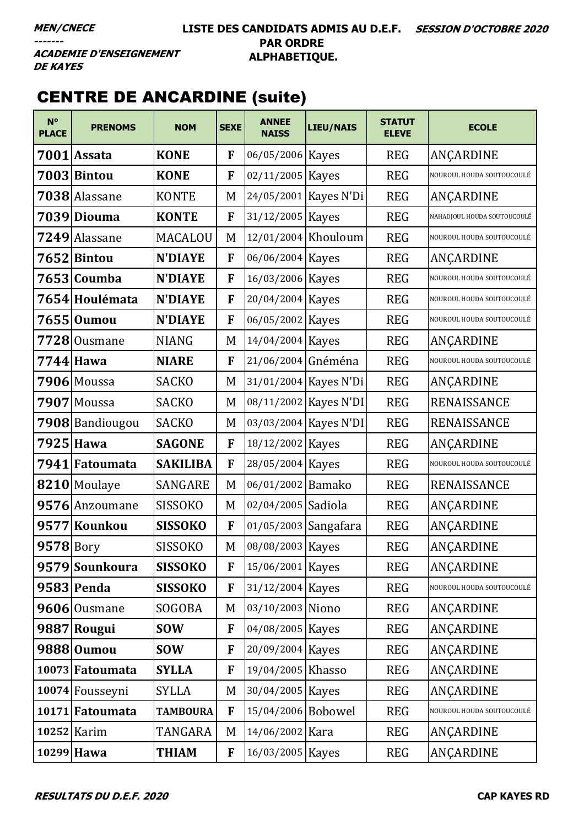#### LISTE DES CANDIDATS ADMIS AU D.E.F. SESSION D'OCTOBRE 2020 **PAR ORDRE** ALPHABETIQUE.

**ACADEMIE D'ENSEIGNEMENT DE KAYES** 

# **CENTRE DE ANCARDINE (suite)**

| $N^{\circ}$<br><b>PLACE</b> | <b>PRENOMS</b>  | <b>NOM</b>      | <b>SEXE</b> | <b>ANNEE</b><br><b>NAISS</b> | <b>LIEU/NAIS</b>      | <b>STATUT</b><br><b>ELEVE</b> | <b>ECOLE</b>                |
|-----------------------------|-----------------|-----------------|-------------|------------------------------|-----------------------|-------------------------------|-----------------------------|
|                             | 7001 Assata     | <b>KONE</b>     | F           | 06/05/2006 Kayes             |                       | <b>REG</b>                    | ANÇARDINE                   |
|                             | 7003 Bintou     | <b>KONE</b>     | F           | 02/11/2005 Kayes             |                       | <b>REG</b>                    | NOUROUL HOUDA SOUTOUCOULÉ   |
|                             | 7038 Alassane   | <b>KONTE</b>    | M           |                              | 24/05/2001 Kayes N'Di | <b>REG</b>                    | ANÇARDINE                   |
|                             | 7039 Diouma     | <b>KONTE</b>    | F           | 31/12/2005 Kayes             |                       | <b>REG</b>                    | NAHADJOUL HOUDA SOUTOUCOULÉ |
| 7249                        | Alassane        | MACALOU         | M           | 12/01/2004 Khouloum          |                       | <b>REG</b>                    | NOUROUL HOUDA SOUTOUCOULÉ   |
|                             | 7652 Bintou     | <b>N'DIAYE</b>  | F           | 06/06/2004 Kayes             |                       | <b>REG</b>                    | ANÇARDINE                   |
|                             | 7653 Coumba     | <b>N'DIAYE</b>  | F           | 16/03/2006 Kayes             |                       | <b>REG</b>                    | NOUROUL HOUDA SOUTOUCOULÉ   |
|                             | 7654 Houlémata  | <b>N'DIAYE</b>  | F           | 20/04/2004 Kayes             |                       | <b>REG</b>                    | NOUROUL HOUDA SOUTOUCOULE   |
|                             | 7655  Oumou     | <b>N'DIAYE</b>  | F           | 06/05/2002 Kayes             |                       | <b>REG</b>                    | NOUROUL HOUDA SOUTOUCOULÉ   |
|                             | $7728$ Ousmane  | <b>NIANG</b>    | M           | 14/04/2004 Kayes             |                       | <b>REG</b>                    | ANÇARDINE                   |
|                             | 7744 Hawa       | <b>NIARE</b>    | F           | 21/06/2004 Gnéména           |                       | <b>REG</b>                    | NOUROUL HOUDA SOUTOUCOULÉ   |
|                             | 7906 Moussa     | <b>SACKO</b>    | M           |                              | 31/01/2004 Kayes N'Di | <b>REG</b>                    | ANCARDINE                   |
| 7907                        | Moussa          | <b>SACKO</b>    | M           |                              | 08/11/2002 Kayes N'DI | <b>REG</b>                    | RENAISSANCE                 |
|                             | 7908 Bandiougou | <b>SACKO</b>    | M           |                              | 03/03/2004 Kayes N'DI | <b>REG</b>                    | RENAISSANCE                 |
|                             | 7925 Hawa       | <b>SAGONE</b>   | F           | 18/12/2002 Kayes             |                       | <b>REG</b>                    | ANÇARDINE                   |
|                             | 7941 Fatoumata  | <b>SAKILIBA</b> | F           | 28/05/2004 Kayes             |                       | <b>REG</b>                    | NOUROUL HOUDA SOUTOUCOULÉ   |
|                             | 8210 Moulaye    | <b>SANGARE</b>  | M           | 06/01/2002 Bamako            |                       | <b>REG</b>                    | RENAISSANCE                 |
|                             | 9576 Anzoumane  | <b>SISSOKO</b>  | M           | 02/04/2005 Sadiola           |                       | <b>REG</b>                    | ANÇARDINE                   |
|                             | 9577 Kounkou    | <b>SISSOKO</b>  | F           | 01/05/2003 Sangafara         |                       | <b>REG</b>                    | ANÇARDINE                   |
| $9578$ Bory                 |                 | <b>SISSOKO</b>  | M           | 08/08/2003 Kayes             |                       | <b>REG</b>                    | ANÇARDINE                   |
|                             | 9579 Sounkoura  | <b>SISSOKO</b>  | F           | 15/06/2001 Kayes             |                       | <b>REG</b>                    | ANÇARDINE                   |
|                             | 9583 Penda      | <b>SISSOKO</b>  | F           | 31/12/2004 Kayes             |                       | <b>REG</b>                    | NOUROUL HOUDA SOUTOUCOULÉ   |
|                             | 9606 Ousmane    | SOGOBA          | M           | 03/10/2003 Niono             |                       | <b>REG</b>                    | ANÇARDINE                   |
|                             | 9887 Rougui     | <b>SOW</b>      | F           | 04/08/2005 Kayes             |                       | <b>REG</b>                    | ANÇARDINE                   |
|                             | 9888 Oumou      | <b>SOW</b>      | F           | 20/09/2004 Kayes             |                       | <b>REG</b>                    | ANÇARDINE                   |
|                             | 10073 Fatoumata | <b>SYLLA</b>    | F           | 19/04/2005 Khasso            |                       | <b>REG</b>                    | ANÇARDINE                   |
|                             | 10074 Fousseyni | <b>SYLLA</b>    | M           | 30/04/2005   Kayes           |                       | <b>REG</b>                    | ANÇARDINE                   |
|                             | 10171 Fatoumata | <b>TAMBOURA</b> | F           | 15/04/2006 Bobowel           |                       | <b>REG</b>                    | NOUROUL HOUDA SOUTOUCOULÉ   |
|                             | 10252 Karim     | TANGARA         | M           | 14/06/2002 Kara              |                       | <b>REG</b>                    | ANÇARDINE                   |
|                             | 10299 Hawa      | <b>THIAM</b>    | F           | 16/03/2005 Kayes             |                       | <b>REG</b>                    | ANÇARDINE                   |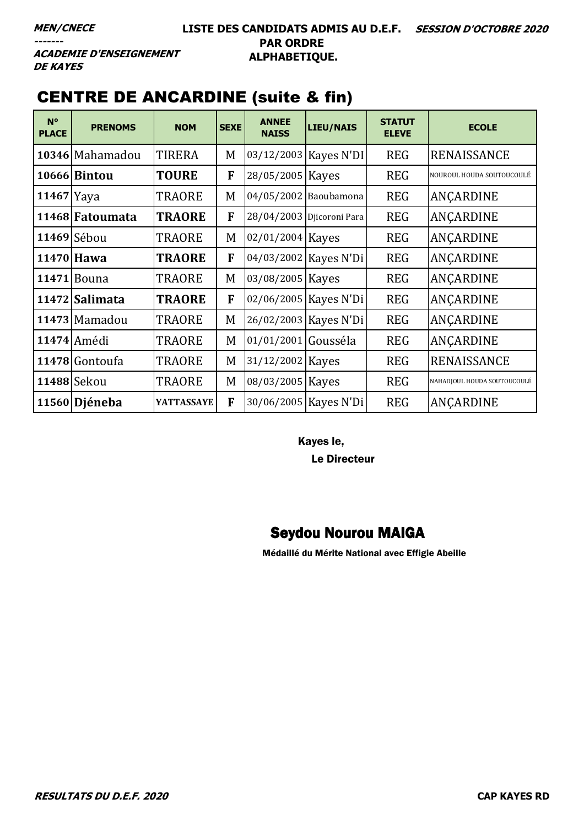# **DE KAYES**

# CENTRE DE ANCARDINE (suite & fin)

| $N^{\circ}$<br><b>PLACE</b> | <b>PRENOMS</b>      | <b>NOM</b>        | <b>SEXE</b> | <b>ANNEE</b><br><b>NAISS</b> | LIEU/NAIS                 | <b>STATUT</b><br><b>ELEVE</b> | <b>ECOLE</b>                |
|-----------------------------|---------------------|-------------------|-------------|------------------------------|---------------------------|-------------------------------|-----------------------------|
|                             | 10346 Mahamadou     | <b>TIRERA</b>     | M           |                              | 03/12/2003   Kayes N'DI   | <b>REG</b>                    | <b>RENAISSANCE</b>          |
|                             | <b>10666 Bintou</b> | <b>TOURE</b>      | F           | 28/05/2005 Kayes             |                           | <b>REG</b>                    | NOUROUL HOUDA SOUTOUCOULÉ   |
| $11467$  Yaya               |                     | TRAORE            | M           |                              | 04/05/2002 Baoubamona     | <b>REG</b>                    | ANCARDINE                   |
|                             | 11468 Fatoumata     | <b>TRAORE</b>     | F           |                              | 28/04/2003 Djicoroni Para | <b>REG</b>                    | ANCARDINE                   |
|                             | 11469 Sébou         | TRAORE            | M           | 02/01/2004 Kayes             |                           | <b>REG</b>                    | ANÇARDINE                   |
|                             | 11470 Hawa          | <b>TRAORE</b>     | F           |                              | 04/03/2002 Kayes N'Di     | <b>REG</b>                    | ANÇARDINE                   |
| 11471                       | Bouna               | TRAORE            | M           | 03/08/2005                   | Kayes                     | <b>REG</b>                    | ANCARDINE                   |
|                             | 11472 Salimata      | <b>TRAORE</b>     | F           |                              | 02/06/2005 Kayes N'Di     | <b>REG</b>                    | ANCARDINE                   |
|                             | 11473 Mamadou       | <b>TRAORE</b>     | M           |                              | 26/02/2003   Kayes N'Di   | <b>REG</b>                    | ANÇARDINE                   |
|                             | 11474 Amédi         | TRAORE            | M           | 01/01/2001                   | Gousséla                  | <b>REG</b>                    | ANÇARDINE                   |
|                             | 11478 Gontoufa      | TRAORE            | M           | 31/12/2002 Kayes             |                           | <b>REG</b>                    | RENAISSANCE                 |
|                             | 11488 Sekou         | TRAORE            | M           | 08/03/2005 Kayes             |                           | <b>REG</b>                    | NAHADJOUL HOUDA SOUTOUCOULÉ |
|                             | 11560 Djéneba       | <b>YATTASSAYE</b> | F           |                              | 30/06/2005   Kayes N'Di   | <b>REG</b>                    | ANCARDINE                   |

Kayes le,

Le Directeur

### Seydou Nourou MAIGA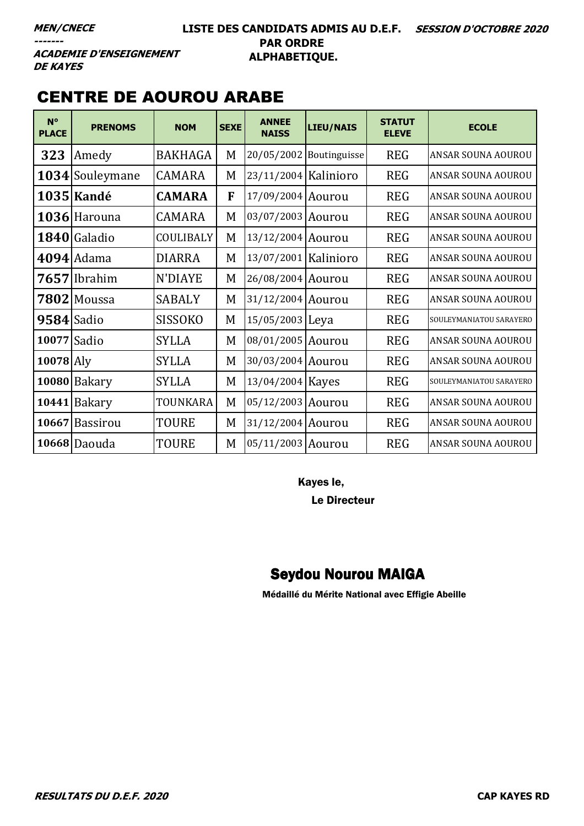#### LISTE DES CANDIDATS ADMIS AU D.E.F. SESSION D'OCTOBRE 2020 **PAR ORDRE** ALPHABETIQUE.

**ACADEMIE D'ENSEIGNEMENT DE KAYES** 

### **CENTRE DE AOUROU ARABE**

| $N^{\circ}$<br><b>PLACE</b> | <b>PRENOMS</b>  | <b>NOM</b>       | <b>SEXE</b> | <b>ANNEE</b><br><b>NAISS</b> | <b>LIEU/NAIS</b>        | <b>STATUT</b><br><b>ELEVE</b> | <b>ECOLE</b>            |
|-----------------------------|-----------------|------------------|-------------|------------------------------|-------------------------|-------------------------------|-------------------------|
| 323                         | Amedy           | <b>BAKHAGA</b>   | M           |                              | 20/05/2002 Boutinguisse | <b>REG</b>                    | ANSAR SOUNA AOUROU      |
|                             | 1034 Souleymane | <b>CAMARA</b>    | M           | 23/11/2004 Kalinioro         |                         | <b>REG</b>                    | ANSAR SOUNA AOUROU      |
|                             | 1035 Kandé      | <b>CAMARA</b>    | F           | 17/09/2004 Aourou            |                         | <b>REG</b>                    | ANSAR SOUNA AOUROU      |
|                             | 1036 Harouna    | <b>CAMARA</b>    | M           | 03/07/2003 Aourou            |                         | <b>REG</b>                    | ANSAR SOUNA AOUROU      |
|                             | 1840 Galadio    | <b>COULIBALY</b> | M           | 13/12/2004 Aourou            |                         | <b>REG</b>                    | ANSAR SOUNA AOUROU      |
|                             | $4094$ Adama    | <b>DIARRA</b>    | M           | 13/07/2001 Kalinioro         |                         | <b>REG</b>                    | ANSAR SOUNA AOUROU      |
|                             | 7657 Ibrahim    | N'DIAYE          | M           | 26/08/2004 Aourou            |                         | <b>REG</b>                    | ANSAR SOUNA AOUROU      |
|                             | $7802$ Moussa   | <b>SABALY</b>    | M           | 31/12/2004 Aourou            |                         | <b>REG</b>                    | ANSAR SOUNA AOUROU      |
| 9584 Sadio                  |                 | <b>SISSOKO</b>   | M           | 15/05/2003 Leya              |                         | <b>REG</b>                    | SOULEYMANIATOU SARAYERO |
| 10077 Sadio                 |                 | <b>SYLLA</b>     | M           | 08/01/2005 Aourou            |                         | <b>REG</b>                    | ANSAR SOUNA AOUROU      |
| $10078$ Aly                 |                 | <b>SYLLA</b>     | M           | 30/03/2004 Aourou            |                         | <b>REG</b>                    | ANSAR SOUNA AOUROU      |
|                             | 10080 Bakary    | <b>SYLLA</b>     | M           | 13/04/2004 Kayes             |                         | <b>REG</b>                    | SOULEYMANIATOU SARAYERO |
|                             | 10441 Bakary    | TOUNKARA         | M           | 05/12/2003 Aourou            |                         | <b>REG</b>                    | ANSAR SOUNA AOUROU      |
|                             | 10667 Bassirou  | <b>TOURE</b>     | M           | 31/12/2004 Aourou            |                         | <b>REG</b>                    | ANSAR SOUNA AOUROU      |
|                             | 10668 Daouda    | <b>TOURE</b>     | M           | 05/11/2003 Aourou            |                         | <b>REG</b>                    | ANSAR SOUNA AOUROU      |

Kayes le,

**Le Directeur** 

### **Seydou Nourou MAIGA**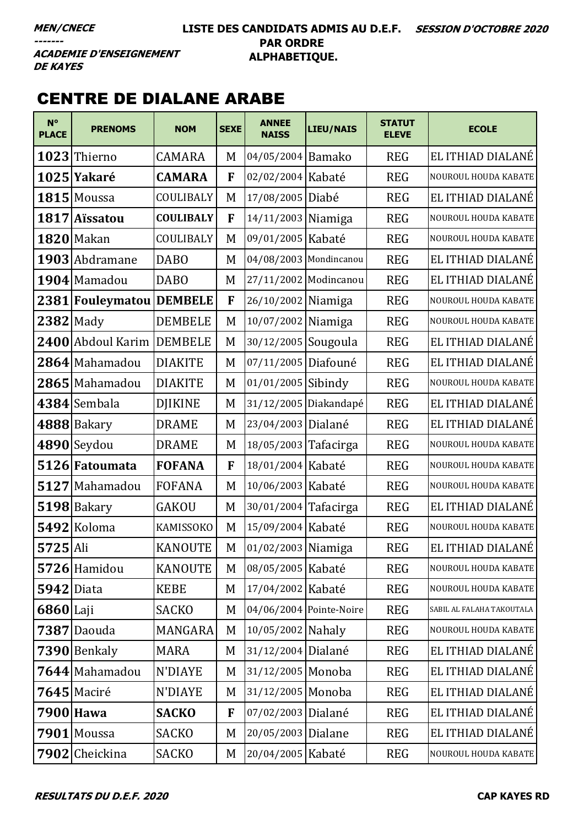#### **LISTE DES CANDIDATS ADMIS AU D.E.F. SESSION D'OCTOBRE 2020 PAR ORDRE ALPHABETIQUE.**

**ACADEMIE D'ENSEIGNEMENT DE KAYES** 

#### CENTRE DE DIALANE ARABE

| $N^{\circ}$<br><b>PLACE</b> | <b>PRENOMS</b>           | <b>NOM</b>       | <b>SEXE</b> | <b>ANNEE</b><br><b>NAISS</b> | LIEU/NAIS               | <b>STATUT</b><br><b>ELEVE</b> | <b>ECOLE</b>              |
|-----------------------------|--------------------------|------------------|-------------|------------------------------|-------------------------|-------------------------------|---------------------------|
|                             | 1023 Thierno             | <b>CAMARA</b>    | M           | 04/05/2004 Bamako            |                         | <b>REG</b>                    | EL ITHIAD DIALANÉ         |
|                             | 1025 Yakaré              | <b>CAMARA</b>    | F           | 02/02/2004 Kabaté            |                         | <b>REG</b>                    | NOUROUL HOUDA KABATE      |
|                             | 1815 Moussa              | COULIBALY        | M           | 17/08/2005                   | Diabé                   | <b>REG</b>                    | EL ITHIAD DIALANÉ         |
| 1817                        | <b>Aïssatou</b>          | <b>COULIBALY</b> | F           | 14/11/2003 Niamiga           |                         | <b>REG</b>                    | NOUROUL HOUDA KABATE      |
|                             | <b>1820</b> Makan        | COULIBALY        | M           | 09/01/2005 Kabaté            |                         | <b>REG</b>                    | NOUROUL HOUDA KABATE      |
|                             | 1903 Abdramane           | <b>DABO</b>      | M           |                              | 04/08/2003 Mondincanou  | <b>REG</b>                    | EL ITHIAD DIALANÉ         |
|                             | 1904 Mamadou             | <b>DABO</b>      | M           | 27/11/2002                   | Modincanou              | <b>REG</b>                    | EL ITHIAD DIALANÉ         |
|                             | 2381 Fouleymatou DEMBELE |                  | F           | 26/10/2002 Niamiga           |                         | <b>REG</b>                    | NOUROUL HOUDA KABATE      |
| $2382$ Mady                 |                          | <b>DEMBELE</b>   | M           | 10/07/2002                   | Niamiga                 | <b>REG</b>                    | NOUROUL HOUDA KABATE      |
|                             | 2400 Abdoul Karim        | <b>DEMBELE</b>   | M           | 30/12/2005 Sougoula          |                         | <b>REG</b>                    | EL ITHIAD DIALANÉ         |
|                             | 2864 Mahamadou           | <b>DIAKITE</b>   | M           | 07/11/2005                   | Diafouné                | <b>REG</b>                    | EL ITHIAD DIALANÉ         |
|                             | 2865 Mahamadou           | <b>DIAKITE</b>   | M           | 01/01/2005 Sibindy           |                         | <b>REG</b>                    | NOUROUL HOUDA KABATE      |
|                             | 4384 Sembala             | <b>DJIKINE</b>   | M           | 31/12/2005                   | Diakandapé              | <b>REG</b>                    | EL ITHIAD DIALANÉ         |
|                             | 4888 Bakary              | <b>DRAME</b>     | M           | 23/04/2003 Dialané           |                         | <b>REG</b>                    | EL ITHIAD DIALANÉ         |
|                             | 4890 Seydou              | <b>DRAME</b>     | M           | 18/05/2003 Tafacirga         |                         | <b>REG</b>                    | NOUROUL HOUDA KABATE      |
|                             | 5126 Fatoumata           | <b>FOFANA</b>    | F           | 18/01/2004 Kabaté            |                         | <b>REG</b>                    | NOUROUL HOUDA KABATE      |
|                             | 5127 Mahamadou           | <b>FOFANA</b>    | M           | 10/06/2003 Kabaté            |                         | <b>REG</b>                    | NOUROUL HOUDA KABATE      |
|                             | 5198 Bakary              | <b>GAKOU</b>     | M           | 30/01/2004 Tafacirga         |                         | <b>REG</b>                    | EL ITHIAD DIALANÉ         |
|                             | 5492 Koloma              | KAMISSOKO        | M           | 15/09/2004 Kabaté            |                         | <b>REG</b>                    | NOUROUL HOUDA KABATE      |
| $5725$ Ali                  |                          | <b>KANOUTE</b>   | M           | 01/02/2003 Niamiga           |                         | <b>REG</b>                    | EL ITHIAD DIALANÉ         |
|                             | 5726 Hamidou             | <b>KANOUTE</b>   | M           | 08/05/2005 Kabaté            |                         | <b>REG</b>                    | NOUROUL HOUDA KABATE      |
| <b>5942</b> Diata           |                          | <b>KEBE</b>      | M           | 17/04/2002 Kabaté            |                         | <b>REG</b>                    | NOUROUL HOUDA KABATE      |
| $6860$ Laji                 |                          | <b>SACKO</b>     | M           |                              | 04/06/2004 Pointe-Noire | <b>REG</b>                    | SABIL AL FALAHA TAKOUTALA |
|                             | 7387 Daouda              | MANGARA          | M           | 10/05/2002 Nahaly            |                         | <b>REG</b>                    | NOUROUL HOUDA KABATE      |
|                             | 7390 Benkaly             | <b>MARA</b>      | M           | 31/12/2004 Dialané           |                         | <b>REG</b>                    | EL ITHIAD DIALANÉ         |
|                             | 7644 Mahamadou           | <b>N'DIAYE</b>   | M           | 31/12/2005 Monoba            |                         | <b>REG</b>                    | EL ITHIAD DIALANÉ         |
|                             | $7645$ Maciré            | <b>N'DIAYE</b>   | M           | 31/12/2005 Monoba            |                         | <b>REG</b>                    | EL ITHIAD DIALANÉ         |
|                             | 7900 Hawa                | <b>SACKO</b>     | F           | 07/02/2003 Dialané           |                         | <b>REG</b>                    | EL ITHIAD DIALANÉ         |
|                             | 7901 Moussa              | <b>SACKO</b>     | M           | 20/05/2003 Dialane           |                         | <b>REG</b>                    | EL ITHIAD DIALANÉ         |
|                             | 7902 Cheickina           | <b>SACKO</b>     | M           | 20/04/2005 Kabaté            |                         | <b>REG</b>                    | NOUROUL HOUDA KABATE      |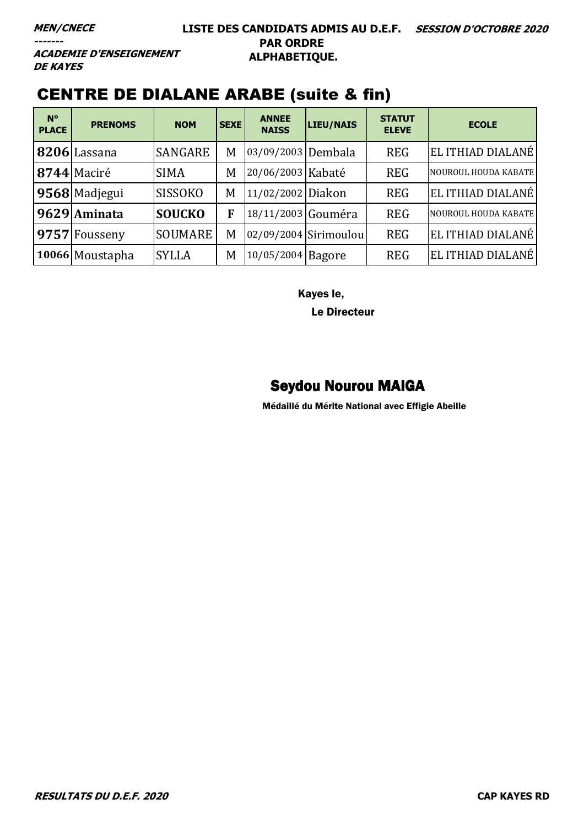#### **LISTE DES CANDIDATS ADMIS AU D.E.F. SESSION D'OCTOBRE 2020 PAR ORDRE ALPHABETIQUE.**

**ACADEMIE D'ENSEIGNEMENT DE KAYES** 

### CENTRE DE DIALANE ARABE (suite & fin)

| $N^{\circ}$<br><b>PLACE</b> | <b>PRENOMS</b>  | <b>NOM</b>     | <b>SEXE</b> | <b>ANNEE</b><br><b>NAISS</b> | LIEU/NAIS             | <b>STATUT</b><br><b>ELEVE</b> | <b>ECOLE</b>         |
|-----------------------------|-----------------|----------------|-------------|------------------------------|-----------------------|-------------------------------|----------------------|
|                             | 8206 Lassana    | <b>SANGARE</b> | M           | 03/09/2003 Dembala           |                       | <b>REG</b>                    | EL ITHIAD DIALANÉ    |
|                             | 8744 Maciré     | <b>SIMA</b>    | M           | 20/06/2003 Kabaté            |                       | <b>REG</b>                    | NOUROUL HOUDA KABATE |
|                             | 9568 Madjegui   | <b>SISSOKO</b> | M           | 11/02/2002 Diakon            |                       | <b>REG</b>                    | EL ITHIAD DIALANÉ    |
|                             | 9629 Aminata    | <b>SOUCKO</b>  | F           | 18/11/2003 Gouméra           |                       | <b>REG</b>                    | NOUROUL HOUDA KABATE |
|                             | 9757 Fousseny   | <b>SOUMARE</b> | M           |                              | 02/09/2004 Sirimoulou | <b>REG</b>                    | EL ITHIAD DIALANÉ    |
|                             | 10066 Moustapha | <b>SYLLA</b>   | M           | 10/05/2004 Bagore            |                       | <b>REG</b>                    | EL ITHIAD DIALANÉ    |

Kayes le,

Le Directeur

### Seydou Nourou MAIGA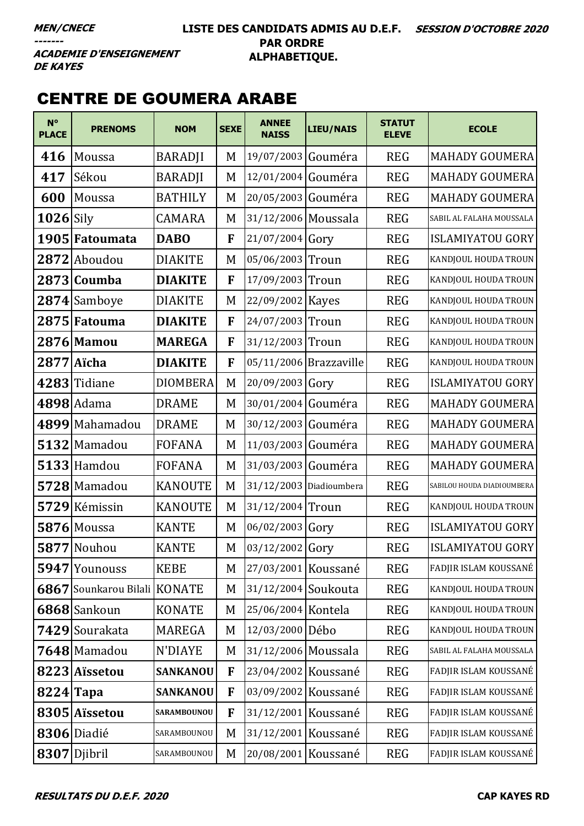#### **LISTE DES CANDIDATS ADMIS AU D.E.F. SESSION D'OCTOBRE 2020 PAR ORDRE ALPHABETIQUE.**

**ACADEMIE D'ENSEIGNEMENT DE KAYES** 

### CENTRE DE GOUMERA ARABE

| $N^{\circ}$<br><b>PLACE</b> | <b>PRENOMS</b>               | <b>NOM</b>      | <b>SEXE</b> | <b>ANNEE</b><br><b>NAISS</b> | LIEU/NAIS               | <b>STATUT</b><br><b>ELEVE</b> | <b>ECOLE</b>               |
|-----------------------------|------------------------------|-----------------|-------------|------------------------------|-------------------------|-------------------------------|----------------------------|
| 416                         | Moussa                       | <b>BARADJI</b>  | M           | 19/07/2003 Gouméra           |                         | <b>REG</b>                    | <b>MAHADY GOUMERA</b>      |
| 417                         | Sékou                        | <b>BARADJI</b>  | M           | 12/01/2004 Gouméra           |                         | <b>REG</b>                    | <b>MAHADY GOUMERA</b>      |
| 600                         | Moussa                       | <b>BATHILY</b>  | M           | 20/05/2003                   | Gouméra                 | <b>REG</b>                    | <b>MAHADY GOUMERA</b>      |
| $1026$ Sily                 |                              | <b>CAMARA</b>   | M           | 31/12/2006 Moussala          |                         | <b>REG</b>                    | SABIL AL FALAHA MOUSSALA   |
|                             | 1905 Fatoumata               | <b>DABO</b>     | F           | 21/07/2004 Gory              |                         | <b>REG</b>                    | <b>ISLAMIYATOU GORY</b>    |
|                             | 2872 Aboudou                 | <b>DIAKITE</b>  | M           | 05/06/2003 Troun             |                         | <b>REG</b>                    | KANDJOUL HOUDA TROUN       |
| 2873                        | <b>Coumba</b>                | <b>DIAKITE</b>  | F           | 17/09/2003 Troun             |                         | <b>REG</b>                    | KANDJOUL HOUDA TROUN       |
|                             | 2874 Samboye                 | <b>DIAKITE</b>  | M           | 22/09/2002 Kayes             |                         | <b>REG</b>                    | KANDJOUL HOUDA TROUN       |
|                             | 2875 Fatouma                 | <b>DIAKITE</b>  | F           | 24/07/2003 Troun             |                         | <b>REG</b>                    | KANDJOUL HOUDA TROUN       |
|                             | 2876 Mamou                   | <b>MAREGA</b>   | F           | 31/12/2003 Troun             |                         | <b>REG</b>                    | KANDJOUL HOUDA TROUN       |
|                             | 2877 Aïcha                   | <b>DIAKITE</b>  | F           |                              | 05/11/2006 Brazzaville  | <b>REG</b>                    | KANDJOUL HOUDA TROUN       |
| 4283                        | Tidiane                      | <b>DIOMBERA</b> | M           | 20/09/2003 Gory              |                         | <b>REG</b>                    | <b>ISLAMIYATOU GORY</b>    |
|                             | $4898$ Adama                 | <b>DRAME</b>    | M           | 30/01/2004 Gouméra           |                         | <b>REG</b>                    | <b>MAHADY GOUMERA</b>      |
|                             | 4899 Mahamadou               | <b>DRAME</b>    | M           | 30/12/2003 Gouméra           |                         | <b>REG</b>                    | <b>MAHADY GOUMERA</b>      |
|                             | 5132 Mamadou                 | <b>FOFANA</b>   | M           | 11/03/2003 Gouméra           |                         | <b>REG</b>                    | <b>MAHADY GOUMERA</b>      |
|                             | $5133$  Hamdou               | <b>FOFANA</b>   | M           | 31/03/2003 Gouméra           |                         | <b>REG</b>                    | <b>MAHADY GOUMERA</b>      |
|                             | 5728 Mamadou                 | <b>KANOUTE</b>  | M           |                              | 31/12/2003 Diadioumbera | <b>REG</b>                    | SABILOU HOUDA DIADIOUMBERA |
|                             | 5729 Kémissin                | <b>KANOUTE</b>  | M           | 31/12/2004 Troun             |                         | <b>REG</b>                    | KANDJOUL HOUDA TROUN       |
|                             | $5876$ Moussa                | <b>KANTE</b>    | M           | 06/02/2003 Gory              |                         | <b>REG</b>                    | <b>ISLAMIYATOU GORY</b>    |
|                             | 5877 Nouhou                  | <b>KANTE</b>    | M           | 03/12/2002 Gory              |                         | <b>REG</b>                    | <b>ISLAMIYATOU GORY</b>    |
|                             | 5947 Younouss                | <b>KEBE</b>     | M           | 27/03/2001 Koussané          |                         | <b>REG</b>                    | FADJIR ISLAM KOUSSANÉ      |
|                             | 6867 Sounkarou Bilali KONATE |                 | M           | 31/12/2004 Soukouta          |                         | <b>REG</b>                    | KANDJOUL HOUDA TROUN       |
|                             | 6868 Sankoun                 | <b>KONATE</b>   | M           | 25/06/2004 Kontela           |                         | <b>REG</b>                    | KANDJOUL HOUDA TROUN       |
|                             | 7429 Sourakata               | <b>MAREGA</b>   | M           | 12/03/2000 Débo              |                         | <b>REG</b>                    | KANDJOUL HOUDA TROUN       |
|                             | 7648 Mamadou                 | N'DIAYE         | M           | 31/12/2006 Moussala          |                         | <b>REG</b>                    | SABIL AL FALAHA MOUSSALA   |
|                             | 8223 Aïssetou                | <b>SANKANOU</b> | F           | 23/04/2002 Koussané          |                         | <b>REG</b>                    | FADJIR ISLAM KOUSSANÉ      |
| $8224$ Tapa                 |                              | <b>SANKANOU</b> | F           | 03/09/2002 Koussané          |                         | <b>REG</b>                    | FADJIR ISLAM KOUSSANÉ      |
|                             | 8305 Aïssetou                | SARAMBOUNOU     | F           | 31/12/2001 Koussané          |                         | <b>REG</b>                    | FADJIR ISLAM KOUSSANÉ      |
|                             | 8306 Diadié                  | SARAMBOUNOU     | M           | 31/12/2001 Koussané          |                         | <b>REG</b>                    | FADJIR ISLAM KOUSSANÉ      |
|                             | 8307 Djibril                 | SARAMBOUNOU     | M           | 20/08/2001 Koussané          |                         | <b>REG</b>                    | FADJIR ISLAM KOUSSANÉ      |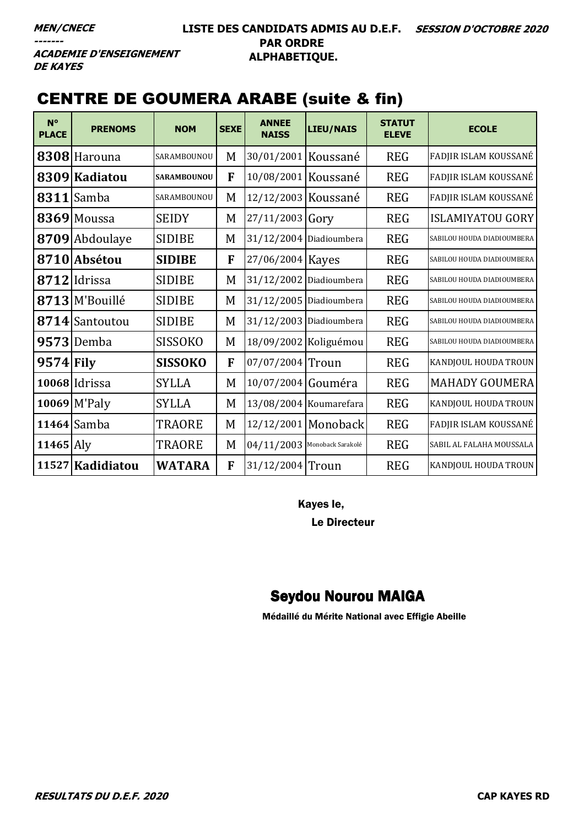#### LISTE DES CANDIDATS ADMIS AU D.E.F. SESSION D'OCTOBRE 2020 **PAR ORDRE** ALPHABETIQUE.

**ACADEMIE D'ENSEIGNEMENT DE KAYES** 

### **CENTRE DE GOUMERA ARABE (suite & fin)**

| $N^{\circ}$<br><b>PLACE</b> | <b>PRENOMS</b>   | <b>NOM</b>         | <b>SEXE</b> | <b>ANNEE</b><br><b>NAISS</b>   | <b>LIEU/NAIS</b>         | <b>STATUT</b><br><b>ELEVE</b> | <b>ECOLE</b>               |
|-----------------------------|------------------|--------------------|-------------|--------------------------------|--------------------------|-------------------------------|----------------------------|
|                             | 8308 Harouna     | SARAMBOUNOU        | M           | 30/01/2001 Koussané            |                          | <b>REG</b>                    | FADJIR ISLAM KOUSSANÉ      |
|                             | 8309 Kadiatou    | <b>SARAMBOUNOU</b> | F           | 10/08/2001 Koussané            |                          | <b>REG</b>                    | FADJIR ISLAM KOUSSANÉ      |
|                             | $8311$ Samba     | SARAMBOUNOU        | M           | 12/12/2003 Koussané            |                          | <b>REG</b>                    | FADJIR ISLAM KOUSSANÉ      |
|                             | 8369 Moussa      | <b>SEIDY</b>       | M           | 27/11/2003 Gory                |                          | <b>REG</b>                    | <b>ISLAMIYATOU GORY</b>    |
|                             | 8709 Abdoulaye   | <b>SIDIBE</b>      | M           |                                | 31/12/2004 Diadioumbera  | <b>REG</b>                    | SABILOU HOUDA DIADIOUMBERA |
|                             | 8710 Absétou     | <b>SIDIBE</b>      | F           | 27/06/2004 Kayes               |                          | <b>REG</b>                    | SABILOU HOUDA DIADIOUMBERA |
|                             | $8712$  Idrissa  | <b>SIDIBE</b>      | M           |                                | 31/12/2002 Diadioumbera  | <b>REG</b>                    | SABILOU HOUDA DIADIOUMBERA |
|                             | 8713 M'Bouillé   | <b>SIDIBE</b>      | M           |                                | 31/12/2005 Diadioumbera  | <b>REG</b>                    | SABILOU HOUDA DIADIOUMBERA |
|                             | 8714 Santoutou   | <b>SIDIBE</b>      | M           |                                | 31/12/2003 Diadioumbera  | <b>REG</b>                    | SABILOU HOUDA DIADIOUMBERA |
|                             | $9573$ Demba     | <b>SISSOKO</b>     | M           |                                | 18/09/2002 Koliguémou    | <b>REG</b>                    | SABILOU HOUDA DIADIOUMBERA |
| $9574$ Fily                 |                  | <b>SISSOKO</b>     | F           | 07/07/2004 Troun               |                          | <b>REG</b>                    | KANDJOUL HOUDA TROUN       |
|                             | 10068 Idrissa    | <b>SYLLA</b>       | M           | 10/07/2004                     | Gouméra                  | <b>REG</b>                    | <b>MAHADY GOUMERA</b>      |
|                             | $10069$ M'Paly   | <b>SYLLA</b>       | M           |                                | $13/08/2004$ Koumarefara | <b>REG</b>                    | KANDJOUL HOUDA TROUN       |
|                             | $11464$ Samba    | <b>TRAORE</b>      | M           |                                | 12/12/2001 Monoback      | <b>REG</b>                    | FADJIR ISLAM KOUSSANÉ      |
| $11465$ Aly                 |                  | TRAORE             | M           | $04/11/2003$ Monoback Sarakolé |                          | <b>REG</b>                    | SABIL AL FALAHA MOUSSALA   |
|                             | 11527 Kadidiatou | <b>WATARA</b>      | F           | 31/12/2004 Troun               |                          | <b>REG</b>                    | KANDJOUL HOUDA TROUN       |

Kayes le,

**Le Directeur** 

### **Seydou Nourou MAIGA**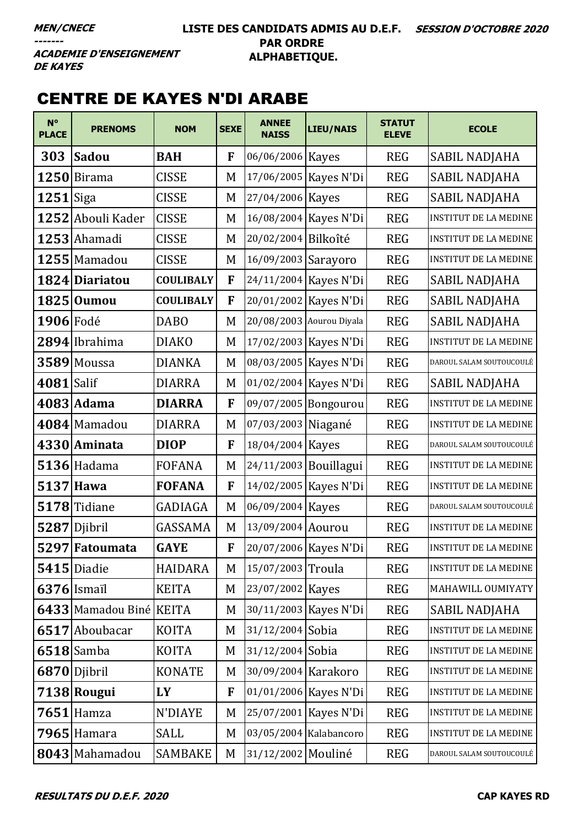#### **LISTE DES CANDIDATS ADMIS AU D.E.F. SESSION D'OCTOBRE 2020 PAR ORDRE ALPHABETIQUE.**

**ACADEMIE D'ENSEIGNEMENT DE KAYES** 

### CENTRE DE KAYES N'DI ARABE

| $N^{\circ}$<br><b>PLACE</b> | <b>PRENOMS</b>          | <b>NOM</b>       | <b>SEXE</b> | <b>ANNEE</b><br><b>NAISS</b> | <b>LIEU/NAIS</b>         | <b>STATUT</b><br><b>ELEVE</b> | <b>ECOLE</b>                 |
|-----------------------------|-------------------------|------------------|-------------|------------------------------|--------------------------|-------------------------------|------------------------------|
| 303                         | <b>Sadou</b>            | <b>BAH</b>       | F           | 06/06/2006 Kayes             |                          | <b>REG</b>                    | SABIL NADJAHA                |
|                             | $1250$  Birama          | <b>CISSE</b>     | M           |                              | 17/06/2005   Kayes N'Di  | <b>REG</b>                    | SABIL NADJAHA                |
| 1251                        | Siga                    | <b>CISSE</b>     | M           | 27/04/2006 Kayes             |                          | <b>REG</b>                    | SABIL NADJAHA                |
|                             | 1252 Abouli Kader       | <b>CISSE</b>     | M           |                              | 16/08/2004 Kayes N'Di    | <b>REG</b>                    | <b>INSTITUT DE LA MEDINE</b> |
|                             | 1253 Ahamadi            | <b>CISSE</b>     | M           | 20/02/2004 Bilkoîté          |                          | <b>REG</b>                    | <b>INSTITUT DE LA MEDINE</b> |
|                             | $1255$ Mamadou          | <b>CISSE</b>     | M           | 16/09/2003 Sarayoro          |                          | <b>REG</b>                    | <b>INSTITUT DE LA MEDINE</b> |
|                             | 1824 Diariatou          | <b>COULIBALY</b> | F           |                              | 24/11/2004 Kayes N'Di    | <b>REG</b>                    | SABIL NADJAHA                |
|                             | 1825 Oumou              | <b>COULIBALY</b> | F           |                              | 20/01/2002 Kayes N'Di    | <b>REG</b>                    | SABIL NADJAHA                |
| 1906 Fodé                   |                         | <b>DABO</b>      | M           |                              | 20/08/2003 Aourou Diyala | <b>REG</b>                    | SABIL NADJAHA                |
|                             | 2894 Ibrahima           | <b>DIAKO</b>     | M           |                              | 17/02/2003 Kayes N'Di    | <b>REG</b>                    | <b>INSTITUT DE LA MEDINE</b> |
|                             | 3589 Moussa             | <b>DIANKA</b>    | M           |                              | 08/03/2005   Kayes N'Di  | <b>REG</b>                    | DAROUL SALAM SOUTOUCOULÉ     |
| 4081 Salif                  |                         | <b>DIARRA</b>    | M           |                              | 01/02/2004 Kayes N'Di    | <b>REG</b>                    | <b>SABIL NADJAHA</b>         |
|                             | 4083 Adama              | <b>DIARRA</b>    | F           |                              | 09/07/2005 Bongourou     | <b>REG</b>                    | <b>INSTITUT DE LA MEDINE</b> |
|                             | 4084 Mamadou            | <b>DIARRA</b>    | M           | 07/03/2003 Niagané           |                          | <b>REG</b>                    | <b>INSTITUT DE LA MEDINE</b> |
|                             | 4330 Aminata            | <b>DIOP</b>      | F           | 18/04/2004 Kayes             |                          | <b>REG</b>                    | DAROUL SALAM SOUTOUCOULÉ     |
|                             | $5136$ Hadama           | <b>FOFANA</b>    | M           | 24/11/2003 Bouillagui        |                          | <b>REG</b>                    | <b>INSTITUT DE LA MEDINE</b> |
| 5137                        | Hawa                    | <b>FOFANA</b>    | F           |                              | 14/02/2005   Kayes N'Di  | <b>REG</b>                    | <b>INSTITUT DE LA MEDINE</b> |
|                             | 5178 Tidiane            | <b>GADIAGA</b>   | M           | 06/09/2004 Kayes             |                          | <b>REG</b>                    | DAROUL SALAM SOUTOUCOULÉ     |
| 5287                        | Djibril                 | GASSAMA          | M           | 13/09/2004 Aourou            |                          | <b>REG</b>                    | <b>INSTITUT DE LA MEDINE</b> |
|                             | 5297 Fatoumata          | <b>GAYE</b>      | F           |                              | 20/07/2006 Kayes N'Di    | <b>REG</b>                    | <b>INSTITUT DE LA MEDINE</b> |
|                             | 5415 Diadie             | <b>HAIDARA</b>   | M           | 15/07/2003 Troula            |                          | <b>REG</b>                    | <b>INSTITUT DE LA MEDINE</b> |
|                             | $6376$ Ismail           | <b>KEITA</b>     | M           | 23/07/2002 Kayes             |                          | <b>REG</b>                    | MAHAWILL OUMIYATY            |
|                             | 6433 Mamadou Biné KEITA |                  | M           |                              | 30/11/2003 Kayes N'Di    | <b>REG</b>                    | SABIL NADJAHA                |
|                             | 6517 Aboubacar          | <b>KOITA</b>     | M           | 31/12/2004 Sobia             |                          | <b>REG</b>                    | INSTITUT DE LA MEDINE        |
|                             | $6518$ Samba            | <b>KOITA</b>     | M           | 31/12/2004 Sobia             |                          | <b>REG</b>                    | <b>INSTITUT DE LA MEDINE</b> |
|                             | 6870 Djibril            | <b>KONATE</b>    | M           | 30/09/2004 Karakoro          |                          | <b>REG</b>                    | <b>INSTITUT DE LA MEDINE</b> |
|                             | 7138 Rougui             | LY               | F           |                              | 01/01/2006 Kayes N'Di    | <b>REG</b>                    | <b>INSTITUT DE LA MEDINE</b> |
|                             | $7651$ Hamza            | N'DIAYE          | M           |                              | 25/07/2001 Kayes N'Di    | <b>REG</b>                    | INSTITUT DE LA MEDINE        |
|                             | $7965$ Hamara           | <b>SALL</b>      | M           |                              | 03/05/2004 Kalabancoro   | <b>REG</b>                    | <b>INSTITUT DE LA MEDINE</b> |
|                             | 8043 Mahamadou          | <b>SAMBAKE</b>   | M           | 31/12/2002 Mouliné           |                          | <b>REG</b>                    | DAROUL SALAM SOUTOUCOULÉ     |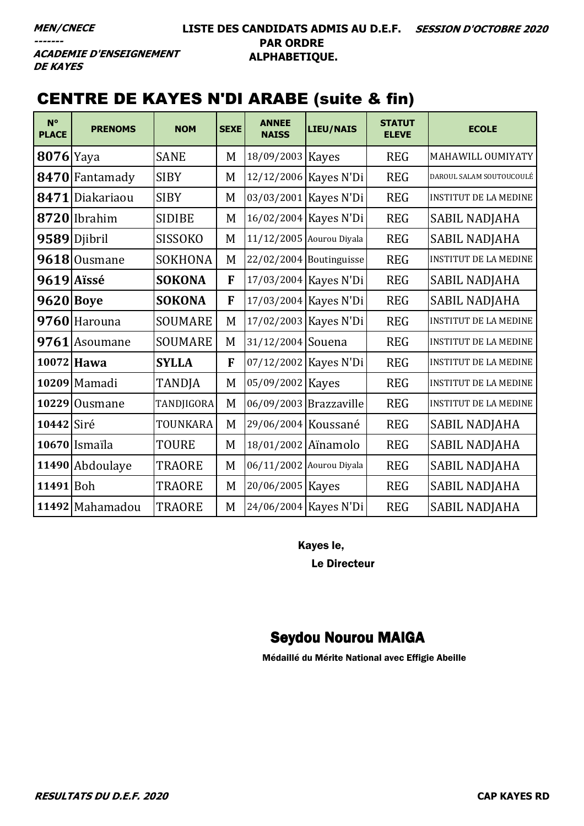**ACADEMIE D'ENSEIGNEMENT DE KAYES** 

### CENTRE DE KAYES N'DI ARABE (suite & fin)

| $N^{\circ}$<br><b>PLACE</b> | <b>PRENOMS</b>  | <b>NOM</b>     | <b>SEXE</b> | <b>ANNEE</b><br><b>NAISS</b> | <b>LIEU/NAIS</b>          | <b>STATUT</b><br><b>ELEVE</b> | <b>ECOLE</b>                 |
|-----------------------------|-----------------|----------------|-------------|------------------------------|---------------------------|-------------------------------|------------------------------|
| $8076$  Yaya                |                 | <b>SANE</b>    | M           | 18/09/2003 Kayes             |                           | <b>REG</b>                    | MAHAWILL OUMIYATY            |
|                             | 8470 Fantamady  | <b>SIBY</b>    | M           |                              | 12/12/2006 Kayes N'Di     | <b>REG</b>                    | DAROUL SALAM SOUTOUCOULÉ     |
| 8471                        | Diakariaou      | <b>SIBY</b>    | M           |                              | 03/03/2001 Kayes N'Di     | <b>REG</b>                    | <b>INSTITUT DE LA MEDINE</b> |
|                             | 8720 Ibrahim    | <b>SIDIBE</b>  | M           |                              | 16/02/2004 Kayes N'Di     | <b>REG</b>                    | SABIL NADJAHA                |
|                             | 9589 Djibril    | <b>SISSOKO</b> | M           |                              | 11/12/2005 Aourou Diyala  | <b>REG</b>                    | SABIL NADJAHA                |
|                             | 9618 Ousmane    | <b>SOKHONA</b> | M           |                              | $22/02/2004$ Boutinguisse | <b>REG</b>                    | <b>INSTITUT DE LA MEDINE</b> |
|                             | 9619 Aïssé      | <b>SOKONA</b>  | F           | 17/03/2004 Kayes N'Di        |                           | <b>REG</b>                    | SABIL NADJAHA                |
| <b>9620 Boye</b>            |                 | <b>SOKONA</b>  | F           |                              | 17/03/2004 Kayes N'Di     | <b>REG</b>                    | SABIL NADJAHA                |
|                             | 9760 Harouna    | <b>SOUMARE</b> | M           |                              | 17/02/2003 Kayes N'Di     | <b>REG</b>                    | <b>INSTITUT DE LA MEDINE</b> |
|                             | 9761 Asoumane   | <b>SOUMARE</b> | M           | 31/12/2004 Souena            |                           | <b>REG</b>                    | <b>INSTITUT DE LA MEDINE</b> |
| 10072                       | <b>Hawa</b>     | <b>SYLLA</b>   | F           |                              | 07/12/2002 Kayes N'Di     | <b>REG</b>                    | <b>INSTITUT DE LA MEDINE</b> |
|                             | 10209 Mamadi    | <b>TANDJA</b>  | M           | 05/09/2002 Kayes             |                           | <b>REG</b>                    | <b>INSTITUT DE LA MEDINE</b> |
|                             | 10229 Ousmane   | TANDJIGORA     | M           |                              | 06/09/2003 Brazzaville    | <b>REG</b>                    | <b>INSTITUT DE LA MEDINE</b> |
| 10442 Siré                  |                 | TOUNKARA       | M           | 29/06/2004 Koussané          |                           | <b>REG</b>                    | SABIL NADJAHA                |
|                             | 10670 Ismaïla   | <b>TOURE</b>   | M           | 18/01/2002 Aïnamolo          |                           | <b>REG</b>                    | <b>SABIL NADJAHA</b>         |
|                             | 11490 Abdoulaye | <b>TRAORE</b>  | M           |                              | 06/11/2002 Aourou Diyala  | <b>REG</b>                    | SABIL NADJAHA                |
| 11491 Boh                   |                 | <b>TRAORE</b>  | M           | 20/06/2005   Kayes           |                           | <b>REG</b>                    | SABIL NADJAHA                |
|                             | 11492 Mahamadou | <b>TRAORE</b>  | M           |                              | 24/06/2004 Kayes N'Di     | <b>REG</b>                    | SABIL NADJAHA                |

Kayes le,

Le Directeur

## Seydou Nourou MAIGA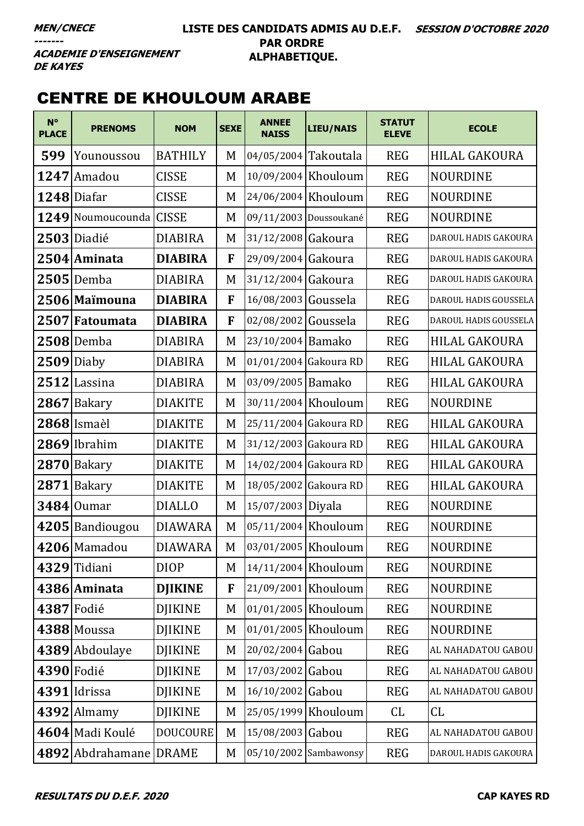#### **LISTE DES CANDIDATS ADMIS AU D.E.F. SESSION D'OCTOBRE 2020 PAR ORDRE ALPHABETIQUE.**

**ACADEMIE D'ENSEIGNEMENT DE KAYES** 

## CENTRE DE KHOULOUM ARABE

| $N^{\circ}$<br><b>PLACE</b> | <b>PRENOMS</b>          | <b>NOM</b>      | <b>SEXE</b> | <b>ANNEE</b><br><b>NAISS</b> | <b>LIEU/NAIS</b>      | <b>STATUT</b><br><b>ELEVE</b> | <b>ECOLE</b>          |
|-----------------------------|-------------------------|-----------------|-------------|------------------------------|-----------------------|-------------------------------|-----------------------|
| 599                         | Younoussou              | <b>BATHILY</b>  | M           | 04/05/2004 Takoutala         |                       | <b>REG</b>                    | HILAL GAKOURA         |
|                             | 1247 Amadou             | <b>CISSE</b>    | M           | 10/09/2004 Khouloum          |                       | <b>REG</b>                    | <b>NOURDINE</b>       |
|                             | 1248 Diafar             | <b>CISSE</b>    | M           |                              | 24/06/2004 Khouloum   | <b>REG</b>                    | <b>NOURDINE</b>       |
|                             | 1249 Noumoucounda CISSE |                 | M           | 09/11/2003 Doussoukané       |                       | <b>REG</b>                    | <b>NOURDINE</b>       |
|                             | 2503 Diadié             | <b>DIABIRA</b>  | M           | 31/12/2008 Gakoura           |                       | <b>REG</b>                    | DAROUL HADIS GAKOURA  |
|                             | 2504 Aminata            | <b>DIABIRA</b>  | F           | 29/09/2004 Gakoura           |                       | <b>REG</b>                    | DAROUL HADIS GAKOURA  |
|                             | $2505$ Demba            | <b>DIABIRA</b>  | M           | 31/12/2004 Gakoura           |                       | <b>REG</b>                    | DAROUL HADIS GAKOURA  |
|                             | 2506 Maïmouna           | <b>DIABIRA</b>  | F           | 16/08/2003 Goussela          |                       | <b>REG</b>                    | DAROUL HADIS GOUSSELA |
|                             | 2507 Fatoumata          | <b>DIABIRA</b>  | F           | 02/08/2002 Goussela          |                       | <b>REG</b>                    | DAROUL HADIS GOUSSELA |
|                             | 2508 Demba              | <b>DIABIRA</b>  | M           | 23/10/2004 Bamako            |                       | <b>REG</b>                    | <b>HILAL GAKOURA</b>  |
|                             | $2509$ Diaby            | <b>DIABIRA</b>  | M           | 01/01/2004 Gakoura RD        |                       | <b>REG</b>                    | <b>HILAL GAKOURA</b>  |
|                             | $2512$ Lassina          | <b>DIABIRA</b>  | M           | 03/09/2005 Bamako            |                       | <b>REG</b>                    | <b>HILAL GAKOURA</b>  |
| 2867                        | Bakary                  | <b>DIAKITE</b>  | M           |                              | 30/11/2004 Khouloum   | <b>REG</b>                    | <b>NOURDINE</b>       |
|                             | 2868 Ismaèl             | <b>DIAKITE</b>  | M           | 25/11/2004 Gakoura RD        |                       | <b>REG</b>                    | <b>HILAL GAKOURA</b>  |
|                             | $2869$  Ibrahim         | <b>DIAKITE</b>  | M           | 31/12/2003 Gakoura RD        |                       | <b>REG</b>                    | HILAL GAKOURA         |
|                             | $2870$ Bakary           | <b>DIAKITE</b>  | M           | 14/02/2004 Gakoura RD        |                       | <b>REG</b>                    | <b>HILAL GAKOURA</b>  |
|                             | 2871 Bakary             | <b>DIAKITE</b>  | M           | 18/05/2002 Gakoura RD        |                       | <b>REG</b>                    | HILAL GAKOURA         |
|                             | $3484$ Oumar            | <b>DIALLO</b>   | M           | 15/07/2003 Diyala            |                       | <b>REG</b>                    | <b>NOURDINE</b>       |
|                             | 4205 Bandiougou         | <b>DIAWARA</b>  | M           | 05/11/2004 Khouloum          |                       | <b>REG</b>                    | <b>NOURDINE</b>       |
|                             | 4206 Mamadou            | <b>DIAWARA</b>  | M           | 03/01/2005 Khouloum          |                       | <b>REG</b>                    | NOURDINE              |
|                             | 4329 Tidiani            | <b>DIOP</b>     | M           | $14/11/2004$ Khouloum        |                       | <b>REG</b>                    | <b>NOURDINE</b>       |
|                             | 4386 Aminata            | <b>DJIKINE</b>  | F           | 21/09/2001 Khouloum          |                       | <b>REG</b>                    | <b>NOURDINE</b>       |
|                             | 4387 Fodié              | <b>DJIKINE</b>  | M           | 01/01/2005 Khouloum          |                       | <b>REG</b>                    | <b>NOURDINE</b>       |
|                             | 4388 Moussa             | <b>DJIKINE</b>  | M           |                              | 01/01/2005 Khouloum   | <b>REG</b>                    | <b>NOURDINE</b>       |
|                             | 4389 Abdoulaye          | <b>DJIKINE</b>  | M           | 20/02/2004 Gabou             |                       | <b>REG</b>                    | AL NAHADATOU GABOU    |
|                             | 4390 Fodié              | <b>DJIKINE</b>  | M           | 17/03/2002 Gabou             |                       | <b>REG</b>                    | AL NAHADATOU GABOU    |
|                             | 4391 Idrissa            | <b>DJIKINE</b>  | M           | 16/10/2002 Gabou             |                       | <b>REG</b>                    | AL NAHADATOU GABOU    |
|                             | $4392$ Almamy           | <b>DJIKINE</b>  | M           |                              | 25/05/1999 Khouloum   | <b>CL</b>                     | CL                    |
|                             | 4604 Madi Koulé         | <b>DOUCOURE</b> | M           | 15/08/2003 Gabou             |                       | <b>REG</b>                    | AL NAHADATOU GABOU    |
|                             | 4892 Abdrahamane DRAME  |                 | M           |                              | 05/10/2002 Sambawonsy | <b>REG</b>                    | DAROUL HADIS GAKOURA  |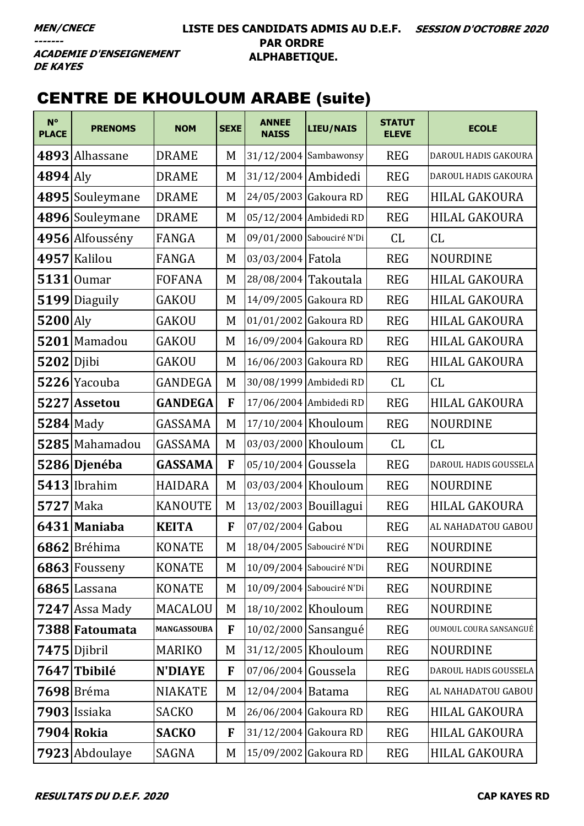**ACADEMIE D'ENSEIGNEMENT DE KAYES** 

# **CENTRE DE KHOULOUM ARABE (suite)**

| $N^{\circ}$<br><b>PLACE</b> | <b>PRENOMS</b>    | <b>NOM</b>     | <b>SEXE</b>  | <b>ANNEE</b><br><b>NAISS</b> | <b>LIEU/NAIS</b>          | <b>STATUT</b><br><b>ELEVE</b> | <b>ECOLE</b>           |
|-----------------------------|-------------------|----------------|--------------|------------------------------|---------------------------|-------------------------------|------------------------|
|                             | 4893 Alhassane    | <b>DRAME</b>   | M            |                              | $31/12/2004$ Sambawonsy   | <b>REG</b>                    | DAROUL HADIS GAKOURA   |
| $4894$ Aly                  |                   | <b>DRAME</b>   | M            | 31/12/2004 Ambidedi          |                           | <b>REG</b>                    | DAROUL HADIS GAKOURA   |
|                             | 4895 Souleymane   | <b>DRAME</b>   | M            |                              | 24/05/2003 Gakoura RD     | <b>REG</b>                    | HILAL GAKOURA          |
|                             | 4896 Souleymane   | <b>DRAME</b>   | M            |                              | 05/12/2004 Ambidedi RD    | <b>REG</b>                    | <b>HILAL GAKOURA</b>   |
|                             | 4956 Alfoussény   | FANGA          | M            |                              | 09/01/2000 Sabouciré N'Di | CL                            | CL                     |
|                             | 4957 Kalilou      | FANGA          | M            | 03/03/2004 Fatola            |                           | <b>REG</b>                    | <b>NOURDINE</b>        |
|                             | $5131$   Oumar    | <b>FOFANA</b>  | M            | 28/08/2004 Takoutala         |                           | <b>REG</b>                    | <b>HILAL GAKOURA</b>   |
|                             | 5199 Diaguily     | <b>GAKOU</b>   | M            |                              | 14/09/2005 Gakoura RD     | <b>REG</b>                    | <b>HILAL GAKOURA</b>   |
| $5200$ Aly                  |                   | GAKOU          | M            |                              | 01/01/2002 Gakoura RD     | <b>REG</b>                    | HILAL GAKOURA          |
|                             | 5201 Mamadou      | <b>GAKOU</b>   | M            |                              | 16/09/2004 Gakoura RD     | <b>REG</b>                    | <b>HILAL GAKOURA</b>   |
| $5202$ Djibi                |                   | <b>GAKOU</b>   | M            |                              | 16/06/2003 Gakoura RD     | <b>REG</b>                    | HILAL GAKOURA          |
|                             | 5226 Yacouba      | <b>GANDEGA</b> | M            |                              | 30/08/1999 Ambidedi RD    | CL                            | CL                     |
|                             | 5227 Assetou      | <b>GANDEGA</b> | $\mathbf{F}$ |                              | 17/06/2004 Ambidedi RD    | <b>REG</b>                    | HILAL GAKOURA          |
| $5284$ Mady                 |                   | GASSAMA        | M            |                              | 17/10/2004 Khouloum       | <b>REG</b>                    | <b>NOURDINE</b>        |
|                             | 5285 Mahamadou    | GASSAMA        | M            |                              | 03/03/2000 Khouloum       | CL                            | CL                     |
|                             | 5286 Djenéba      | <b>GASSAMA</b> | F            | 05/10/2004 Goussela          |                           | <b>REG</b>                    | DAROUL HADIS GOUSSELA  |
|                             | $5413$  Ibrahim   | <b>HAIDARA</b> | M            |                              | 03/03/2004 Khouloum       | <b>REG</b>                    | <b>NOURDINE</b>        |
| <b>5727</b> Maka            |                   | <b>KANOUTE</b> | M            |                              | 13/02/2003 Bouillagui     | <b>REG</b>                    | HILAL GAKOURA          |
|                             | 6431 Maniaba      | <b>KEITA</b>   | $\mathbf{F}$ | 07/02/2004 Gabou             |                           | <b>REG</b>                    | AL NAHADATOU GABOU     |
|                             | 6862 Bréhima      | <b>KONATE</b>  | M            |                              | 18/04/2005 Sabouciré N'Di | <b>REG</b>                    | <b>NOURDINE</b>        |
|                             | 6863 Fousseny     | <b>KONATE</b>  | M            |                              | 10/09/2004 Sabouciré N'Di | <b>REG</b>                    | <b>NOURDINE</b>        |
|                             | $6865$ Lassana    | <b>KONATE</b>  | M            |                              | 10/09/2004 Sabouciré N'Di | <b>REG</b>                    | <b>NOURDINE</b>        |
|                             | $7247$ Assa Mady  | <b>MACALOU</b> | M            |                              | 18/10/2002 Khouloum       | <b>REG</b>                    | <b>NOURDINE</b>        |
|                             | 7388 Fatoumata    | MANGASSOUBA    | F            |                              | 10/02/2000 Sansangué      | <b>REG</b>                    | OUMOUL COURA SANSANGUÉ |
|                             | 7475 Djibril      | <b>MARIKO</b>  | M            |                              | 31/12/2005 Khouloum       | <b>REG</b>                    | <b>NOURDINE</b>        |
|                             | 7647 Tbibilé      | <b>N'DIAYE</b> | F            | 07/06/2004 Goussela          |                           | <b>REG</b>                    | DAROUL HADIS GOUSSELA  |
|                             | <b>7698</b> Bréma | <b>NIAKATE</b> | M            | 12/04/2004 Batama            |                           | <b>REG</b>                    | AL NAHADATOU GABOU     |
|                             | 7903 Issiaka      | <b>SACKO</b>   | M            |                              | 26/06/2004 Gakoura RD     | <b>REG</b>                    | HILAL GAKOURA          |
|                             | 7904 Rokia        | <b>SACKO</b>   | F            |                              | $31/12/2004$ Gakoura RD   | <b>REG</b>                    | HILAL GAKOURA          |
|                             | 7923 Abdoulaye    | SAGNA          | M            |                              | 15/09/2002 Gakoura RD     | <b>REG</b>                    | HILAL GAKOURA          |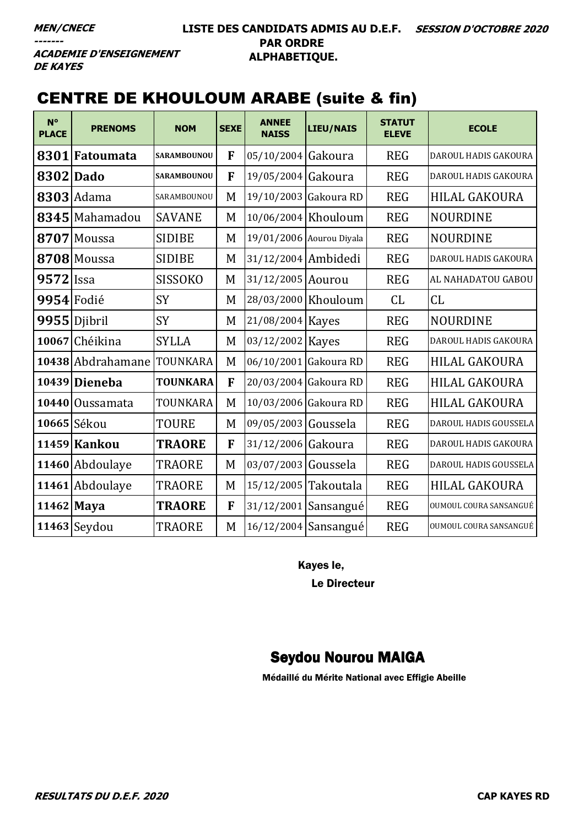**ACADEMIE D'ENSEIGNEMENT DE KAYES** 

## CENTRE DE KHOULOUM ARABE (suite & fin)

| $N^{\circ}$<br><b>PLACE</b> | <b>PRENOMS</b>    | <b>NOM</b>         | <b>SEXE</b> | <b>ANNEE</b><br><b>NAISS</b> | <b>LIEU/NAIS</b>         | <b>STATUT</b><br><b>ELEVE</b> | <b>ECOLE</b>           |
|-----------------------------|-------------------|--------------------|-------------|------------------------------|--------------------------|-------------------------------|------------------------|
| 8301                        | Fatoumata         | <b>SARAMBOUNOU</b> | F           | 05/10/2004 Gakoura           |                          | <b>REG</b>                    | DAROUL HADIS GAKOURA   |
|                             | 8302 Dado         | SARAMBOUNOU        | F           | 19/05/2004 Gakoura           |                          | <b>REG</b>                    | DAROUL HADIS GAKOURA   |
|                             | 8303 Adama        | SARAMBOUNOU        | M           |                              | 19/10/2003 Gakoura RD    | <b>REG</b>                    | <b>HILAL GAKOURA</b>   |
|                             | 8345 Mahamadou    | <b>SAVANE</b>      | M           |                              | 10/06/2004 Khouloum      | <b>REG</b>                    | <b>NOURDINE</b>        |
| 8707                        | Moussa            | <b>SIDIBE</b>      | M           |                              | 19/01/2006 Aourou Diyala | <b>REG</b>                    | <b>NOURDINE</b>        |
|                             | 8708 Moussa       | <b>SIDIBE</b>      | M           | 31/12/2004 Ambidedi          |                          | <b>REG</b>                    | DAROUL HADIS GAKOURA   |
| $9572$ Issa                 |                   | <b>SISSOKO</b>     | M           | 31/12/2005 Aourou            |                          | <b>REG</b>                    | AL NAHADATOU GABOU     |
|                             | 9954 Fodié        | <b>SY</b>          | M           |                              | 28/03/2000 Khouloum      | CL                            | CL                     |
|                             | 9955 Djibril      | <b>SY</b>          | M           | 21/08/2004 Kayes             |                          | <b>REG</b>                    | <b>NOURDINE</b>        |
|                             | 10067 Chéikina    | <b>SYLLA</b>       | M           | 03/12/2002 Kayes             |                          | <b>REG</b>                    | DAROUL HADIS GAKOURA   |
|                             | 10438 Abdrahamane | TOUNKARA           | M           | 06/10/2001 Gakoura RD        |                          | <b>REG</b>                    | <b>HILAL GAKOURA</b>   |
|                             | 10439 Dieneba     | <b>TOUNKARA</b>    | F           | 20/03/2004 Gakoura RD        |                          | <b>REG</b>                    | <b>HILAL GAKOURA</b>   |
|                             | 10440 Oussamata   | TOUNKARA           | M           | 10/03/2006 Gakoura RD        |                          | <b>REG</b>                    | HILAL GAKOURA          |
|                             | 10665 Sékou       | TOURE              | M           | 09/05/2003 Goussela          |                          | <b>REG</b>                    | DAROUL HADIS GOUSSELA  |
|                             | 11459 Kankou      | <b>TRAORE</b>      | F           | 31/12/2006 Gakoura           |                          | <b>REG</b>                    | DAROUL HADIS GAKOURA   |
|                             | 11460 Abdoulaye   | <b>TRAORE</b>      | M           | 03/07/2003 Goussela          |                          | <b>REG</b>                    | DAROUL HADIS GOUSSELA  |
|                             | 11461 Abdoulaye   | <b>TRAORE</b>      | M           | 15/12/2005 Takoutala         |                          | <b>REG</b>                    | <b>HILAL GAKOURA</b>   |
|                             | 11462 Maya        | <b>TRAORE</b>      | F           |                              | 31/12/2001 Sansangué     | <b>REG</b>                    | OUMOUL COURA SANSANGUÉ |
|                             | $11463$ Seydou    | <b>TRAORE</b>      | M           |                              | 16/12/2004 Sansangué     | <b>REG</b>                    | OUMOUL COURA SANSANGUÉ |

Kayes le,

Le Directeur

### Seydou Nourou MAIGA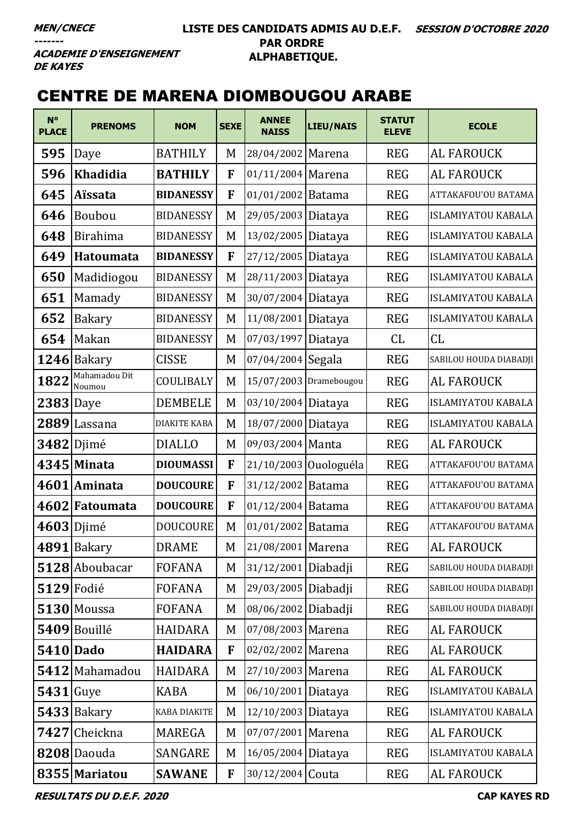**ACADEMIE D'ENSEIGNEMENT DE KAYES** 

# CENTRE DE MARENA DIOMBOUGOU ARABE

| $N^{\circ}$<br><b>PLACE</b> | <b>PRENOMS</b>          | <b>NOM</b>          | <b>SEXE</b> | <b>ANNEE</b><br><b>NAISS</b> | <b>LIEU/NAIS</b>      | <b>STATUT</b><br><b>ELEVE</b> | <b>ECOLE</b>              |
|-----------------------------|-------------------------|---------------------|-------------|------------------------------|-----------------------|-------------------------------|---------------------------|
| 595                         | Daye                    | <b>BATHILY</b>      | M           | 28/04/2002 Marena            |                       | <b>REG</b>                    | <b>AL FAROUCK</b>         |
| 596                         | <b>Khadidia</b>         | <b>BATHILY</b>      | F           | 01/11/2004 Marena            |                       | <b>REG</b>                    | AL FAROUCK                |
| 645                         | <b>Aïssata</b>          | <b>BIDANESSY</b>    | F           | 01/01/2002 Batama            |                       | <b>REG</b>                    | ATTAKAFOU'OU BATAMA       |
| 646                         | Boubou                  | <b>BIDANESSY</b>    | M           | 29/05/2003 Diataya           |                       | <b>REG</b>                    | <b>ISLAMIYATOU KABALA</b> |
| 648                         | <b>Birahima</b>         | <b>BIDANESSY</b>    | M           | 13/02/2005 Diataya           |                       | <b>REG</b>                    | <b>ISLAMIYATOU KABALA</b> |
| 649                         | <b>Hatoumata</b>        | <b>BIDANESSY</b>    | F           | 27/12/2005 Diataya           |                       | <b>REG</b>                    | ISLAMIYATOU KABALA        |
| 650                         | Madidiogou              | <b>BIDANESSY</b>    | M           | 28/11/2003 Diataya           |                       | <b>REG</b>                    | <b>ISLAMIYATOU KABALA</b> |
| 651                         | Mamady                  | <b>BIDANESSY</b>    | M           | 30/07/2004 Diataya           |                       | <b>REG</b>                    | <b>ISLAMIYATOU KABALA</b> |
| 652                         | Bakary                  | <b>BIDANESSY</b>    | M           | 11/08/2001 Diataya           |                       | <b>REG</b>                    | ISLAMIYATOU KABALA        |
| 654                         | Makan                   | <b>BIDANESSY</b>    | M           | 07/03/1997 Diataya           |                       | CL                            | CL                        |
|                             | $1246$ Bakary           | <b>CISSE</b>        | M           | 07/04/2004 Segala            |                       | <b>REG</b>                    | SABILOU HOUDA DIABADJI    |
| 1822                        | Mahamadou Dit<br>Noumou | COULIBALY           | M           | 15/07/2003 Dramebougou       |                       | <b>REG</b>                    | <b>AL FAROUCK</b>         |
| $2383$ Daye                 |                         | <b>DEMBELE</b>      | M           | 03/10/2004 Diataya           |                       | <b>REG</b>                    | <b>ISLAMIYATOU KABALA</b> |
| 2889                        | Lassana                 | <b>DIAKITE KABA</b> | M           | 18/07/2000 Diataya           |                       | <b>REG</b>                    | <b>ISLAMIYATOU KABALA</b> |
|                             | $3482$ Djimé            | <b>DIALLO</b>       | M           | 09/03/2004 Manta             |                       | <b>REG</b>                    | <b>AL FAROUCK</b>         |
|                             | 4345 Minata             | <b>DIOUMASSI</b>    | F           |                              | 21/10/2003 Ouologuéla | <b>REG</b>                    | ATTAKAFOU'OU BATAMA       |
|                             | 4601 Aminata            | <b>DOUCOURE</b>     | F           | 31/12/2002 Batama            |                       | <b>REG</b>                    | ATTAKAFOU'OU BATAMA       |
|                             | 4602 Fatoumata          | <b>DOUCOURE</b>     | F           | 01/12/2004 Batama            |                       | <b>REG</b>                    | ATTAKAFOU'OU BATAMA       |
|                             | $4603$ Djimé            | <b>DOUCOURE</b>     | M           | 01/01/2002 Batama            |                       | <b>REG</b>                    | ATTAKAFOU'OU BATAMA       |
|                             | $4891$  Bakary          | <b>DRAME</b>        | M           | 21/08/2001 Marena            |                       | <b>REG</b>                    | <b>AL FAROUCK</b>         |
|                             | 5128 Aboubacar          | <b>FOFANA</b>       | M           | 31/12/2001 Diabadji          |                       | <b>REG</b>                    | SABILOU HOUDA DIABADJI    |
|                             | $5129$ Fodié            | <b>FOFANA</b>       | M           | 29/03/2005 Diabadji          |                       | <b>REG</b>                    | SABILOU HOUDA DIABADJI    |
|                             | 5130 Moussa             | <b>FOFANA</b>       | M           | 08/06/2002 Diabadji          |                       | <b>REG</b>                    | SABILOU HOUDA DIABADJI    |
|                             | 5409 Bouillé            | <b>HAIDARA</b>      | M           | 07/08/2003 Marena            |                       | <b>REG</b>                    | AL FAROUCK                |
|                             | <b>5410 Dado</b>        | <b>HAIDARA</b>      | F           | 02/02/2002 Marena            |                       | <b>REG</b>                    | <b>AL FAROUCK</b>         |
|                             | 5412 Mahamadou          | <b>HAIDARA</b>      | M           | 27/10/2003 Marena            |                       | <b>REG</b>                    | <b>AL FAROUCK</b>         |
| $5431$ Guye                 |                         | <b>KABA</b>         | M           | 06/10/2001 Diataya           |                       | <b>REG</b>                    | <b>ISLAMIYATOU KABALA</b> |
|                             | $5433$ Bakary           | <b>KABA DIAKITE</b> | M           | 12/10/2003 Diataya           |                       | <b>REG</b>                    | <b>ISLAMIYATOU KABALA</b> |
|                             | 7427 Cheickna           | MAREGA              | M           | 07/07/2001 Marena            |                       | <b>REG</b>                    | <b>AL FAROUCK</b>         |
|                             | 8208 Daouda             | SANGARE             | M           | 16/05/2004 Diataya           |                       | <b>REG</b>                    | ISLAMIYATOU KABALA        |
|                             | 8355 Mariatou           | <b>SAWANE</b>       | F           | 30/12/2004 Couta             |                       | <b>REG</b>                    | <b>AL FAROUCK</b>         |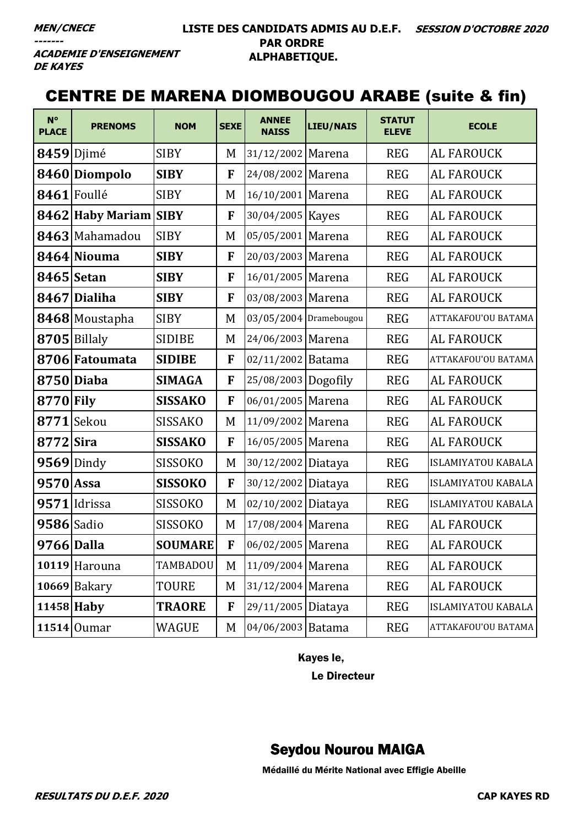----

#### LISTE DES CANDIDATS ADMIS AU D.E.F. SESSION D'OCTOBRE 2020 **PAR ORDRE** ALPHABETIQUE.

**ACADEMIE D'ENSEIGNEMENT DE KAYES** 

### **CENTRE DE MARENA DIOMBOUGOU ARABE (suite & fin)**

| $N^{\circ}$<br><b>PLACE</b> | <b>PRENOMS</b>        | <b>NOM</b>     | <b>SEXE</b> | <b>ANNEE</b><br><b>NAISS</b> | <b>LIEU/NAIS</b> | <b>STATUT</b><br><b>ELEVE</b> | <b>ECOLE</b>              |
|-----------------------------|-----------------------|----------------|-------------|------------------------------|------------------|-------------------------------|---------------------------|
|                             | 8459 Djimé            | <b>SIBY</b>    | M           | 31/12/2002 Marena            |                  | <b>REG</b>                    | <b>AL FAROUCK</b>         |
|                             | 8460 Diompolo         | <b>SIBY</b>    | F           | 24/08/2002 Marena            |                  | <b>REG</b>                    | <b>AL FAROUCK</b>         |
|                             | 8461 Foullé           | <b>SIBY</b>    | M           | 16/10/2001 Marena            |                  | <b>REG</b>                    | <b>AL FAROUCK</b>         |
|                             | 8462 Haby Mariam SIBY |                | F           | 30/04/2005                   | <b>Kayes</b>     | <b>REG</b>                    | <b>AL FAROUCK</b>         |
|                             | 8463 Mahamadou        | <b>SIBY</b>    | M           | 05/05/2001 Marena            |                  | <b>REG</b>                    | <b>AL FAROUCK</b>         |
|                             | 8464 Niouma           | <b>SIBY</b>    | F           | 20/03/2003 Marena            |                  | <b>REG</b>                    | <b>AL FAROUCK</b>         |
|                             | 8465 Setan            | <b>SIBY</b>    | F           | 16/01/2005 Marena            |                  | <b>REG</b>                    | <b>AL FAROUCK</b>         |
|                             | 8467 Dialiha          | <b>SIBY</b>    | F           | 03/08/2003 Marena            |                  | <b>REG</b>                    | <b>AL FAROUCK</b>         |
|                             | 8468 Moustapha        | <b>SIBY</b>    | M           | 03/05/2004 Dramebougou       |                  | <b>REG</b>                    | ATTAKAFOU'OU BATAMA       |
|                             | 8705 Billaly          | <b>SIDIBE</b>  | M           | 24/06/2003 Marena            |                  | <b>REG</b>                    | <b>AL FAROUCK</b>         |
|                             | 8706 Fatoumata        | <b>SIDIBE</b>  | F           | 02/11/2002 Batama            |                  | <b>REG</b>                    | ATTAKAFOU'OU BATAMA       |
|                             | 8750 Diaba            | <b>SIMAGA</b>  | F           | 25/08/2003 Dogofily          |                  | <b>REG</b>                    | <b>AL FAROUCK</b>         |
| 8770 Fily                   |                       | <b>SISSAKO</b> | F           | 06/01/2005 Marena            |                  | <b>REG</b>                    | <b>AL FAROUCK</b>         |
| 8771                        | Sekou                 | <b>SISSAKO</b> | M           | 11/09/2002 Marena            |                  | <b>REG</b>                    | <b>AL FAROUCK</b>         |
| 8772 Sira                   |                       | <b>SISSAKO</b> | F           | 16/05/2005 Marena            |                  | <b>REG</b>                    | <b>AL FAROUCK</b>         |
|                             | $9569$ Dindy          | <b>SISSOKO</b> | M           | 30/12/2002 Diataya           |                  | <b>REG</b>                    | <b>ISLAMIYATOU KABALA</b> |
| $9570$ Assa                 |                       | <b>SISSOKO</b> | F           | 30/12/2002 Diataya           |                  | <b>REG</b>                    | <b>ISLAMIYATOU KABALA</b> |
|                             | $9571$  Idrissa       | SISSOKO        | M           | 02/10/2002 Diataya           |                  | <b>REG</b>                    | <b>ISLAMIYATOU KABALA</b> |
| 9586 Sadio                  |                       | SISSOKO        | M           | 17/08/2004 Marena            |                  | <b>REG</b>                    | <b>AL FAROUCK</b>         |
| 9766 Dalla                  |                       | <b>SOUMARE</b> | F           | 06/02/2005 Marena            |                  | <b>REG</b>                    | AL FAROUCK                |
|                             | 10119 Harouna         | TAMBADOU       | M           | 11/09/2004 Marena            |                  | <b>REG</b>                    | <b>AL FAROUCK</b>         |
|                             | $10669$ Bakary        | <b>TOURE</b>   | M           | 31/12/2004 Marena            |                  | <b>REG</b>                    | <b>AL FAROUCK</b>         |
|                             | $11458$ Haby          | <b>TRAORE</b>  | F           | 29/11/2005 Diataya           |                  | <b>REG</b>                    | <b>ISLAMIYATOU KABALA</b> |
|                             | $11514$ Oumar         | WAGUE          | M           | 04/06/2003 Batama            |                  | <b>REG</b>                    | ATTAKAFOU'OU BATAMA       |

Kayes le,

Le Directeur

### **Seydou Nourou MAIGA**